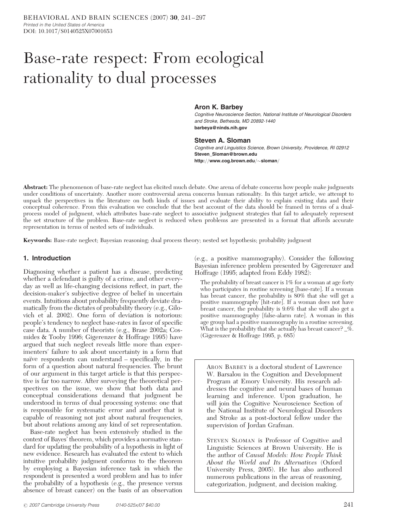# Base-rate respect: From ecological rationality to dual processes

### Aron K. Barbey

Cognitive Neuroscience Section, National Institute of Neurological Disorders and Stroke, Bethesda, MD 20892-1440 barbeya@ninds.nih.gov

### Steven A. Sloman

Cognitive and Linguistics Science, Brown University, Providence, RI 02912 Steven\_Sloman@brown.edu http://www.cog.brown.edu/ $\sim$ sloman/

Abstract: The phenomenon of base-rate neglect has elicited much debate. One arena of debate concerns how people make judgments under conditions of uncertainty. Another more controversial arena concerns human rationality. In this target article, we attempt to unpack the perspectives in the literature on both kinds of issues and evaluate their ability to explain existing data and their conceptual coherence. From this evaluation we conclude that the best account of the data should be framed in terms of a dualprocess model of judgment, which attributes base-rate neglect to associative judgment strategies that fail to adequately represent the set structure of the problem. Base-rate neglect is reduced when problems are presented in a format that affords accurate representation in terms of nested sets of individuals.

Keywords: Base-rate neglect; Bayesian reasoning; dual process theory; nested set hypothesis; probability judgment

### 1. Introduction

Diagnosing whether a patient has a disease, predicting whether a defendant is guilty of a crime, and other everyday as well as life-changing decisions reflect, in part, the decision-maker's subjective degree of belief in uncertain events. Intuitions about probability frequently deviate dramatically from the dictates of probability theory (e.g., Gilovich et al. 2002). One form of deviation is notorious: people's tendency to neglect base-rates in favor of specific case data. A number of theorists (e.g., Brase 2002a; Cosmides & Tooby 1996; Gigerenzer & Hoffrage 1995) have argued that such neglect reveals little more than experimenters' failure to ask about uncertainty in a form that naïve respondents can understand – specifically, in the form of a question about natural frequencies. The brunt of our argument in this target article is that this perspective is far too narrow. After surveying the theoretical perspectives on the issue, we show that both data and conceptual considerations demand that judgment be understood in terms of dual processing systems: one that is responsible for systematic error and another that is capable of reasoning not just about natural frequencies, but about relations among any kind of set representation.

Base-rate neglect has been extensively studied in the context of Bayes' theorem, which provides a normative standard for updating the probability of a hypothesis in light of new evidence. Research has evaluated the extent to which intuitive probability judgment conforms to the theorem by employing a Bayesian inference task in which the respondent is presented a word problem and has to infer the probability of a hypothesis (e.g., the presence versus absence of breast cancer) on the basis of an observation

(e.g., a positive mammography). Consider the following Bayesian inference problem presented by Gigerenzer and Hoffrage (1995; adapted from Eddy 1982):

The probability of breast cancer is 1% for a woman at age forty who participates in routine screening [base-rate]. If a woman has breast cancer, the probability is 80% that she will get a positive mammography [hit-rate]. If a woman does not have breast cancer, the probability is 9.6% that she will also get a positive mammography [false-alarm rate]. A woman in this age group had a positive mammography in a routine screening. What is the probability that she actually has breast cancer?  $\phi$ . (Gigerenzer & Hoffrage 1995, p. 685)

ARON BARBEY is a doctoral student of Lawrence W. Barsalou in the Cognition and Development Program at Emory University. His research addresses the cognitive and neural bases of human learning and inference. Upon graduation, he will join the Cognitive Neuroscience Section of the National Institute of Neurological Disorders and Stroke as a post-doctoral fellow under the supervision of Jordan Grafman.

STEVEN SLOMAN is Professor of Cognitive and Linguistic Sciences at Brown University. He is the author of Causal Models: How People Think About the World and Its Alternatives (Oxford University Press, 2005). He has also authored numerous publications in the areas of reasoning, categorization, judgment, and decision making.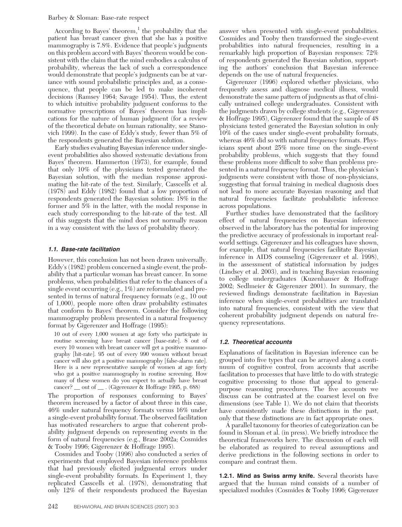According to Bayes' theorem, $\frac{1}{1}$  the probability that the patient has breast cancer given that she has a positive mammography is 7.8%. Evidence that people's judgments on this problem accord with Bayes' theorem would be consistent with the claim that the mind embodies a calculus of probability, whereas the lack of such a correspondence would demonstrate that people's judgments can be at variance with sound probabilistic principles and, as a consequence, that people can be led to make incoherent decisions (Ramsey 1964; Savage 1954). Thus, the extent to which intuitive probability judgment conforms to the normative prescriptions of Bayes' theorem has implications for the nature of human judgment (for a review of the theoretical debate on human rationality, see Stanovich 1999). In the case of Eddy's study, fewer than 5% of the respondents generated the Bayesian solution.

Early studies evaluating Bayesian inference under singleevent probabilities also showed systematic deviations from Bayes' theorem. Hammerton (1973), for example, found that only 10% of the physicians tested generated the Bayesian solution, with the median response approximating the hit-rate of the test. Similarly, Casscells et al. (1978) and Eddy (1982) found that a low proportion of respondents generated the Bayesian solution: 18% in the former and 5% in the latter, with the modal response in each study corresponding to the hit-rate of the test. All of this suggests that the mind does not normally reason in a way consistent with the laws of probability theory.

### 1.1. Base-rate facilitation

However, this conclusion has not been drawn universally. Eddy's (1982) problem concerned a single event, the probability that a particular woman has breast cancer. In some problems, when probabilities that refer to the chances of a single event occurring (e.g., 1%) are reformulated and presented in terms of natural frequency formats (e.g., 10 out of 1,000), people more often draw probability estimates that conform to Bayes' theorem. Consider the following mammography problem presented in a natural frequency format by Gigerenzer and Hoffrage (1995):

10 out of every 1,000 women at age forty who participate in routine screening have breast cancer [base-rate]. 8 out of every 10 women with breast cancer will get a positive mammography [hit-rate]. 95 out of every 990 women without breast cancer will also get a positive mammography [false-alarm rate]. Here is a new representative sample of women at age forty who got a positive mammography in routine screening. How many of these women do you expect to actually have breast cancer? \_\_ out of \_\_ . (Gigerenzer & Hoffrage 1995, p. 688)

The proportion of responses conforming to Bayes' theorem increased by a factor of about three in this case, 46% under natural frequency formats versus 16% under a single-event probability format. The observed facilitation has motivated researchers to argue that coherent probability judgment depends on representing events in the form of natural frequencies (e.g., Brase 2002a; Cosmides & Tooby 1996; Gigerenzer & Hoffrage 1995).

Cosmides and Tooby (1996) also conducted a series of experiments that employed Bayesian inference problems that had previously elicited judgmental errors under single-event probability formats. In Experiment 1, they replicated Casscells et al. (1978), demonstrating that only 12% of their respondents produced the Bayesian

answer when presented with single-event probabilities. Cosmides and Tooby then transformed the single-event probabilities into natural frequencies, resulting in a remarkably high proportion of Bayesian responses: 72% of respondents generated the Bayesian solution, supporting the authors' conclusion that Bayesian inference depends on the use of natural frequencies.

Gigerenzer (1996) explored whether physicians, who frequently assess and diagnose medical illness, would demonstrate the same pattern of judgments as that of clinically untrained college undergraduates. Consistent with the judgments drawn by college students (e.g., Gigerenzer & Hoffrage 1995), Gigerenzer found that the sample of 48 physicians tested generated the Bayesian solution in only 10% of the cases under single-event probability formats, whereas 46% did so with natural frequency formats. Physicians spent about 25% more time on the single-event probability problems, which suggests that they found these problems more difficult to solve than problems presented in a natural frequency format. Thus, the physician's judgments were consistent with those of non-physicians, suggesting that formal training in medical diagnosis does not lead to more accurate Bayesian reasoning and that natural frequencies facilitate probabilistic inference across populations.

Further studies have demonstrated that the facilitory effect of natural frequencies on Bayesian inference observed in the laboratory has the potential for improving the predictive accuracy of professionals in important realworld settings. Gigerenzer and his colleagues have shown, for example, that natural frequencies facilitate Bayesian inference in AIDS counseling (Gigerenzer et al. 1998), in the assessment of statistical information by judges (Lindsey et al. 2003), and in teaching Bayesian reasoning to college undergraduates (Kuzenhauser & Hoffrage 2002; Sedlmeier & Gigerenzer 2001). In summary, the reviewed findings demonstrate facilitation in Bayesian inference when single-event probabilities are translated into natural frequencies, consistent with the view that coherent probability judgment depends on natural frequency representations.

### 1.2. Theoretical accounts

Explanations of facilitation in Bayesian inference can be grouped into five types that can be arrayed along a continuum of cognitive control, from accounts that ascribe facilitation to processes that have little to do with strategic cognitive processing to those that appeal to generalpurpose reasoning procedures. The five accounts we discuss can be contrasted at the coarsest level on five dimensions (see Table 1). We do not claim that theorists have consistently made these distinctions in the past, only that these distinctions are in fact appropriate ones.

A parallel taxonomy for theories of categorization can be found in Sloman et al. (in press). We briefly introduce the theoretical frameworks here. The discussion of each will be elaborated as required to reveal assumptions and derive predictions in the following sections in order to compare and contrast them.

1.2.1. Mind as Swiss army knife. Several theorists have argued that the human mind consists of a number of specialized modules (Cosmides & Tooby 1996; Gigerenzer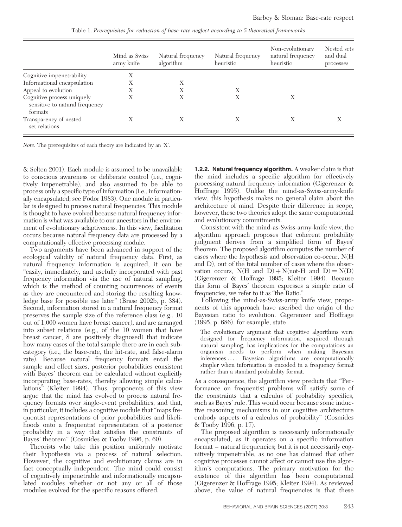|                                                                         | Mind as Swiss<br>army knife | Natural frequency<br>algorithm | Natural frequency<br>heuristic | Non-evolutionary<br>natural frequency<br>heuristic | Nested sets<br>and dual<br>processes |
|-------------------------------------------------------------------------|-----------------------------|--------------------------------|--------------------------------|----------------------------------------------------|--------------------------------------|
| Cognitive impenetrability                                               | Х                           |                                |                                |                                                    |                                      |
| Informational encapsulation                                             | Χ                           | Х                              |                                |                                                    |                                      |
| Appeal to evolution                                                     | Х                           | Х                              | Х                              |                                                    |                                      |
| Cognitive process uniquely<br>sensitive to natural frequency<br>formats | Х                           | Х                              | Х                              |                                                    |                                      |
| Transparency of nested<br>set relations                                 | Х                           | Х                              | Х                              |                                                    |                                      |

Table 1. Prerequisites for reduction of base-rate neglect according to 5 theoretical frameworks

Note. The prerequisites of each theory are indicated by an 'X'.

& Selten 2001). Each module is assumed to be unavailable to conscious awareness or deliberate control (i.e., cognitively impenetrable), and also assumed to be able to process only a specific type of information (i.e., informationally encapsulated; see Fodor 1983). One module in particular is designed to process natural frequencies. This module is thought to have evolved because natural frequency information is what was available to our ancestors in the environment of evolutionary adaptiveness. In this view, facilitation occurs because natural frequency data are processed by a computationally effective processing module.

Two arguments have been advanced in support of the ecological validity of natural frequency data. First, as natural frequency information is acquired, it can be "easily, immediately, and usefully incorporated with past frequency information via the use of natural sampling, which is the method of counting occurrences of events as they are encountered and storing the resulting knowledge base for possible use later" (Brase 2002b, p. 384). Second, information stored in a natural frequency format preserves the sample size of the reference class (e.g., 10 out of 1,000 women have breast cancer), and are arranged into subset relations (e.g., of the 10 women that have breast cancer, 8 are positively diagnosed) that indicate how many cases of the total sample there are in each subcategory (i.e., the base-rate, the hit-rate, and false-alarm rate). Because natural frequency formats entail the sample and effect sizes, posterior probabilities consistent with Bayes' theorem can be calculated without explicitly incorporating base-rates, thereby allowing simple calculations<sup>2</sup> (Kleiter 1994). Thus, proponents of this view argue that the mind has evolved to process natural frequency formats over single-event probabilities, and that, in particular, it includes a cognitive module that "maps frequentist representations of prior probabilities and likelihoods onto a frequentist representation of a posterior probability in a way that satisfies the constraints of Bayes' theorem" (Cosmides & Tooby 1996, p. 60).

Theorists who take this position uniformly motivate their hypothesis via a process of natural selection. However, the cognitive and evolutionary claims are in fact conceptually independent. The mind could consist of cognitively impenetrable and informationally encapsulated modules whether or not any or all of those modules evolved for the specific reasons offered.

1.2.2. Natural frequency algorithm. A weaker claim is that the mind includes a specific algorithm for effectively processing natural frequency information (Gigerenzer & Hoffrage 1995). Unlike the mind-as-Swiss-army-knife view, this hypothesis makes no general claim about the architecture of mind. Despite their difference in scope, however, these two theories adopt the same computational and evolutionary commitments.

Consistent with the mind-as-Swiss-army-knife view, the algorithm approach proposes that coherent probability judgment derives from a simplified form of Bayes' theorem. The proposed algorithm computes the number of cases where the hypothesis and observation co-occur, N(H and D), out of the total number of cases where the observation occurs,  $N(H \text{ and } D) + N(\text{not-H} \text{ and } D) = N(D)$ (Gigerenzer & Hoffrage 1995; Kleiter 1994). Because this form of Bayes' theorem expresses a simple ratio of frequencies, we refer to it as "the Ratio."

Following the mind-as-Swiss-army knife view, proponents of this approach have ascribed the origin of the Bayesian ratio to evolution. Gigerenzer and Hoffrage (1995, p. 686), for example, state

The evolutionary argument that cognitive algorithms were designed for frequency information, acquired through natural sampling, has implications for the computations an organism needs to perform when making Bayesian inferences ... . Bayesian algorithms are computationally simpler when information is encoded in a frequency format rather than a standard probability format.

As a consequence, the algorithm view predicts that "Performance on frequentist problems will satisfy some of the constraints that a calculus of probability specifies, such as Bayes' rule. This would occur because some inductive reasoning mechanisms in our cognitive architecture embody aspects of a calculus of probability" (Cosmides & Tooby 1996, p. 17).

The proposed algorithm is necessarily informationally encapsulated, as it operates on a specific information format – natural frequencies; but it is not necessarily cognitively impenetrable, as no one has claimed that other cognitive processes cannot affect or cannot use the algorithm's computations. The primary motivation for the existence of this algorithm has been computational (Gigerenzer & Hoffrage 1995; Kleiter 1994). As reviewed above, the value of natural frequencies is that these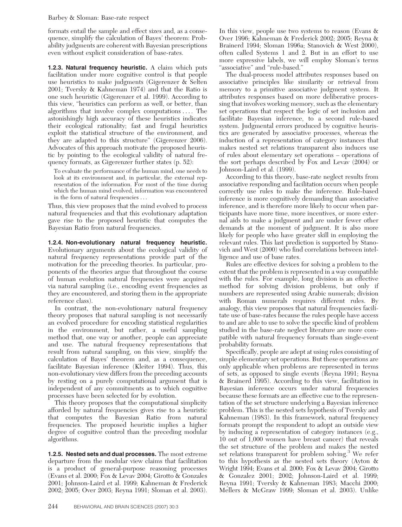### Barbey & Sloman: Base-rate respect

formats entail the sample and effect sizes and, as a consequence, simplify the calculation of Bayes' theorem: Probability judgments are coherent with Bayesian prescriptions even without explicit consideration of base-rates.

1.2.3. Natural frequency heuristic. A claim which puts facilitation under more cognitive control is that people use heuristics to make judgments (Gigerenzer & Selten 2001; Tversky & Kahneman 1974) and that the Ratio is one such heuristic (Gigerenzer et al. 1999). According to this view, "heuristics can perform as well, or better, than algorithms that involve complex computations ... . The astonishingly high accuracy of these heuristics indicates their ecological rationality; fast and frugal heuristics exploit the statistical structure of the environment, and they are adapted to this structure" (Gigerenzer 2006). Advocates of this approach motivate the proposed heuristic by pointing to the ecological validity of natural frequency formats, as Gigerenzer further states (p. 52):

To evaluate the performance of the human mind, one needs to look at its environment and, in particular, the external representation of the information. For most of the time during which the human mind evolved, information was encountered in the form of natural frequencies ...

Thus, this view proposes that the mind evolved to process natural frequencies and that this evolutionary adaptation gave rise to the proposed heuristic that computes the Bayesian Ratio from natural frequencies.

1.2.4. Non-evolutionary natural frequency heuristic. Evolutionary arguments about the ecological validity of natural frequency representations provide part of the motivation for the preceding theories. In particular, proponents of the theories argue that throughout the course of human evolution natural frequencies were acquired via natural sampling (i.e., encoding event frequencies as they are encountered, and storing them in the appropriate reference class).

In contrast, the non-evolutionary natural frequency theory proposes that natural sampling is not necessarily an evolved procedure for encoding statistical regularities in the environment, but rather, a useful sampling method that, one way or another, people can appreciate and use. The natural frequency representations that result from natural sampling, on this view, simplify the calculation of Bayes' theorem and, as a consequence, facilitate Bayesian inference (Kleiter 1994). Thus, this non-evolutionary view differs from the preceding accounts by resting on a purely computational argument that is independent of any commitments as to which cognitive processes have been selected for by evolution.

This theory proposes that the computational simplicity afforded by natural frequencies gives rise to a heuristic that computes the Bayesian Ratio from natural frequencies. The proposed heuristic implies a higher degree of cognitive control than the preceding modular algorithms.

1.2.5. Nested sets and dual processes. The most extreme departure from the modular view claims that facilitation is a product of general-purpose reasoning processes (Evans et al. 2000; Fox & Levav 2004; Girotto & Gonzales 2001; Johnson-Laird et al. 1999; Kahneman & Frederick 2002; 2005; Over 2003; Reyna 1991; Sloman et al. 2003). In this view, people use two systems to reason (Evans  $\&$ Over 1996; Kahneman & Frederick 2002; 2005; Reyna & Brainerd 1994; Sloman 1996a; Stanovich & West 2000), often called Systems 1 and 2. But in an effort to use more expressive labels, we will employ Sloman's terms "associative" and "rule-based."

The dual-process model attributes responses based on associative principles like similarity or retrieval from memory to a primitive associative judgment system. It attributes responses based on more deliberative processing that involves working memory, such as the elementary set operations that respect the logic of set inclusion and facilitate Bayesian inference, to a second rule-based system. Judgmental errors produced by cognitive heuristics are generated by associative processes, whereas the induction of a representation of category instances that makes nested set relations transparent also induces use of rules about elementary set operations – operations of the sort perhaps described by Fox and Levav (2004) or Johnson-Laird et al. (1999).

According to this theory, base-rate neglect results from associative responding and facilitation occurs when people correctly use rules to make the inference. Rule-based inference is more cognitively demanding than associative inference, and is therefore more likely to occur when participants have more time, more incentives, or more external aids to make a judgment and are under fewer other demands at the moment of judgment. It is also more likely for people who have greater skill in employing the relevant rules. This last prediction is supported by Stanovich and West (2000) who find correlations between intelligence and use of base rates.

Rules are effective devices for solving a problem to the extent that the problem is represented in a way compatible with the rules. For example, long division is an effective method for solving division problems, but only if numbers are represented using Arabic numerals; division with Roman numerals requires different rules. By analogy, this view proposes that natural frequencies facilitate use of base-rates because the rules people have access to and are able to use to solve the specific kind of problem studied in the base-rate neglect literature are more compatible with natural frequency formats than single-event probability formats.

Specifically, people are adept at using rules consisting of simple elementary set operations. But these operations are only applicable when problems are represented in terms of sets, as opposed to single events (Reyna 1991; Reyna & Brainerd 1995). According to this view, facilitation in Bayesian inference occurs under natural frequencies because these formats are an effective cue to the representation of the set structure underlying a Bayesian inference problem. This is the nested sets hypothesis of Tversky and Kahneman (1983). In this framework, natural frequency formats prompt the respondent to adopt an outside view by inducing a representation of category instances (e.g., 10 out of 1,000 women have breast cancer) that reveals the set structure of the problem and makes the nested set relations transparent for problem solving.<sup>3</sup> We refer to this hypothesis as the nested sets theory (Ayton & Wright 1994; Evans et al. 2000; Fox & Levav 2004; Girotto & Gonzalez 2001; 2002; Johnson-Laird et al. 1999; Reyna 1991; Tversky & Kahneman 1983; Macchi 2000; Mellers & McGraw 1999; Sloman et al. 2003). Unlike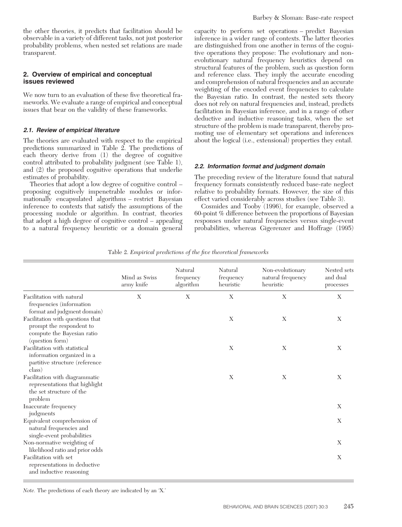the other theories, it predicts that facilitation should be observable in a variety of different tasks, not just posterior probability problems, when nested set relations are made transparent.

### 2. Overview of empirical and conceptual issues reviewed

We now turn to an evaluation of these five theoretical frameworks. We evaluate a range of empirical and conceptual issues that bear on the validity of these frameworks.

### 2.1. Review of empirical literature

The theories are evaluated with respect to the empirical predictions summarized in Table 2. The predictions of each theory derive from (1) the degree of cognitive control attributed to probability judgment (see Table 1), and (2) the proposed cognitive operations that underlie estimates of probability.

Theories that adopt a low degree of cognitive control – proposing cognitively impenetrable modules or informationally encapsulated algorithms – restrict Bayesian inference to contexts that satisfy the assumptions of the processing module or algorithm. In contrast, theories that adopt a high degree of cognitive control – appealing to a natural frequency heuristic or a domain general capacity to perform set operations – predict Bayesian inference in a wider range of contexts. The latter theories are distinguished from one another in terms of the cognitive operations they propose: The evolutionary and nonevolutionary natural frequency heuristics depend on structural features of the problem, such as question form and reference class. They imply the accurate encoding and comprehension of natural frequencies and an accurate weighting of the encoded event frequencies to calculate the Bayesian ratio. In contrast, the nested sets theory does not rely on natural frequencies and, instead, predicts facilitation in Bayesian inference, and in a range of other deductive and inductive reasoning tasks, when the set structure of the problem is made transparent, thereby promoting use of elementary set operations and inferences about the logical (i.e., extensional) properties they entail.

### 2.2. Information format and judgment domain

The preceding review of the literature found that natural frequency formats consistently reduced base-rate neglect relative to probability formats. However, the size of this effect varied considerably across studies (see Table 3).

Cosmides and Tooby (1996), for example, observed a 60-point % difference between the proportions of Bayesian responses under natural frequencies versus single-event probabilities, whereas Gigerenzer and Hoffrage (1995)

Table 2. Empirical predictions of the five theoretical frameworks

|                                                                                              | Mind as Swiss<br>army knife | Natural<br>frequency<br>algorithm | Natural<br>frequency<br>heuristic | Non-evolutionary<br>natural frequency<br>heuristic | Nested sets<br>and dual<br>processes |
|----------------------------------------------------------------------------------------------|-----------------------------|-----------------------------------|-----------------------------------|----------------------------------------------------|--------------------------------------|
| Facilitation with natural                                                                    | X                           | X                                 | X                                 | X                                                  | X                                    |
| frequencies (information                                                                     |                             |                                   |                                   |                                                    |                                      |
| format and judgment domain)                                                                  |                             |                                   |                                   |                                                    |                                      |
| Facilitation with questions that<br>prompt the respondent to                                 |                             |                                   | X                                 | X                                                  | X                                    |
| compute the Bayesian ratio<br>(question form)                                                |                             |                                   |                                   |                                                    |                                      |
| Facilitation with statistical                                                                |                             |                                   | X                                 | X                                                  | X                                    |
| information organized in a<br>partitive structure (reference<br>class)                       |                             |                                   |                                   |                                                    |                                      |
| Facilitation with diagrammatic<br>representations that highlight<br>the set structure of the |                             |                                   | X                                 | X                                                  | X                                    |
| problem                                                                                      |                             |                                   |                                   |                                                    |                                      |
| Inaccurate frequency<br>judgments                                                            |                             |                                   |                                   |                                                    | X                                    |
| Equivalent comprehension of<br>natural frequencies and<br>single-event probabilities         |                             |                                   |                                   |                                                    | X                                    |
| Non-normative weighting of                                                                   |                             |                                   |                                   |                                                    | X                                    |
| likelihood ratio and prior odds                                                              |                             |                                   |                                   |                                                    |                                      |
| Facilitation with set                                                                        |                             |                                   |                                   |                                                    | X                                    |
| representations in deductive                                                                 |                             |                                   |                                   |                                                    |                                      |
| and inductive reasoning                                                                      |                             |                                   |                                   |                                                    |                                      |

Note. The predictions of each theory are indicated by an 'X.'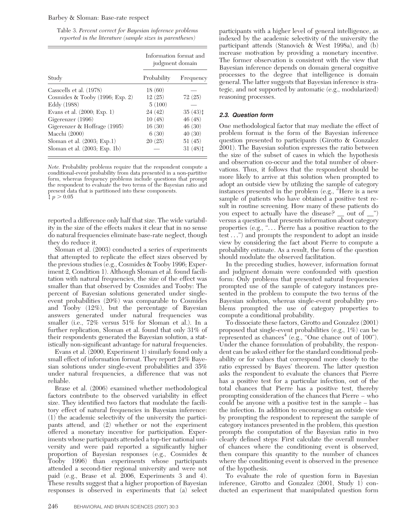### Barbey & Sloman: Base-rate respect

Table 3. Percent correct for Bayesian inference problems reported in the literature (sample sizes in parentheses)

|                                   | Information format and<br>judgment domain |           |  |  |
|-----------------------------------|-------------------------------------------|-----------|--|--|
| Study                             | Probability                               | Frequency |  |  |
| Casscells et al. (1978)           | 18(60)                                    |           |  |  |
| Cosmides & Tooby $(1996; Exp. 2)$ | 12(25)                                    | 72(25)    |  |  |
| Eddy (1988)                       | 5(100)                                    |           |  |  |
| Evans et al. (2000; Exp. 1)       | 24(42)                                    | 35(43)    |  |  |
| Gigerenzer (1996)                 | 10(48)                                    | 46(48)    |  |  |
| Gigerenzer & Hoffrage (1995)      | 16(30)                                    | 46(30)    |  |  |
| Macchi (2000)                     | 6(30)                                     | 40(30)    |  |  |
| Sloman et al. $(2003; Exp.1)$     | 20(25)                                    | 51(45)    |  |  |
| Sloman et al. $(2003;$ Exp. 1b)   |                                           | 31(48)    |  |  |

Note. Probability problems require that the respondent compute a conditional-event probability from data presented in a non-partitive form, whereas frequency problems include questions that prompt the respondent to evaluate the two terms of the Bayesian ratio and present data that is partitioned into these components.  $\ddagger p > 0.05$ 

reported a difference only half that size. The wide variability in the size of the effects makes it clear that in no sense do natural frequencies eliminate base-rate neglect, though they do reduce it.

Sloman et al. (2003) conducted a series of experiments that attempted to replicate the effect sizes observed by the previous studies (e.g., Cosmides & Tooby 1996; Experiment 2, Condition 1). Although Sloman et al. found facilitation with natural frequencies, the size of the effect was smaller than that observed by Cosmides and Tooby: The percent of Bayesian solutions generated under singleevent probabilities (20%) was comparable to Cosmides and Tooby (12%), but the percentage of Bayesian answers generated under natural frequencies was smaller (i.e., 72% versus 51% for Sloman et al.). In a further replication, Sloman et al. found that only 31% of their respondents generated the Bayesian solution, a statistically non-significant advantage for natural frequencies.

Evans et al. (2000, Experiment 1) similarly found only a small effect of information format. They report 24% Bayesian solutions under single-event probabilities and 35% under natural frequencies, a difference that was not reliable.

Brase et al. (2006) examined whether methodological factors contribute to the observed variability in effect size. They identified two factors that modulate the facilitory effect of natural frequencies in Bayesian inference: (1) the academic selectivity of the university the participants attend, and (2) whether or not the experiment offered a monetary incentive for participation. Experiments whose participants attended a top-tier national university and were paid reported a significantly higher proportion of Bayesian responses (e.g., Cosmides & Tooby 1996) than experiments whose participants attended a second-tier regional university and were not paid (e.g., Brase et al. 2006, Experiments 3 and 4). These results suggest that a higher proportion of Bayesian responses is observed in experiments that (a) select

participants with a higher level of general intelligence, as indexed by the academic selectivity of the university the participant attends (Stanovich & West 1998a), and (b) increase motivation by providing a monetary incentive. The former observation is consistent with the view that Bayesian inference depends on domain general cognitive processes to the degree that intelligence is domain general. The latter suggests that Bayesian inference is strategic, and not supported by automatic (e.g., modularized) reasoning processes.

### 2.3. Question form

One methodological factor that may mediate the effect of problem format is the form of the Bayesian inference question presented to participants (Girotto & Gonzalez 2001). The Bayesian solution expresses the ratio between the size of the subset of cases in which the hypothesis and observation co-occur and the total number of observations. Thus, it follows that the respondent should be more likely to arrive at this solution when prompted to adopt an outside view by utilizing the sample of category instances presented in the problem (e.g., "Here is a new sample of patients who have obtained a positive test result in routine screening. How many of these patients do you expect to actually have the disease?  $\equiv$  out of  $\equiv$ ") versus a question that presents information about category properties (e.g., "... Pierre has a positive reaction to the test ...") and prompts the respondent to adopt an inside view by considering the fact about Pierre to compute a probability estimate. As a result, the form of the question should modulate the observed facilitation.

In the preceding studies, however, information format and judgment domain were confounded with question form: Only problems that presented natural frequencies prompted use of the sample of category instances presented in the problem to compute the two terms of the Bayesian solution, whereas single-event probability problems prompted the use of category properties to compute a conditional probability.

To dissociate these factors, Girotto and Gonzalez (2001) proposed that single-event probabilities (e.g., 1%) can be represented as chances<sup>4</sup> (e.g., "One chance out of  $100$ "). Under the chance formulation of probability, the respondent can be asked either for the standard conditional probability or for values that correspond more closely to the ratio expressed by Bayes' theorem. The latter question asks the respondent to evaluate the chances that Pierre has a positive test for a particular infection, out of the total chances that Pierre has a positive test, thereby prompting consideration of the chances that Pierre – who could be anyone with a positive test in the sample – has the infection. In addition to encouraging an outside view by prompting the respondent to represent the sample of category instances presented in the problem, this question prompts the computation of the Bayesian ratio in two clearly defined steps: First calculate the overall number of chances where the conditioning event is observed, then compare this quantity to the number of chances where the conditioning event is observed in the presence of the hypothesis.

To evaluate the role of question form in Bayesian inference, Girotto and Gonzalez (2001, Study 1) conducted an experiment that manipulated question form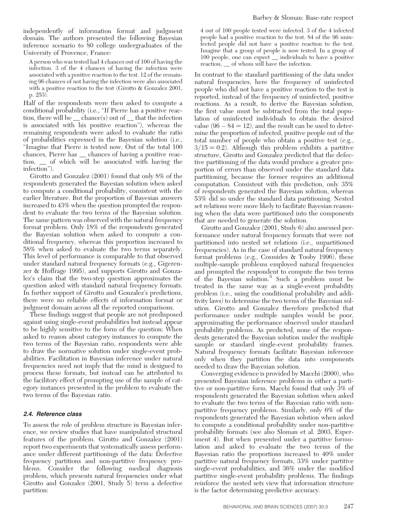independently of information format and judgment domain. The authors presented the following Bayesian inference scenario to 80 college undergraduates of the University of Provence, France:

A person who was tested had 4 chances out of 100 of having the infection. 3 of the 4 chances of having the infection were associated with a positive reaction to the test. 12 of the remaining 96 chances of not having the infection were also associated with a positive reaction to the test (Girotto & Gonzalez 2001, p. 253).

Half of the respondents were then asked to compute a conditional probability (i.e., "If Pierre has a positive reaction, there will be \_\_ chance(s) out of \_\_ that the infection is associated with his positive reaction"), whereas the remaining respondents were asked to evaluate the ratio of probabilities expressed in the Bayesian solution (i.e., "Imagine that Pierre is tested now. Out of the total 100 chances, Pierre has \_\_ chances of having a positive reaction, \_\_ of which will be associated with having the infection").

Girotto and Gonzalez (2001) found that only 8% of the respondents generated the Bayesian solution when asked to compute a conditional probability, consistent with the earlier literature. But the proportion of Bayesian answers increased to 43% when the question prompted the respondent to evaluate the two terms of the Bayesian solution. The same pattern was observed with the natural frequency format problem. Only 18% of the respondents generated the Bayesian solution when asked to compute a conditional frequency, whereas this proportion increased to 58% when asked to evaluate the two terms separately. This level of performance is comparable to that observed under standard natural frequency formats (e.g., Gigerenzer & Hoffrage 1995), and supports Girotto and Gonzalez's claim that the two-step question approximates the question asked with standard natural frequency formats. In further support of Girotto and Gonzalez's predictions, there were no reliable effects of information format or judgment domain across all the reported comparisons.

These findings suggest that people are not predisposed against using single-event probabilities but instead appear to be highly sensitive to the form of the question: When asked to reason about category instances to compute the two terms of the Bayesian ratio, respondents were able to draw the normative solution under single-event probabilities. Facilitation in Bayesian inference under natural frequencies need not imply that the mind is designed to process these formats, but instead can be attributed to the facilitory effect of prompting use of the sample of category instances presented in the problem to evaluate the two terms of the Bayesian ratio.

#### 2.4. Reference class

To assess the role of problem structure in Bayesian inference, we review studies that have manipulated structural features of the problem. Girotto and Gonzalez (2001) report two experiments that systematically assess performance under different partitionings of the data: Defective frequency partitions and non-partitive frequency problems. Consider the following medical diagnosis problem, which presents natural frequencies under what Girotto and Gonzalez (2001, Study 5) term a defective partition:

4 out of 100 people tested were infected. 3 of the 4 infected people had a positive reaction to the test. 84 of the 96 uninfected people did not have a positive reaction to the test. Imagine that a group of people is now tested. In a group of 100 people, one can expect \_\_ individuals to have a positive reaction, \_\_ of whom will have the infection.

In contrast to the standard partitioning of the data under natural frequencies, here the frequency of uninfected people who did not have a positive reaction to the test is reported, instead of the frequency of uninfected, positive reactions. As a result, to derive the Bayesian solution, the first value must be subtracted from the total population of uninfected individuals to obtain the desired value  $(96 - 84 = 12)$ , and the result can be used to determine the proportion of infected, positive people out of the total number of people who obtain a positive test (e.g.,  $3/15 = 0.2$ ). Although this problem exhibits a partitive structure, Girotto and Gonzalez predicted that the defective partitioning of the data would produce a greater proportion of errors than observed under the standard data partitioning, because the former requires an additional computation. Consistent with this prediction, only 35% of respondents generated the Bayesian solution, whereas 53% did so under the standard data partitioning. Nested set relations were more likely to facilitate Bayesian reasoning when the data were partitioned into the components that are needed to generate the solution.

Girotto and Gonzalez (2001, Study 6) also assessed performance under natural frequency formats that were not partitioned into nested set relations (i.e., unpartitioned frequencies). As in the case of standard natural frequency format problems (e.g., Cosmides & Tooby 1996), these multiple-sample problems employed natural frequencies and prompted the respondent to compute the two terms of the Bayesian solution.<sup>5</sup> Such a problem must be treated in the same way as a single-event probability problem (i.e., using the conditional probability and additivity laws) to determine the two terms of the Bayesian solution. Girotto and Gonzalez therefore predicted that performance under multiple samples would be poor, approximating the performance observed under standard probability problems. As predicted, none of the respondents generated the Bayesian solution under the multiple sample or standard single-event probability frames. Natural frequency formats facilitate Bayesian inference only when they partition the data into components needed to draw the Bayesian solution.

Converging evidence is provided by Macchi (2000), who presented Bayesian inference problems in either a partitive or non-partitive form. Macchi found that only 3% of respondents generated the Bayesian solution when asked to evaluate the two terms of the Bayesian ratio with nonpartitive frequency problems. Similarly, only 6% of the respondents generated the Bayesian solution when asked to compute a conditional probability under non-partitive probability formats (see also Sloman et al. 2003, Experiment 4). But when presented under a partitive formulation and asked to evaluate the two terms of the Bayesian ratio the proportions increased to 40% under partitive natural frequency formats, 33% under partitive single-event probabilities, and 36% under the modified partitive single-event probability problems. The findings reinforce the nested sets view that information structure is the factor determining predictive accuracy.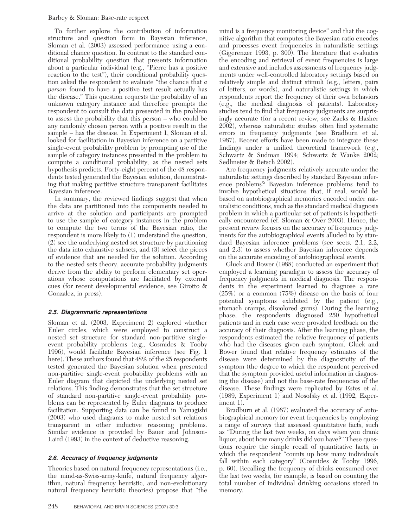To further explore the contribution of information structure and question form in Bayesian inference, Sloman et al. (2003) assessed performance using a conditional chance question. In contrast to the standard conditional probability question that presents information about a particular individual (e.g., "Pierre has a positive reaction to the test"), their conditional probability question asked the respondent to evaluate "the chance that a person found to have a positive test result actually has the disease." This question requests the probability of an unknown category instance and therefore prompts the respondent to consult the data presented in the problem to assess the probability that this person – who could be any randomly chosen person with a positive result in the sample – has the disease. In Experiment 1, Sloman et al. looked for facilitation in Bayesian inference on a partitive single-event probability problem by prompting use of the sample of category instances presented in the problem to compute a conditional probability, as the nested sets hypothesis predicts. Forty-eight percent of the 48 respondents tested generated the Bayesian solution, demonstrating that making partitive structure transparent facilitates Bayesian inference.

In summary, the reviewed findings suggest that when the data are partitioned into the components needed to arrive at the solution and participants are prompted to use the sample of category instances in the problem to compute the two terms of the Bayesian ratio, the respondent is more likely to (1) understand the question, (2) see the underlying nested set structure by partitioning the data into exhaustive subsets, and (3) select the pieces of evidence that are needed for the solution. According to the nested sets theory, accurate probability judgments derive from the ability to perform elementary set operations whose computations are facilitated by external cues (for recent developmental evidence, see Girotto & Gonzalez, in press).

### 2.5. Diagrammatic representations

Sloman et al. (2003, Experiment 2) explored whether Euler circles, which were employed to construct a nested set structure for standard non-partitive singleevent probability problems (e.g., Cosmides & Tooby 1996), would facilitate Bayesian inference (see Fig. 1 here). These authors found that 48% of the 25 respondents tested generated the Bayesian solution when presented non-partitive single-event probability problems with an Euler diagram that depicted the underlying nested set relations. This finding demonstrates that the set structure of standard non-partitive single-event probability problems can be represented by Euler diagrams to produce facilitation. Supporting data can be found in Yamagishi (2003) who used diagrams to make nested set relations transparent in other inductive reasoning problems. Similar evidence is provided by Bauer and Johnson-Laird (1993) in the context of deductive reasoning.

### 2.6. Accuracy of frequency judgments

Theories based on natural frequency representations (i.e., the mind-as-Swiss-army-knife, natural frequency algorithm, natural frequency heuristic, and non-evolutionary natural frequency heuristic theories) propose that "the

mind is a frequency monitoring device" and that the cognitive algorithm that computes the Bayesian ratio encodes and processes event frequencies in naturalistic settings (Gigerenzer 1993, p. 300). The literature that evaluates the encoding and retrieval of event frequencies is large and extensive and includes assessments of frequency judgments under well-controlled laboratory settings based on relatively simple and distinct stimuli (e.g., letters, pairs of letters, or words), and naturalistic settings in which respondents report the frequency of their own behaviors (e.g., the medical diagnosis of patients). Laboratory studies tend to find that frequency judgments are surprisingly accurate (for a recent review, see Zacks & Hasher 2002), whereas naturalistic studies often find systematic errors in frequency judgments (see Bradburn et al. 1987). Recent efforts have been made to integrate these findings under a unified theoretical framework (e.g., Schwartz & Sudman 1994; Schwartz & Wanke 2002; Sedlmeier & Betsch 2002).

Are frequency judgments relatively accurate under the naturalistic settings described by standard Bayesian inference problems? Bayesian inference problems tend to involve hypothetical situations that, if real, would be based on autobiographical memories encoded under naturalistic conditions, such as the standard medical diagnosis problem in which a particular set of patients is hypothetically encountered (cf. Sloman & Over 2003). Hence, the present review focuses on the accuracy of frequency judgments for the autobiographical events alluded to by standard Bayesian inference problems (see sects. 2.1, 2.2, and 2.3) to assess whether Bayesian inference depends on the accurate encoding of autobiographical events.

Gluck and Bower (1988) conducted an experiment that employed a learning paradigm to assess the accuracy of frequency judgments in medical diagnosis. The respondents in the experiment learned to diagnose a rare (25%) or a common (75%) disease on the basis of four potential symptoms exhibited by the patient (e.g., stomach cramps, discolored gums). During the learning phase, the respondents diagnosed 250 hypothetical patients and in each case were provided feedback on the accuracy of their diagnosis. After the learning phase, the respondents estimated the relative frequency of patients who had the diseases given each symptom. Gluck and Bower found that relative frequency estimates of the disease were determined by the diagnosticity of the symptom (the degree to which the respondent perceived that the symptom provided useful information in diagnosing the disease) and not the base-rate frequencies of the disease. These findings were replicated by Estes et al. (1989, Experiment 1) and Nosofsky et al. (1992, Experiment 1).

Bradburn et al. (1987) evaluated the accuracy of autobiographical memory for event frequencies by employing a range of surveys that assessed quantitative facts, such as "During the last two weeks, on days when you drank liquor, about how many drinks did you have?" These questions require the simple recall of quantitative facts, in which the respondent "counts up how many individuals fall within each category" (Cosmides & Tooby 1996, p. 60). Recalling the frequency of drinks consumed over the last two weeks, for example, is based on counting the total number of individual drinking occasions stored in memory.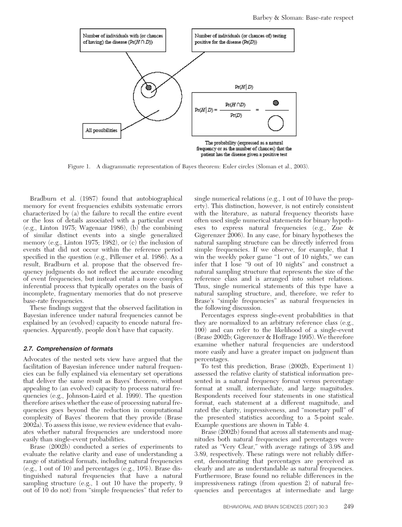

Figure 1. A diagrammatic representation of Bayes theorem: Euler circles (Sloman et al., 2003).

Bradburn et al. (1987) found that autobiographical memory for event frequencies exhibits systematic errors characterized by (a) the failure to recall the entire event or the loss of details associated with a particular event (e.g., Linton 1975; Wagenaar 1986), (b) the combining of similar distinct events into a single generalized memory (e.g., Linton 1975; 1982), or (c) the inclusion of events that did not occur within the reference period specified in the question (e.g., Pillemer et al. 1986). As a result, Bradburn et al. propose that the observed frequency judgments do not reflect the accurate encoding of event frequencies, but instead entail a more complex inferential process that typically operates on the basis of incomplete, fragmentary memories that do not preserve base-rate frequencies.

These findings suggest that the observed facilitation in Bayesian inference under natural frequencies cannot be explained by an (evolved) capacity to encode natural frequencies. Apparently, people don't have that capacity.

#### 2.7. Comprehension of formats

Advocates of the nested sets view have argued that the facilitation of Bayesian inference under natural frequencies can be fully explained via elementary set operations that deliver the same result as Bayes' theorem, without appealing to (an evolved) capacity to process natural frequencies (e.g., Johnson-Laird et al. 1999). The question therefore arises whether the ease of processing natural frequencies goes beyond the reduction in computational complexity of Bayes' theorem that they provide (Brase 2002a). To assess this issue, we review evidence that evaluates whether natural frequencies are understood more easily than single-event probabilities.

Brase (2002b) conducted a series of experiments to evaluate the relative clarity and ease of understanding a range of statistical formats, including natural frequencies (e.g., 1 out of 10) and percentages (e.g., 10%). Brase distinguished natural frequencies that have a natural sampling structure (e.g., 1 out 10 have the property, 9 out of 10 do not) from "simple frequencies" that refer to

single numerical relations (e.g., 1 out of 10 have the property). This distinction, however, is not entirely consistent with the literature, as natural frequency theorists have often used single numerical statements for binary hypotheses to express natural frequencies (e.g., Zue & Gigerenzer 2006). In any case, for binary hypotheses the natural sampling structure can be directly inferred from simple frequencies. If we observe, for example, that I win the weekly poker game "1 out of 10 nights," we can infer that I lose "9 out of 10 nights" and construct a natural sampling structure that represents the size of the reference class and is arranged into subset relations. Thus, single numerical statements of this type have a natural sampling structure, and, therefore, we refer to Brase's "simple frequencies" as natural frequencies in the following discussion.

Percentages express single-event probabilities in that they are normalized to an arbitrary reference class (e.g., 100) and can refer to the likelihood of a single-event (Brase 2002b; Gigerenzer & Hoffrage 1995). We therefore examine whether natural frequencies are understood more easily and have a greater impact on judgment than percentages.

To test this prediction, Brase (2002b, Experiment 1) assessed the relative clarity of statistical information presented in a natural frequency format versus percentage format at small, intermediate, and large magnitudes. Respondents received four statements in one statistical format, each statement at a different magnitude, and rated the clarity, impressiveness, and "monetary pull" of the presented statistics according to a 5-point scale. Example questions are shown in Table 4.

Brase (2002b) found that across all statements and magnitudes both natural frequencies and percentages were rated as "Very Clear," with average ratings of 3.98 and 3.89, respectively. These ratings were not reliably different, demonstrating that percentages are perceived as clearly and are as understandable as natural frequencies. Furthermore, Brase found no reliable differences in the impressiveness ratings (from question 2) of natural frequencies and percentages at intermediate and large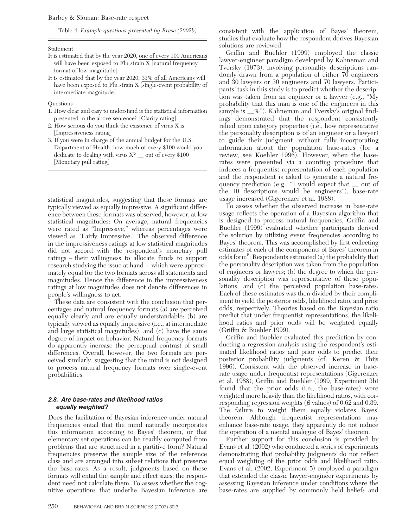Table 4. Example questions presented by Brase (2002b)

#### Statement

- It is estimated that by the year 2020, one of every 100 Americans will have been exposed to Flu strain X [natural frequency format of low magnitude]
- It is estimated that by the year 2020, 33% of all Americans will have been exposed to Flu strain X [single-event probability of intermediate magnitude]

**Questions** 

- 1. How clear and easy to understand is the statistical information presented in the above sentence? [Clarity rating]
- 2. How serious do you think the existence of virus X is [Impressiveness rating]
- 3. If you were in charge of the annual budget for the U.S. Department of Health, how much of every \$100 would you dedicate to dealing with virus  $X^9$  \_\_ out of every \$100 [Monetary pull rating]

statistical magnitudes, suggesting that these formats are typically viewed as equally impressive. A significant difference between these formats was observed, however, at low statistical magnitudes: On average, natural frequencies were rated as "Impressive," whereas percentages were viewed as "Fairly Impressive." The observed difference in the impressiveness ratings at low statistical magnitudes did not accord with the respondent's monetary pull ratings – their willingness to allocate funds to support research studying the issue at hand – which were approximately equal for the two formats across all statements and magnitudes. Hence the difference in the impressiveness ratings at low magnitudes does not denote differences in people's willingness to act.

These data are consistent with the conclusion that percentages and natural frequency formats (a) are perceived equally clearly and are equally understandable; (b) are typically viewed as equally impressive (i.e., at intermediate and large statistical magnitudes); and (c) have the same degree of impact on behavior. Natural frequency formats do apparently increase the perceptual contrast of small differences. Overall, however, the two formats are perceived similarly, suggesting that the mind is not designed to process natural frequency formats over single-event probabilities.

### 2.8. Are base-rates and likelihood ratios equally weighted?

Does the facilitation of Bayesian inference under natural frequencies entail that the mind naturally incorporates this information according to Bayes' theorem, or that elementary set operations can be readily computed from problems that are structured in a partitive form? Natural frequencies preserve the sample size of the reference class and are arranged into subset relations that preserve the base-rates. As a result, judgments based on these formats will entail the sample and effect sizes; the respondent need not calculate them. To assess whether the cognitive operations that underlie Bayesian inference are

consistent with the application of Bayes' theorem, studies that evaluate how the respondent derives Bayesian solutions are reviewed.

Griffin and Buehler (1999) employed the classic lawyer-engineer paradigm developed by Kahneman and Tversky (1973), involving personality descriptions randomly drawn from a population of either 70 engineers and 30 lawyers or 30 engineers and 70 lawyers. Participants' task in this study is to predict whether the description was taken from an engineer or a lawyer (e.g., "My probability that this man is one of the engineers in this sample is  $\mathcal{L}^{\infty}$ . Kahneman and Tversky's original findings demonstrated that the respondent consistently relied upon category properties (i.e., how representative the personality description is of an engineer or a lawyer) to guide their judgment, without fully incorporating information about the population base-rates (for a review, see Koehler 1996). However, when the baserates were presented via a counting procedure that induces a frequentist representation of each population and the respondent is asked to generate a natural frequency prediction (e.g., "I would expect that \_\_ out of the 10 descriptions would be engineers"), base-rate usage increased (Gigerenzer et al. 1988).

To assess whether the observed increase in base-rate usage reflects the operation of a Bayesian algorithm that is designed to process natural frequencies, Griffin and Buehler (1999) evaluated whether participants derived the solution by utilizing event frequencies according to Bayes' theorem. This was accomplished by first collecting estimates of each of the components of Bayes' theorem in odds form<sup>6</sup> : Respondents estimated (a) the probability that the personality description was taken from the population of engineers or lawyers; (b) the degree to which the personality description was representative of these populations; and (c) the perceived population base-rates. Each of these estimates was then divided by their compliment to yield the posterior odds, likelihood ratio, and prior odds, respectively. Theories based on the Bayesian ratio predict that under frequentist representations, the likelihood ratios and prior odds will be weighted equally (Griffin & Buehler 1999).

Griffin and Buehler evaluated this prediction by conducting a regression analysis using the respondent's estimated likelihood ratios and prior odds to predict their posterior probability judgments (cf. Keren & Thijs 1996). Consistent with the observed increase in baserate usage under frequentist representations (Gigerenzer et al. 1988), Griffin and Buehler (1999, Experiment 3b) found that the prior odds (i.e., the base-rates) were weighted more heavily than the likelihood ratios, with corresponding regression weights ( $\beta$  values) of 0.62 and 0.39. The failure to weight them equally violates Bayes' theorem. Although frequentist representations may enhance base-rate usage, they apparently do not induce the operation of a mental analogue of Bayes' theorem.

Further support for this conclusion is provided by Evans et al. (2002) who conducted a series of experiments demonstrating that probability judgments do not reflect equal weighting of the prior odds and likelihood ratio. Evans et al. (2002, Experiment 5) employed a paradigm that extended the classic lawyer-engineer experiments by assessing Bayesian inference under conditions where the base-rates are supplied by commonly held beliefs and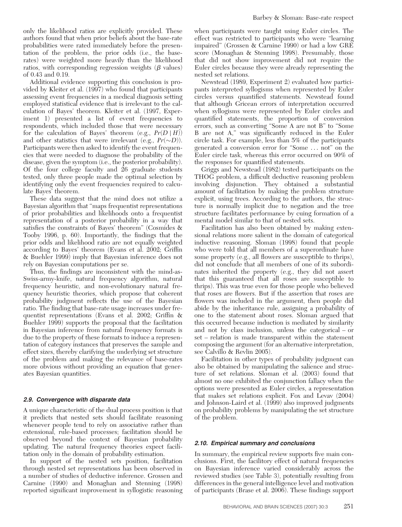only the likelihood ratios are explicitly provided. These authors found that when prior beliefs about the base-rate probabilities were rated immediately before the presentation of the problem, the prior odds (i.e., the baserates) were weighted more heavily than the likelihood ratios, with corresponding regression weights  $(\beta \text{ values})$ of 0.43 and 0.19.

Additional evidence supporting this conclusion is provided by Kleiter et al. (1997) who found that participants assessing event frequencies in a medical diagnosis setting employed statistical evidence that is irrelevant to the calculation of Bayes' theorem. Kleiter et al. (1997, Experiment 1) presented a list of event frequencies to respondents, which included those that were necessary for the calculation of Bayes' theorem  $(e.g., Pr(D | H))$ and other statistics that were irrelevant (e.g.,  $Pr(\sim D)$ ). Participants were then asked to identify the event frequencies that were needed to diagnose the probability of the disease, given the symptom (i.e., the posterior probability). Of the four college faculty and 26 graduate students tested, only three people made the optimal selection by identifying only the event frequencies required to calculate Bayes' theorem.

These data suggest that the mind does not utilize a Bayesian algorithm that "maps frequentist representations of prior probabilities and likelihoods onto a frequentist representation of a posterior probability in a way that satisfies the constraints of Bayes' theorem" (Cosmides & Tooby 1996, p. 60). Importantly, the findings that the prior odds and likelihood ratio are not equally weighted according to Bayes' theorem (Evans et al. 2002; Griffin & Buehler 1999) imply that Bayesian inference does not rely on Bayesian computations per se.

Thus, the findings are inconsistent with the mind-as-Swiss-army-knife, natural frequency algorithm, natural frequency heuristic, and non-evolutionary natural frequency heuristic theories, which propose that coherent probability judgment reflects the use of the Bayesian ratio. The finding that base-rate usage increases under frequentist representations (Evans et al. 2002; Griffin & Buehler 1999) supports the proposal that the facilitation in Bayesian inference from natural frequency formats is due to the property of these formats to induce a representation of category instances that preserves the sample and effect sizes, thereby clarifying the underlying set structure of the problem and making the relevance of base-rates more obvious without providing an equation that generates Bayesian quantities.

#### 2.9. Convergence with disparate data

A unique characteristic of the dual process position is that it predicts that nested sets should facilitate reasoning whenever people tend to rely on associative rather than extensional, rule-based processes; facilitation should be observed beyond the context of Bayesian probability updating. The natural frequency theories expect facilitation only in the domain of probability estimation.

In support of the nested sets position, facilitation through nested set representations has been observed in a number of studies of deductive inference. Grossen and Carnine (1990) and Monaghan and Stenning (1998) reported significant improvement in syllogistic reasoning

when participants were taught using Euler circles. The effect was restricted to participants who were "learning impaired" (Grossen & Carnine 1990) or had a low GRE score (Monaghan & Stenning 1998). Presumably, those that did not show improvement did not require the Euler circles because they were already representing the nested set relations.

Newstead (1989, Experiment 2) evaluated how participants interpreted syllogisms when represented by Euler circles versus quantified statements. Newstead found that although Gricean errors of interpretation occurred when syllogisms were represented by Euler circles and quantified statements, the proportion of conversion errors, such as converting "Some A are not B" to "Some B are not A," was significantly reduced in the Euler circle task. For example, less than 5% of the participants generated a conversion error for "Some ... not" on the Euler circle task, whereas this error occurred on 90% of the responses for quantified statements.

Griggs and Newstead (1982) tested participants on the THOG problem, a difficult deductive reasoning problem involving disjunction. They obtained a substantial amount of facilitation by making the problem structure explicit, using trees. According to the authors, the structure is normally implicit due to negation and the tree structure facilitates performance by cuing formation of a mental model similar to that of nested sets.

Facilitation has also been obtained by making extensional relations more salient in the domain of categorical inductive reasoning. Sloman (1998) found that people who were told that all members of a superordinate have some property (e.g., all flowers are susceptible to thrips), did not conclude that all members of one of its subordinates inherited the property (e.g., they did not assert that this guaranteed that all roses are susceptible to thrips). This was true even for those people who believed that roses are flowers. But if the assertion that roses are flowers was included in the argument, then people did abide by the inheritance rule, assigning a probability of one to the statement about roses. Sloman argued that this occurred because induction is mediated by similarity and not by class inclusion, unless the categorical – or set – relation is made transparent within the statement composing the argument (for an alternative interpretation, see Calvillo & Revlin 2005).

Facilitation in other types of probability judgment can also be obtained by manipulating the salience and structure of set relations. Sloman et al. (2003) found that almost no one exhibited the conjunction fallacy when the options were presented as Euler circles, a representation that makes set relations explicit. Fox and Levav (2004) and Johnson-Laird et al. (1999) also improved judgments on probability problems by manipulating the set structure of the problem.

### 2.10. Empirical summary and conclusions

In summary, the empirical review supports five main conclusions. First, the facilitory effect of natural frequencies on Bayesian inference varied considerably across the reviewed studies (see Table 3), potentially resulting from differences in the general intelligence level and motivation of participants (Brase et al. 2006). These findings support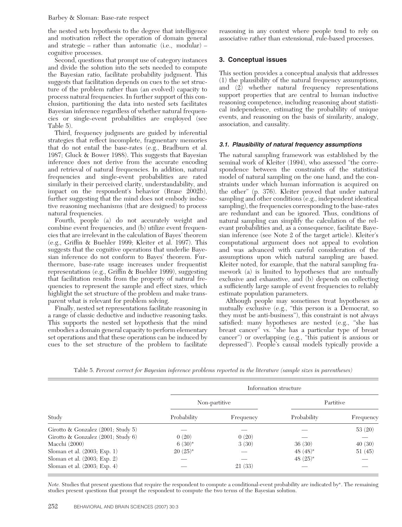the nested sets hypothesis to the degree that intelligence and motivation reflect the operation of domain general and strategic – rather than automatic (i.e., modular) – cognitive processes.

Second, questions that prompt use of category instances and divide the solution into the sets needed to compute the Bayesian ratio, facilitate probability judgment. This suggests that facilitation depends on cues to the set structure of the problem rather than (an evolved) capacity to process natural frequencies. In further support of this conclusion, partitioning the data into nested sets facilitates Bayesian inference regardless of whether natural frequencies or single-event probabilities are employed (see Table 5).

Third, frequency judgments are guided by inferential strategies that reflect incomplete, fragmentary memories that do not entail the base-rates (e.g., Bradburn et al. 1987; Gluck & Bower 1988). This suggests that Bayesian inference does not derive from the accurate encoding and retrieval of natural frequencies. In addition, natural frequencies and single-event probabilities are rated similarly in their perceived clarity, understandability, and impact on the respondent's behavior (Brase 2002b), further suggesting that the mind does not embody inductive reasoning mechanisms (that are designed) to process natural frequencies.

Fourth, people (a) do not accurately weight and combine event frequencies, and (b) utilize event frequencies that are irrelevant in the calculation of Bayes' theorem (e.g., Griffin & Buehler 1999; Kleiter et al. 1997). This suggests that the cognitive operations that underlie Bayesian inference do not conform to Bayes' theorem. Furthermore, base-rate usage increases under frequentist representations (e.g., Griffin & Buehler 1999), suggesting that facilitation results from the property of natural frequencies to represent the sample and effect sizes, which highlight the set structure of the problem and make transparent what is relevant for problem solving.

Finally, nested set representations facilitate reasoning in a range of classic deductive and inductive reasoning tasks. This supports the nested set hypothesis that the mind embodies a domain general capacity to perform elementary set operations and that these operations can be induced by cues to the set structure of the problem to facilitate reasoning in any context where people tend to rely on associative rather than extensional, rule-based processes.

### 3. Conceptual issues

This section provides a conceptual analysis that addresses (1) the plausibility of the natural frequency assumptions, and (2) whether natural frequency representations support properties that are central to human inductive reasoning competence, including reasoning about statistical independence, estimating the probability of unique events, and reasoning on the basis of similarity, analogy, association, and causality.

### 3.1. Plausibility of natural frequency assumptions

The natural sampling framework was established by the seminal work of Kleiter (1994), who assessed "the correspondence between the constraints of the statistical model of natural sampling on the one hand, and the constraints under which human information is acquired on the other" (p. 376). Kleiter proved that under natural sampling and other conditions (e.g., independent identical sampling), the frequencies corresponding to the base-rates are redundant and can be ignored. Thus, conditions of natural sampling can simplify the calculation of the relevant probabilities and, as a consequence, facilitate Bayesian inference (see Note 2 of the target article). Kleiter's computational argument does not appeal to evolution and was advanced with careful consideration of the assumptions upon which natural sampling are based. Kleiter noted, for example, that the natural sampling framework (a) is limited to hypotheses that are mutually exclusive and exhaustive, and (b) depends on collecting a sufficiently large sample of event frequencies to reliably estimate population parameters.

Although people may sometimes treat hypotheses as mutually exclusive (e.g., "this person is a Democrat, so they must be anti-business"), this constraint is not always satisfied: many hypotheses are nested (e.g., "she has breast cancer" vs. "she has a particular type of breast cancer") or overlapping (e.g., "this patient is anxious or depressed"). People's causal models typically provide a

| Table 5. Percent correct for Bayesian inference problems reported in the literature (sample sizes in parentheses) |  |  |  |
|-------------------------------------------------------------------------------------------------------------------|--|--|--|
|                                                                                                                   |  |  |  |

|                                      |             |               | Information structure |           |
|--------------------------------------|-------------|---------------|-----------------------|-----------|
|                                      |             | Non-partitive |                       | Partitive |
| Study                                | Probability | Frequency     | Probability           | Frequency |
| Girotto & Gonzalez $(2001;$ Study 5) |             |               |                       | 53(20)    |
| Girotto & Gonzalez (2001; Study 6)   | 0(20)       | 0(20)         |                       |           |
| Macchi (2000)                        | $6(30)*$    | 3(30)         | 36(30)                | 40(30)    |
| Sloman et al. $(2003; Exp. 1)$       | $20(25)^*$  |               | $48(48)^*$            | 51(45)    |
| Sloman et al. (2003; Exp. 2)         |             |               | $48(25)^*$            |           |
| Sloman et al. $(2003; Exp. 4)$       |             | 21(33)        |                       |           |

Note. Studies that present questions that require the respondent to compute a conditional-event probability are indicated by\*. The remaining studies present questions that prompt the respondent to compute the two terms of the Bayesian solution.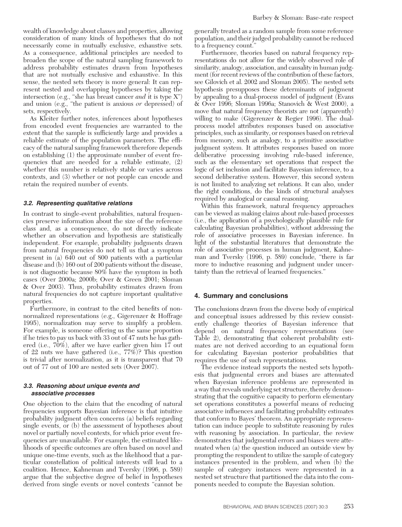wealth of knowledge about classes and properties, allowing consideration of many kinds of hypotheses that do not necessarily come in mutually exclusive, exhaustive sets. As a consequence, additional principles are needed to broaden the scope of the natural sampling framework to address probability estimates drawn from hypotheses that are not mutually exclusive and exhaustive. In this sense, the nested sets theory is more general: It can represent nested and overlapping hypotheses by taking the intersection (e.g., "she has breast cancer and it is type X") and union (e.g., "the patient is anxious or depressed) of sets, respectively.

As Kleiter further notes, inferences about hypotheses from encoded event frequencies are warranted to the extent that the sample is sufficiently large and provides a reliable estimate of the population parameters. The efficacy of the natural sampling framework therefore depends on establishing (1) the approximate number of event frequencies that are needed for a reliable estimate, (2) whether this number is relatively stable or varies across contexts, and (3) whether or not people can encode and retain the required number of events.

#### 3.2. Representing qualitative relations

In contrast to single-event probabilities, natural frequencies preserve information about the size of the reference class and, as a consequence, do not directly indicate whether an observation and hypothesis are statistically independent. For example, probability judgments drawn from natural frequencies do not tell us that a symptom present in (a) 640 out of 800 patients with a particular disease and (b) 160 out of 200 patients without the disease, is not diagnostic because 80% have the symptom in both cases (Over 2000a; 2000b; Over & Green 2001; Sloman & Over 2003). Thus, probability estimates drawn from natural frequencies do not capture important qualitative properties.

Furthermore, in contrast to the cited benefits of nonnormalized representations (e.g., Gigerenzer & Hoffrage 1995), normalization may serve to simplify a problem. For example, is someone offering us the same proportion if he tries to pay us back with 33 out of 47 nuts he has gathered (i.e., 70%), after we have earlier given him 17 out of 22 nuts we have gathered (i.e., 77%)? This question is trivial after normalization, as it is transparent that 70 out of 77 out of 100 are nested sets (Over 2007).

#### 3.3. Reasoning about unique events and associative processes

One objection to the claim that the encoding of natural frequencies supports Bayesian inference is that intuitive probability judgment often concerns (a) beliefs regarding single events, or (b) the assessment of hypotheses about novel or partially novel contexts, for which prior event frequencies are unavailable. For example, the estimated likelihoods of specific outcomes are often based on novel and unique one-time events, such as the likelihood that a particular constellation of political interests will lead to a coalition. Hence, Kahneman and Tversky (1996, p. 589) argue that the subjective degree of belief in hypotheses derived from single events or novel contexts "cannot be

generally treated as a random sample from some reference population, and their judged probability cannot be reduced to a frequency count."

Furthermore, theories based on natural frequency representations do not allow for the widely observed role of similarity, analogy, association, and causality in human judgment (for recent reviews of the contribution of these factors, see Gilovich et al. 2002 and Sloman 2005). The nested sets hypothesis presupposes these determinants of judgment by appealing to a dual-process model of judgment (Evans & Over 1996; Sloman 1996a; Stanovich & West 2000), a move that natural frequency theorists are not (apparently) willing to make (Gigerenzer & Regier 1996). The dualprocess model attributes responses based on associative principles, such as similarity, or responses based on retrieval from memory, such as analogy, to a primitive associative judgment system. It attributes responses based on more deliberative processing involving rule-based inference, such as the elementary set operations that respect the logic of set inclusion and facilitate Bayesian inference, to a second deliberative system. However, this second system is not limited to analyzing set relations. It can also, under the right conditions, do the kinds of structural analyses required by analogical or causal reasoning.

Within this framework, natural frequency approaches can be viewed as making claims about rule-based processes (i.e., the application of a psychologically plausible rule for calculating Bayesian probabilities), without addressing the role of associative processes in Bayesian inference. In light of the substantial literatures that demonstrate the role of associative processes in human judgment, Kahneman and Tversky (1996, p. 589) conclude, "there is far more to inductive reasoning and judgment under uncertainty than the retrieval of learned frequencies."

### 4. Summary and conclusions

The conclusions drawn from the diverse body of empirical and conceptual issues addressed by this review consistently challenge theories of Bayesian inference that depend on natural frequency representations (see Table 2), demonstrating that coherent probability estimates are not derived according to an equational form for calculating Bayesian posterior probabilities that requires the use of such representations.

The evidence instead supports the nested sets hypothesis that judgmental errors and biases are attenuated when Bayesian inference problems are represented in a way that reveals underlying set structure, thereby demonstrating that the cognitive capacity to perform elementary set operations constitutes a powerful means of reducing associative influences and facilitating probability estimates that conform to Bayes' theorem. An appropriate representation can induce people to substitute reasoning by rules with reasoning by association. In particular, the review demonstrates that judgmental errors and biases were attenuated when (a) the question induced an outside view by prompting the respondent to utilize the sample of category instances presented in the problem, and when (b) the sample of category instances were represented in a nested set structure that partitioned the data into the components needed to compute the Bayesian solution.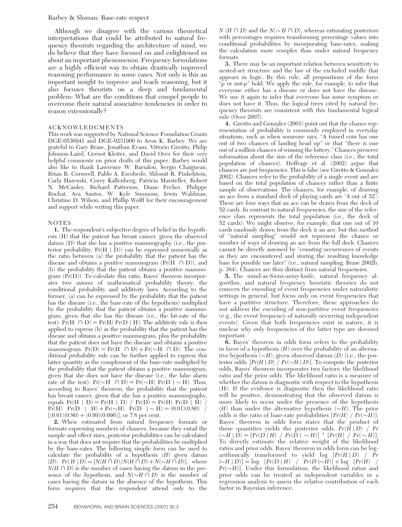Although we disagree with the various theoretical interpretations that could be attributed to natural frequency theorists regarding the architecture of mind, we do believe that they have focused on and enlightened us about an important phenomenon. Frequency formulations are a highly efficient way to obtain drastically improved reasoning performance in some cases. Not only is this an important insight to improve and teach reasoning, but it also focuses theorists on a deep and fundamental problem: What are the conditions that compel people to overcome their natural associative tendencies in order to reason extensionally?

#### ACKNOWLEDGMENTS

This work was supported by National Science Foundation Grants DGE-0536941 and DGE-0231900 to Aron K. Barbey. We are grateful to Gary Brase, Jonathan Evans, Vittorio Girotto, Philip Johnson-Laird, Gernot Kleiter, and David Over for their very helpful comments on prior drafts of this paper. Barbey would also like to thank Lawrence W. Barsalou, Sergio Chaigneau, Brian R. Cornwell, Pablo A. Escobedo, Shlomit R. Finkelstein, Carla Harenski, Corey Kallenberg, Patricia Marsteller, Robert N. McCauley, Richard Patterson, Diane Pecher, Philippe Rochat, Ava Santos, W. Kyle Simmons, Irwin Waldman, Christine D. Wilson, and Phillip Wolff for their encouragement and support while writing this paper.

#### NOTES

1. The respondent's subjective degree of belief in the hypothesis (H) that the patient has breast cancer, given the observed datum (D) that she has a positive mammography (i.e., the posterior probability,  $Pr(H | D)$  can be expressed numerically as the ratio between (a) the probability that the patient has the disease and obtains a positive mammogram  $(Pr(H \cap D))$ , and (b) the probability that the patient obtains a positive mammogram (Pr(D)). To calculate this ratio, Bayes' theorem incorporates two axioms of mathematical probability theory: the conditional probability and additivity laws. According to the former, (a) can be expressed by the probability that the patient has the disease (i.e., the base-rate of the hypothesis) multiplied by the probability that the patient obtains a positive mammogram, given that she has the disease (i.e., the hit-rate of the test):  $Pr(H \cap D) = Pr(H) Pr(D | H)$ . The additivity rule is then applied to express (b) as the probability that the patient has the disease and obtains a positive mammogram, plus the probability that the patient does not have the disease and obtains a positive mammogram:  $Pr(D) = Pr(H \cap D) + Pr(\sim H \cap D)$ . The conditional probability rule can be further applied to express this latter quantity as the complement of the base-rate multiplied by the probability that the patient obtains a positive mammogram, given that she does not have the disease (i.e., the false alarm rate of the test):  $Pr(\sim H \cap D) = Pr(\sim H) Pr(D \mid \sim H)$ . Thus, according to Bayes' theorem, the probability that the patient has breast cancer, given that she has a positive mammography, equals  $Pr(H | D) = Pr(H | D) / Pr(D) = Pr(H) Pr(D | \hat{H})$  $Pr(H) Pr(D | H) + Pr(\sim H) Pr(D | \sim H) = (0.01)(0.80)$  $[(0.01)(0.80) + (0.99)(0.096)]$ , or 7.8 per cent.

2. When estimated from natural frequency formats or formats expressing numbers of chances, because they entail the sample and effect sizes, posterior probabilities can be calculated in a way that does not require that the probabilities be multiplied by the base-rates. The following simple form can be used to calculate the probability of a hypothesis  $(H)$  given datum (D):  $Pr(H | D) = [N(H \cap D)/N(H \cap D) + N(\sim H \cap D)],$  where  $N(H \cap D)$  is the number of cases having the datum in the presence of the hypothesis, and  $N(\sim H \cap D)$  is the number of cases having the datum in the absence of the hypothesis. This form requires that the respondent attend only to the

254 BEHAVIORAL AND BRAIN SCIENCES (2007) 30:3

 $N(H \cap D)$  and the  $N(\sim H \cap D)$ , whereas estimating posteriors with percentages requires transforming percentage values into conditional probabilities by incorporating base-rates, making the calculation more complex than under natural frequency formats.

3. There may be an important relation between sensitivity to nested-set structure and the law of the excluded middle that appears in logic. By this rule, all propositions of the form " $p$  or not- $p$ " hold. We apply the rule, for example, to infer that everyone either has a disease or does not have the disease. We use it again to infer that everyone has some symptom or does not have it. Thus, the logical trees cited by natural frequency theorists are consistent with this fundamental logical rule (Over 2007).

4. Girotto and Gonzalez (2001) point out that the chance representation of probability is commonly employed in everyday situations, such as when someone says, "A tossed coin has one out of two chances of landing head up" or that "there is one out of a million chances of winning the lottery." Chances preserve information about the size of the reference class (i.e., the total population of chances). Hoffrage et al. (2002) argue that chances are just frequencies. This is false (see Girotto & Gonzalez 2002). Chances refer to the probability of a single event and are based on the total population of chances rather than a finite sample of observations. The chances, for example, of drawing an ace from a standard deck of playing cards are "4 out of 52": There are four ways that an ace can be drawn from the deck of 52 cards. In contrast to natural frequencies, the size of the reference class represents the total population (i.e., the deck of 52 cards). We might observe, for example, that one out of 10 cards randomly drawn from the deck is an ace, but this method of "natural sampling" would not represent the chance or number of ways of drawing an ace from the full deck. Chances cannot be directly assessed by "counting occurrences of events as they are encountered and storing the resulting knowledge base for possible use later" (i.e., natural sampling; Brase 2002b, p. 384). Chances are thus distinct from natural frequencies.

5. The mind-as-Swiss-army-knife, natural frequency algorithm, and natural frequency heuristic theories do not concern the encoding of event frequencies under naturalistic settings in general, but focus only on event frequencies that have a partitive structure. Therefore, these approaches do not address the encoding of non-partitive event frequencies (e.g., the event frequency of naturally occurring independent events). Given that both frequencies exist in nature, it is unclear why only frequencies of the latter type are deemed important.

6. Bayes' theorem in odds form refers to the probability in favor of a hypothesis  $(H)$  over the probability of an alternative hypothesis ( $\sim$ H), given observed datum (D) (i.e., the posterior odds:  $[Pr(H | D) / Pr(\sim H | D)]$ . To compute the posterior odds, Bayes' theorem incorporates two factors: the likelihood ratio and the prior odds. The likelihood ratio is a measure of whether the datum is diagnostic with respect to the hypothesis (H). If the evidence is diagnostic then the likelihood ratio will be positive, demonstrating that the observed datum is more likely to occur under the presence of the hypothesis  $(H)$  than under the alternative hypothesis  $(\sim H)$ . The prior odds is the ratio of base-rate probabilities  $[Pr(H) / Pr(\sim H)].$ Bayes' theorem in odds form states that the product of these quantities yields the posterior odds,  $Pr(H | D) / Pr$  $(\sim H | \vec{D}) = [Pr(\vec{D} | H) / Pr(\vec{D} | \sim H)]$  \*  $[Pr(H) / Pr(\sim H)].$ To directly estimate the relative weight of the likelihood ratios and prior odds, Bayes' theorem in odds form can be logarithmically transformed to yield  $log [Pr(H | D) / Pr$  $(\sim H \mid D)$ ] = log [Pr(D | H) / Pr(D  $|\sim H$ )] + log [Pr(H) /  $Pr(\sim H)$ ]. Under this formulation, the likelihood ratios and prior odds can be treated as independent variables in a regression analysis to assess the relative contribution of each factor in Bayesian inference.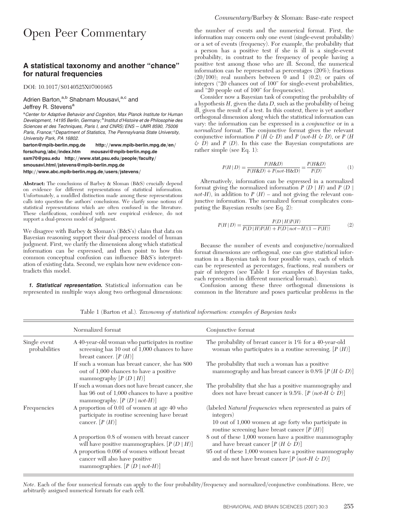# Open Peer Commentary

### A statistical taxonomy and another "chance" for natural frequencies

DOI: 10.1017/S0140525X07001665

### Adrien Barton,<sup>a,b</sup> Shabnam Mousavi,<sup>a,c</sup> and Jeffrey R. Stevens<sup>a</sup>

<sup>a</sup> Center for Adaptive Behavior and Cognition, Max Planck Institute for Human Development, 14195 Berlin, Germany; <sup>b</sup>Institut d'Histoire et de Philosophie des Sciences et des Techniques, Paris I, and CNRS/ENS – UMR 8590, 75006 Paris, France; <sup>c</sup>Department of Statistics, The Pennsylvania State University, University Park, PA 16802.

barton@mpib-berlin.mpg.de http://www.mpib-berlin.mpg.de/en/ forschung/abc/index.htm mousavi@mpib-berlin.mpg.de sxm70@psu.edu http://www.stat.psu.edu/people/faculty/ smousavi.html/jstevens@mpib-berlin.mpg.de http://www.abc.mpib-berlin.mpg.de/users/jstevens/

Abstract: The conclusions of Barbey & Sloman (B&S) crucially depend on evidence for different representations of statistical information. Unfortunately, a muddled distinction made among these representations calls into question the authors' conclusions. We clarify some notions of statistical representations which are often confused in the literature. These clarifications, combined with new empirical evidence, do not support a dual-process model of judgment.

We disagree with Barbey & Sloman's (B&S's) claim that data on Bayesian reasoning support their dual-process model of human judgment. First, we clarify the dimensions along which statistical information can be expressed, and then point to how this common conceptual confusion can influence B&S's interpretation of existing data. Second, we explain how new evidence contradicts this model.

1. Statistical representation. Statistical information can be represented in multiple ways along two orthogonal dimensions:

the number of events and the numerical format. First, the information may concern only one event (single-event probability) or a set of events (frequency). For example, the probability that a person has a positive test if she is ill is a single-event probability, in contrast to the frequency of people having a positive test among those who are ill. Second, the numerical information can be represented as percentages (20%); fractions  $(20/100)$ ; real numbers between 0 and 1  $(0.2)$ ; or pairs of integers ("20 chances out of 100" for single-event probabilities, and "20 people out of 100" for frequencies).

Consider now a Bayesian task of computing the probability of a hypothesis  $H$ , given the data  $D$ , such as the probability of being ill, given the result of a test. In this context, there is yet another orthogonal dimension along which the statistical information can vary: the information can be expressed in a *conjunctive* or in a normalized format. The conjunctive format gives the relevant conjunctive information P (H & D) and P (not-H & D), or P (H  $\phi$  D) and P (D). In this case the Bayesian computations are rather simple (see Eq. 1):

$$
P(H | D) = \frac{P(H \& D)}{P(H \& D) + P(not-H \& D)} = \frac{P(H \& D)}{P(D)} \tag{1}
$$

Alternatively, information can be expressed in a normalized format giving the normalized information  $P(D | H)$  and  $P(D |$ not-H), in addition to  $P(H)$  – and not giving the relevant conjunctive information. The normalized format complicates computing the Bayesian results (see Eq. 2):

$$
P(H | D) = \frac{P(D | H)P(H)}{P(D | H)P(H) + P(D | not - H)(1 - P(H))}
$$
(2)

Because the number of events and conjunctive/normalized format dimensions are orthogonal, one can give statistical information in a Bayesian task in four possible ways, each of which can be represented as percentages, fractions, real numbers or pair of integers (see Table 1 for examples of Bayesian tasks, each represented in different numerical formats).

Confusion among these three orthogonal dimensions is common in the literature and poses particular problems in the

|                               | Normalized format                                                                                                                   | Conjunctive format                                                                                                                                                               |
|-------------------------------|-------------------------------------------------------------------------------------------------------------------------------------|----------------------------------------------------------------------------------------------------------------------------------------------------------------------------------|
| Single event<br>probabilities | A 40-year-old woman who participates in routine<br>screening has 10 out of 1,000 chances to have<br>breast cancer. $[P(H)]$         | The probability of breast cancer is 1% for a 40-year-old<br>woman who participates in a routine screening. $[P(H)]$                                                              |
|                               | If such a woman has breast cancer, she has 800<br>out of 1,000 chances to have a positive<br>mammography $[P(D H)]$                 | The probability that such a woman has a positive<br>mammography and has breast cancer is 0.8% $[P(H \& D)]$                                                                      |
|                               | If such a woman does not have breast cancer, she<br>has 96 out of 1,000 chances to have a positive<br>mammography. $[P(D   not-H)]$ | The probability that she has a positive mammography and<br>does not have breast cancer is 9.5%. [P (not-H $\&$ D)]                                                               |
| Frequencies                   | A proportion of 0.01 of women at age 40 who<br>participate in routine screening have breast<br>cancer. $[P(H)]$                     | (labeled Natural frequencies when represented as pairs of<br>integers)<br>10 out of 1,000 women at age forty who participate in<br>routine screening have breast cancer $[P(H)]$ |
|                               | A proportion 0.8 of women with breast cancer<br>will have positive mammographies. $[P(D H)]$                                        | 8 out of these 1,000 women have a positive mammography<br>and have breast cancer $[P(H \& D)]$                                                                                   |
|                               | A proportion 0.096 of women without breast<br>cancer will also have positive<br>mammographies. $[P(D   not-H)]$                     | 95 out of these 1,000 women have a positive mammography<br>and do not have breast cancer $[P (not-H \& D)]$                                                                      |

Table 1 (Barton et al.). Taxonomy of statistical information: examples of Bayesian tasks

Note. Each of the four numerical formats can apply to the four probability/frequency and normalized/conjunctive combinations. Here, we arbitrarily assigned numerical formats for each cell.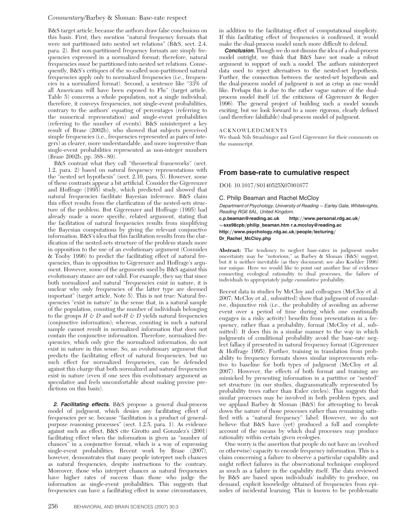B&S target article, because the authors draw false conclusions on this basis. First, they mention "natural frequency formats that were not partitioned into nested set relations" (B&S, sect. 2.4, para. 2). But non-partitioned frequency formats are simply frequencies expressed in a normalized format; therefore, natural frequencies must be partitioned into nested set relations. Consequently, B&S's critiques of the so-called non-partitioned natural frequencies apply only to normalized frequencies (i.e., frequencies in a normalized format). Second, a sentence like "33% of all Americans will have been exposed to Flu" (target article, Table 5) concerns a whole population, not a single individual; therefore, it conveys frequencies, not single-event probabilities, contrary to the authors' equating of percentages (referring to the numerical representation) and single-event probabilities (referring to the number of events). B&S misinterpret a key result of Brase (2002b), who showed that subjects perceived simple frequencies (i.e., frequencies represented as pairs of integers) as clearer, more understandable, and more impressive than single-event probabilities represented as non-integer numbers (Brase 2002b, pp. 388– 89).

B&S contrast what they call "theoretical frameworks" (sect. 1.2, para. 2) based on natural frequency representations with the "nested set hypothesis" (sect. 2.10, para. 5). However, some of these contrasts appear a bit artificial. Consider the Gigerenzer and Hoffrage (1995) study, which predicted and showed that natural frequencies facilitate Bayesian inference. B&S claim this effect results from the clarification of the nested-sets structure of the problem. But Gigerenzer and Hoffrage (1995) had already made a more specific, related argument, stating that the facilitation of natural frequencies results from simplifying the Bayesian computations by giving the relevant conjunctive information. B&S's idea that this facilitation results from the clarification of the nested-sets structure of the problem stands more in opposition to the use of an evolutionary argument (Cosmides & Tooby 1996) to predict the facilitating effect of natural frequencies, than in opposition to Gigerenzer and Hoffrage's argument. However, some of the arguments used by B&S against this evolutionary stance are not valid. For example, they say that since both normalized and natural "frequencies exist in nature, it is unclear why only frequencies of the latter type are deemed important" (target article, Note 5). This is not true: Natural frequencies "exist in nature" in the sense that, in a natural sample of the population, counting the number of individuals belonging to the groups  $H \leftrightarrow D$  and not-H  $\leftrightarrow D$  yields natural frequencies (conjunctive information); whereas, counting in such a natural sample cannot result in normalized information that does not contain the conjunctive information. Therefore, normalized frequencies, which only give the normalized information, do not exist in nature in this sense. So, an evolutionary argument that predicts the facilitating effect of natural frequencies, but no such effect for normalized frequencies, can be defended against this charge that both normalized and natural frequencies exist in nature (even if one sees this evolutionary argument as speculative and feels uncomfortable about making precise predictions on this basis).

2. Facilitating effects. B&S propose a general dual-process model of judgment, which denies any facilitating effect of frequencies per se, because "facilitation is a product of generalpurpose reasoning processes" (sect. 1.2.5, para. 1). As evidence against such an effect, B&S cite Girotto and Gonzalez's (2001) facilitating effect when the information is given as "number of chances" in a conjunctive format, which is a way of expressing single-event probabilities. Recent work by Brase (2007), however, demonstrates that many people interpret such chances as natural frequencies, despite instructions to the contrary. Moreover, those who interpret chances as natural frequencies have higher rates of success than those who judge the information as single-event probabilities. This suggests that frequencies can have a facilitating effect in some circumstances,

in addition to the facilitating effect of computational simplicity. If this facilitating effect of frequencies is confirmed, it would make the dual-process model much more difficult to defend.

**Conclusion.** Though we do not dismiss the idea of a dual-process model outright, we think that B&S have not made a robust argument in support of such a model. The authors misinterpret data used to reject alternatives to the nested-set hypothesis. Further, the connection between the nested-set hypothesis and the dual-process model of judgment is not as crisp as one would like. Perhaps this is due to the rather vague nature of the dualprocess model itself (cf. the criticisms of Gigerenzer & Regier 1996). The general project of building such a model sounds exciting, but we look forward to a more rigorous, clearly defined (and therefore falsifiable) dual-process model of judgment.

#### ACKNOWLEDGMENTS

We thank Nils Straubinger and Gerd Gigerenzer for their comments on the manuscript.

### From base-rate to cumulative respect

DOI: 10.1017/S0140525X07001677

C. Philip Beaman and Rachel McCloy

Department of Psychology, University of Reading – Earley Gate, Whiteknights, Reading RG6 6AL, United Kingdom.

c.p.beaman@reading.ac.uk http://www.personal.rdg.ac.uk/  $\sim$ sxs98cpb/philip\_beaman.htm r.a.mccloy@reading.ac http://www.psychology.rdg.ac.uk/people/lecturing/ Dr\_Rachel\_McCloy.php

Abstract: The tendency to neglect base-rates in judgment under uncertainty may be "notorious," as Barbey & Sloman (B&S) suggest, but it is neither inevitable (as they document; see also Koehler 1996) nor unique. Here we would like to point out another line of evidence connecting ecological rationality to dual processes, the failure of individuals to appropriately judge *cumulative* probability.

Recent data in studies by McCloy and colleagues (McCloy et al. 2007; McCloy et al., submitted) show that judgment of cumulative, disjunctive risk (i.e., the probability of avoiding an adverse event over a period of time during which one continually engages in a risky activity) benefits from presentation in a frequency, rather than a probability, format (McCloy et al., submitted). It does this in a similar manner to the way in which judgments of conditional probability avoid the base-rate neglect fallacy if presented in natural frequency format (Gigerenzer & Hoffrage 1995). Further, training in translation from probability to frequency formats shows similar improvements relative to baseline for both types of judgment (McCloy et al. 2007). However, the effects of both format and training are mimicked by presenting information in a partitive or "nested" set structure (in our studies, diagrammatically represented by probability trees rather than Euler circles). This suggests that similar processes may be involved in both problem types, and we applaud Barbey & Sloman (B&S) for attempting to break down the nature of those processes rather than remaining satisfied with a "natural frequency" label. However, we do not believe that B&S have (yet) produced a full and complete account of the means by which dual processes may produce rationality within certain given ecologies.

One worry is the assertion that people do not have an (evolved or otherwise) capacity to encode frequency information. This is a claim concerning a failure to observe a particular capability and might reflect failures in the observational technique employed as much as a failure in the capability itself. The data reviewed by B&S are based upon individuals' inability to produce, on demand, explicit knowledge obtained of frequencies from episodes of incidental learning. This is known to be problematic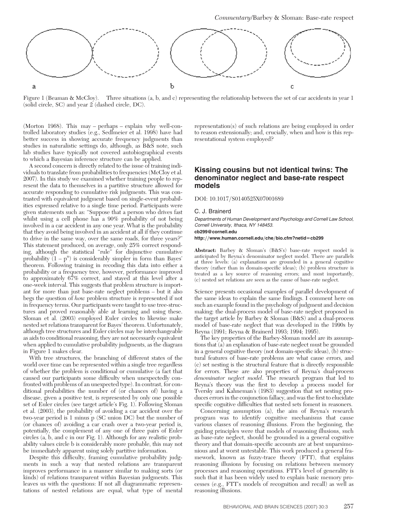

Figure 1 (Beaman & McCloy). Three situations (a, b, and c) representing the relationship between the set of car accidents in year 1 (solid circle, SC) and year 2 (dashed circle, DC).

(Morton 1968). This may – perhaps – explain why well-controlled laboratory studies (e.g., Sedlmeier et al. 1998) have had better success in showing accurate frequency judgments than studies in naturalistic settings do, although, as B&S note, such lab studies have typically not covered autobiographical events to which a Bayesian inference structure can be applied.

A second concern is directly related to the issue of training individuals to translate from probabilities to frequencies (McCloy et al. 2007). In this study we examined whether training people to represent the data to themselves in a partitive structure allowed for accurate responding to cumulative risk judgments. This was contrasted with equivalent judgment based on single-event probabilities expressed relative to a single time period. Participants were given statements such as: "Suppose that a person who drives fast whilst using a cell phone has a 90% probability of not being involved in a car accident in any one year. What is the probability that they avoid being involved in an accident at all if they continue to drive in the same way, over the same roads, for three years?" This statement produced, on average, only 25% correct responding, although the statistical "rule" for disjunctive cumulative probability  $(1 - p^n)$  is considerably simpler in form than Bayes' theorem. Following training in recoding this data into either a probability or a frequency tree, however, performance improved to approximately 67% correct, and stayed at this level after a one-week interval. This suggests that problem structure is important for more than just base-rate neglect problems – but it also begs the question of how problem structure is represented if not in frequency terms. Our participants were taught to use tree-structures and proved reasonably able at learning and using these. Sloman et al. (2003) employed Euler circles to likewise make nested set relations transparent for Bayes' theorem. Unfortunately, although tree structures and Euler circles may be interchangeable as aids to conditional reasoning, they are not necessarily equivalent when applied to cumulative probability judgments, as the diagram in Figure 1 makes clear.

With tree structures, the branching of different states of the world over time can be represented within a single tree regardless of whether the problem is conditional or cumulative (a fact that caused our participants some difficulty when unexpectedly confronted with problems of an unexpected type). In contrast, for conditional probabilities the number of (or chances of) having a disease, given a positive test, is represented by only one possible set of Euler circles (see target article's Fig. 1). Following Sloman et al. (2003), the probability of avoiding a car accident over the two-year period is 1 minus p (SC union DC) but the number of (or chances of) avoiding a car crash over a two-year period is, potentially, the complement of any one of three pairs of Euler circles (a, b, and c in our Fig. 1). Although for any realistic probability values circle b is considerably more probable, this may not be immediately apparent using solely partitive information.

Despite this difficulty, framing cumulative probability judgments in such a way that nested relations are transparent improves performance in a manner similar to making sorts (or kinds) of relations transparent within Bayesian judgments. This leaves us with the questions: If not all diagrammatic representations of nested relations are equal, what type of mental representation(s) of such relations are being employed in order to reason extensionally; and, crucially, when and how is this representational system employed?

### Kissing cousins but not identical twins: The denominator neglect and base-rate respect models

#### DOI: 10.1017/S0140525X07001689

#### C. J. Brainerd

Departments of Human Development and Psychology and Cornell Law School, Cornell University, Ithaca, NY 148453.

cb299@cornell.edu

http://www.human.cornell.edu/che/bio.cfm?netid=cb299

Abstract: Barbey & Sloman's (B&S's) base-rate respect model is anticipated by Reyna's denominator neglect model. There are parallels at three levels: (a) explanations are grounded in a general cognitive theory (rather than in domain-specific ideas); (b) problem structure is treated as a key source of reasoning errors; and most importantly, (c) nested set relations are seen as the cause of base-rate neglect.

Science presents occasional examples of parallel development of the same ideas to explain the same findings. I comment here on such an example found in the psychology of judgment and decision making: the dual-process model of base-rate neglect proposed in the target article by Barbey & Sloman (B&S) and a dual-process model of base-rate neglect that was developed in the 1990s by Reyna (1991; Reyna & Brainerd 1993; 1994; 1995).

The key properties of the Barbey-Sloman model are its assumptions that (a) an explanation of base-rate neglect must be grounded in a general cognitive theory (not domain-specific ideas), (b) structural features of base-rate problems are what cause errors, and (c) set nesting is the structural feature that is directly responsible for errors. These are also properties of Reyna's dual-process denominator neglect model. The research program that led to Reyna's theory was the first to develop a process model for Tversky and Kahneman's (1983) suggestion that set nesting produces errors in the conjunction fallacy, and was the first to elucidate specific cognitive difficulties that nested sets foment in reasoners.

Concerning assumption (a), the aim of Reyna's research program was to identify cognitive mechanisms that cause various classes of reasoning illusions. From the beginning, the guiding principles were that models of reasoning illusions, such as base-rate neglect, should be grounded in a general cognitive theory and that domain-specific accounts are at best unparsimonious and at worst untestable. This work produced a general framework, known as fuzzy-trace theory (FTT), that explains reasoning illusions by focusing on relations between memory processes and reasoning operations. FTT's level of generality is such that it has been widely used to explain basic memory processes (e.g., FTT's models of recognition and recall) as well as reasoning illusions.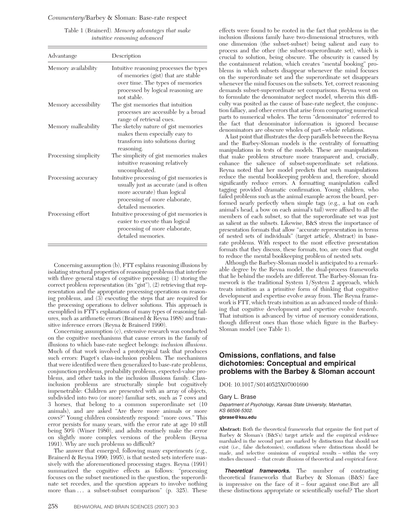|  | Table 1 (Brainerd). Memory advantages that make |  |
|--|-------------------------------------------------|--|
|  | <i>intuitive reasoning advanced</i>             |  |

| Advantange            | Description                                                                                                                                                              |
|-----------------------|--------------------------------------------------------------------------------------------------------------------------------------------------------------------------|
| Memory availability   | Intuitive reasoning processes the types<br>of memories (gist) that are stable<br>over time. The types of memories<br>processed by logical reasoning are<br>not stable.   |
| Memory accessibility  | The gist memories that intuition<br>processes are accessible by a broad<br>range of retrieval cues.                                                                      |
| Memory malleability   | The sketchy nature of gist memories<br>makes them especially easy to<br>transform into solutions during<br>reasoning.                                                    |
| Processing simplicity | The simplicity of gist memories makes<br>intuitive reasoning relatively<br>uncomplicated.                                                                                |
| Processing accuracy   | Intuitive processing of gist memories is<br>usually just as accurate (and is often<br>more accurate) than logical<br>processing of more elaborate,<br>detailed memories. |
| Processing effort     | Intuitive processing of gist memories is<br>easier to execute than logical<br>processing of more elaborate,<br>detailed memories.                                        |

Concerning assumption (b), FTT explains reasoning illusions by isolating structural properties of reasoning problems that interfere with three general stages of cognitive processing: (1) storing the correct problem representation (its "gist"), (2) retrieving that representation and the appropriate processing operations on reasoning problems, and (3) executing the steps that are required for the processing operations to deliver solutions. This approach is exemplified in FTT's explanations of many types of reasoning failures, such as arithmetic errors (Brainerd & Reyna 1988) and transitive inference errors (Reyna & Brainerd 1990).

Concerning assumption (c), extensive research was conducted on the cognitive mechanisms that cause errors in the family of illusions to which base-rate neglect belongs: inclusion illusions. Much of that work involved a prototypical task that produces such errors: Piaget's class-inclusion problem. The mechanisms that were identified were then generalized to base-rate problems, conjunction problems, probability problems, expected-value problems, and other tasks in the inclusion illusions family. Classinclusion problems are structurally simple but cognitively impenetrable: Children are presented with an array of objects, subdivided into two (or more) familiar sets, such as 7 cows and 3 horses, that belong to a common superordinate set (10 animals), and are asked "Are there more animals or more cows?" Young children consistently respond: "more cows." This error persists for many years, with the error rate at age 10 still being 50% (Winer 1980), and adults routinely make the error on slightly more complex versions of the problem (Reyna 1991). Why are such problems so difficult?

The answer that emerged, following many experiments (e.g., Brainerd & Reyna 1990; 1995), is that nested sets interfere massively with the aforementioned processing stages. Reyna (1991) summarized the cognitive effects as follows: "processing focuses on the subset mentioned in the question, the superordinate set recedes, and the question appears to involve nothing more than ... a subset-subset comparison" (p. 325). These

effects were found to be rooted in the fact that problems in the inclusion illusions family have two-dimensional structures, with one dimension (the subset-subset) being salient and easy to process and the other (the subset-superordinate set), which is crucial to solution, being obscure. The obscurity is caused by the containment relation, which creates "mental booking" problems in which subsets disappear whenever the mind focuses on the superordinate set and the superordinate set disappears whenever the mind focuses on the subsets. Yet, correct reasoning demands subset-superordinate set comparisons. Reyna went on to formulate the denominator neglect model, wherein this difficulty was posited as the cause of base-rate neglect, the conjunction fallacy, and other errors that arise from comparing numerical parts to numerical wholes. The term "denominator" referred to the fact that denominator information is ignored because denominators are obscure wholes of part –whole relations.

A last point that illustrates the deep parallels between the Reyna and the Barbey-Sloman models is the centrality of formatting manipulations in tests of the models. These are manipulations that make problem structure more transparent and, crucially, enhance the salience of subset-superordinate set relations. Reyna noted that her model predicts that such manipulations reduce the mental bookkeeping problem and, therefore, should significantly reduce errors. A formatting manipulation called tagging provided dramatic confirmation. Young children, who failed problems such as the animal example across the board, performed nearly perfectly when simple tags (e.g., a hat on each animal's head, a bow on each animal's tail) were affixed to all the members of each subset, so that the superordinate set was just as salient as the subsets. Likewise, B&S stress the importance of presentation formats that allow "accurate representation in terms of nested sets of individuals" (target article, Abstract) in baserate problems. With respect to the most effective presentation formats that they discuss, these formats, too, are ones that ought to reduce the mental bookkeeping problem of nested sets.

Although the Barbey-Sloman model is anticipated to a remarkable degree by the Reyna model, the dual-process frameworks that lie behind the models are different. The Barbey-Sloman framework is the traditional System 1/System 2 approach, which treats intuition as a primitive form of thinking that cognitive development and expertise evolve away from. The Reyna framework is FTT, which treats intuition as an advanced mode of thinking that cognitive development and expertise evolve towards. That intuition is advanced by virtue of memory considerations, though different ones than those which figure in the Barbey-Sloman model (see Table 1).

### Omissions, conflations, and false dichotomies: Conceptual and empirical problems with the Barbey & Sloman account

DOI: 10.1017/S0140525X07001690

#### Gary L. Brase

Department of Psychology, Kansas State University, Manhattan, KS 66506-5302.

#### gbrase@ksu.edu

Abstract: Both the theoretical frameworks that organize the first part of Barbey & Sloman's (B&S's) target article and the empirical evidence marshaled in the second part are marked by distinctions that should not exist (i.e., false dichotomies), conflations where distinctions should be made, and selective omissions of empirical results – within the very studies discussed – that create illusions of theoretical and empirical favor.

**Theoretical frameworks.** The number of contrasting theoretical frameworks that Barbey & Sloman (B&S) face is impressive on the face of it – four against one.But are all these distinctions appropriate or scientifically useful? The short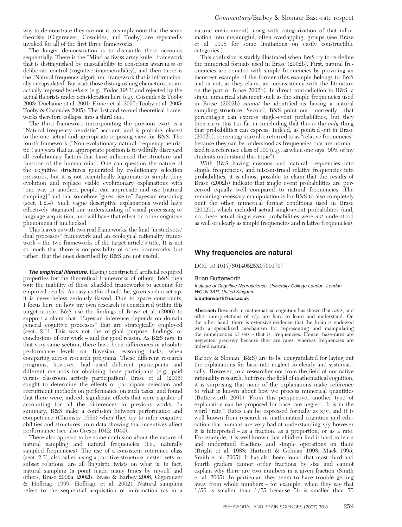way to demonstrate they are not is to simply note that the same theorists (Gigerenzer, Cosmides, and Tooby) are repeatedly invoked for all of the first three frameworks.

The longer demonstration is to dismantle these accounts sequentially. There is the "Mind as Swiss army knife" framework that is distinguished by unavailability to conscious awareness or deliberate control (cognitive impenetrability), and then there is the "Natural frequency algorithm" framework that is informationally encapsulated. But wait; those distinguishing characteristics are actually imposed by others (e.g., Fodor 1983) and rejected by the actual theorists under consideration here (e.g., Cosmides & Tooby 2003; Duchaine et al. 2001; Ermer et al. 2007; Tooby et al. 2005; Tooby & Cosmides 2005). The first and second theoretical frameworks therefore collapse into a third one.

The third framework (incorporating the previous two), is a "Natural frequency heuristic" account, and is probably closest to the one actual and appropriate opposing view for B&S. The fourth framework ("Non-evolutionary natural frequency heuristic") suggests that an appropriate position is to willfully disregard all evolutionary factors that have influenced the structure and function of the human mind. One can question the nature of the cognitive structures generated by evolutionary selection pressures, but it is not scientifically legitimate to simply deny evolution and replace viable evolutionary explanations with "one way or another, people can appreciate and use [natural sampling]" and that somehow "gives rise to" Bayesian reasoning (sect. 1.2.4). Such vague descriptive explanations would have effectively stagnated our understanding of visual processing or language acquisition, and will have that effect on other cognitive phenomena if unchecked.

This leaves us with two real frameworks, the final "nested sets/ dual processes" framework and an ecological rationality framework – the two frameworks of the target article's title. It is not so much that there is no possibility of other frameworks, but rather, that the ones described by B&S are not useful.

The empirical literature. Having constructed artificial required properties for the theoretical frameworks of others, B&S then tout the inability of those shackled frameworks to account for empirical results. As easy as this should be, given such a set up, it is nevertheless seriously flawed. Due to space constraints, I focus here on how my own research is considered within this target article. B&S use the findings of Brase et al. (2006) to support a claim that "Bayesian inference depends on domain general cognitive processes" that are strategically employed (sect. 2.1). This was not the original purpose, findings, or conclusions of our work – and for good reason. As B&S note in that very same section, there have been differences in absolute performance levels on Bayesian reasoning tasks, when comparing across research programs. These different research programs, however, had used different participants and different methods for obtaining those participants (e.g., paid versus classroom activity participation). Brase et al. (2006) sought to determine the effects of participant selection and recruitment methods on performance on such tasks, and found that there were, indeed, significant effects that were capable of accounting for all the differences in previous works. In summary, B&S make a confusion between performance and competence (Chomsky 1965) when they try to infer cognitive abilities and structures from data showing that incentives affect performance (see also Crespi 1942; 1944).

There also appears to be some confusion about the nature of natural sampling and natural frequencies (i.e., naturally sampled frequencies). The use of a consistent reference class (sect. 2.3), also called using a partitive structure, nested sets, or subset relations, are all linguistic twists on what is, in fact, natural sampling (a point made many times by myself and others; Brase 2002a; 2002b; Brase & Barbey 2006; Gigerenzer & Hoffrage 1999; Hoffrage et al. 2002). Natural sampling refers to the sequential acquisition of information (as in a

natural environment) along with categorization of that information into meaningful, often overlapping, groups (see Brase et al. 1998 for some limitations on easily constructible categories.).

This confusion is starkly illustrated when B&S try to re-define the numerical formats used in Brase (2002b). First, natural frequencies are equated with simple frequencies by providing an incorrect example of the former (this example belongs to B&S and is not, as they claim, an inconsistency with the literature on the part of Brase 2002b). In direct contradiction to B&S, a single numerical statement such as the simple frequencies used in Brase (2002b) cannot be identified as having a natural sampling structure. Second, B&S point out – correctly – that percentages can express single-event probabilities, but they then carry this too far in concluding that this is the only thing that probabilities can express. Indeed, as pointed out in Brase (2002b), percentages are also referred to as "relative frequencies" because they can be understood as frequencies that are normalized to a reference class of 100 (e.g., as when one says "90% of my students understand this topic").

With B&S having misconstrued natural frequencies into simple frequencies, and misconstrued relative frequencies into probabilities, it is almost possible to claim that the results of Brase (2002b) indicate that single event probabilities are perceived equally well compared to natural frequencies. The remaining necessary manipulation is for B&S to also completely omit the other numerical format conditions used in Brase (2002b), which included actual single-event probabilities (and, no, these actual single-event probabilities were not understood as well or clearly as simple frequencies and relative frequencies).

### Why frequencies are natural

DOI: 10.1017/S0140525X07001707

#### Brian Butterworth

Institute of Cognitive Neuroscience, University College London, London WC1N 3AR, United Kingdom. b.butterworth@ucl.ac.uk

Abstract: Research in mathematical cognition has shown that rates, and other interpretations of x/y, are hard to learn and understand. On the other hand, there is extensive evidence that the brain is endowed with a specialized mechanism for representing and manipulating the numerosities of sets – that is, frequencies. Hence, base-rates are neglected precisely because they are rates, whereas frequencies are indeed natural.

Barbey & Sloman (B&S) are to be congratulated for laying out the explanations for base-rate neglect so clearly and systematically. However, to a researcher not from the field of normative rationality research, but from the field of mathematical cognition, it is surprising that none of the explanations make reference to what is known about how we process numerical quantities (Butterworth 2001). From this perspective, another type of explanation can be proposed for base-rate neglect. It is in the word "rate." Rates can be expressed formally as  $x/y$ , and it is well known from research in mathematical cognition and education that humans are very bad at understanding x/y however it is interpreted – as a fraction, as a proportion, or as a rate. For example, it is well known that children find it hard to learn and understand fractions and simple operations on them (Bright et al. 1988; Hartnett & Gelman 1998; Mack 1995; Smith et al. 2005). It has also been found that most third and fourth graders cannot order fractions by size and cannot explain why there are two numbers in a given fraction (Smith et al. 2005). In particular, they seem to have trouble getting away from whole numbers – for example, when they say that  $1/56$  is smaller than  $1/75$  because  $56$  is smaller than  $75$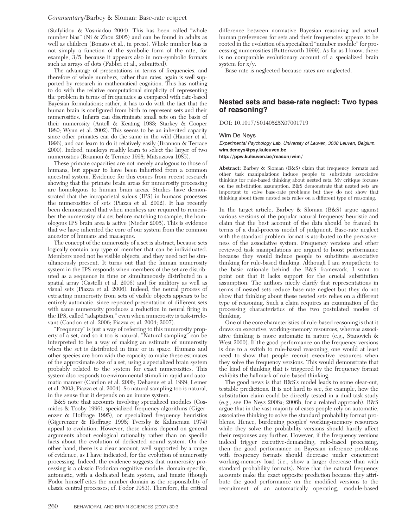(Stafylidou & Vosniadou 2004). This has been called "whole number bias" (Ni & Zhou 2005) and can be found in adults as well as children (Bonato et al., in press). Whole number bias is not simply a function of the symbolic form of the rate, for example, 3/5, because it appears also in non-symbolic formats such as arrays of dots (Fabbri et al., submitted).

The advantage of presentations in terms of frequencies, and therefore of whole numbers, rather than rates, again is well supported by research in mathematical cognition. This has nothing to do with the relative computational simplicity of representing the problem in terms of frequencies as compared with rate-based Bayesian formulations; rather, it has to do with the fact that the human brain is configured from birth to represent sets and their numerosities. Infants can discriminate small sets on the basis of their numerosity (Antell & Keating 1983; Starkey & Cooper 1980; Wynn et al. 2002). This seems to be an inherited capacity since other primates can do the same in the wild (Hauser et al. 1996), and can learn to do it relatively easily (Brannon & Terrace 2000). Indeed, monkeys readily learn to select the larger of two numerosities (Brannon & Terrace 1998; Matsuzawa 1985).

These primate capacities are not merely analogous to those of humans, but appear to have been inherited from a common ancestral system. Evidence for this comes from recent research showing that the primate brain areas for numerosity processing are homologous to human brain areas. Studies have demonstrated that the intraparietal sulcus (IPS) in humans processes the numerosities of sets (Piazza et al. 2002). It has recently been demonstrated that when monkeys are required to remember the numerosity of a set before matching to sample, the homologous IPS brain area is active (Nieder 2005). This is evidence that we have inherited the core of our system from the common ancestor of humans and macaques.

The concept of the numerosity of a set is abstract, because sets logically contain any type of member that can be individuated. Members need not be visible objects, and they need not be simultaneously present. It turns out that the human numerosity system in the IPS responds when members of the set are distributed as a sequence in time or simultaneously distributed in a spatial array (Castelli et al. 2006) and for auditory as well as visual sets (Piazza et al. 2006). Indeed, the neural process of extracting numerosity from sets of visible objects appears to be entirely automatic, since repeated presentation of different sets with same numerosity produces a reduction in neural firing in the IPS, called "adaptation," even when numerosity is task-irrelevant (Cantlon et al. 2006; Piazza et al. 2004; 2007).

"Frequency" is just a way of referring to this numerosity property of a set, and so it too is natural. "Natural sampling" can be interpreted to be a way of making an estimate of numerosity when the set is distributed in time or in space. Humans and other species are born with the capacity to make these estimates of the approximate size of a set, using a specialized brain system probably related to the system for exact numerosities. This system also responds to environmental stimuli in rapid and automatic manner (Cantlon et al. 2006; Dehaene et al. 1999; Lemer et al. 2003; Piazza et al. 2004). So natural sampling too is natural, in the sense that it depends on an innate system.

B&S note that accounts involving specialized modules (Cosmides & Tooby 1996), specialized frequency algorithms (Gigerenzer & Hoffrage 1995), or specialized frequency heuristics (Gigerenzer & Hoffrage 1995; Tversky & Kahneman 1974) appeal to evolution. However, these claims depend on general arguments about ecological rationality rather than on specific facts about the evolution of dedicated neural system. On the other hand, there is a clear account, well supported by a range of evidence, as I have indicated, for the evolution of numerosity processing. Indeed, the evidence suggests that numerosity processing is a classic Fodorian cognitive module: domain-specific, automatic, with a dedicated brain system, and innate (though Fodor himself cites the number domain as the responsibility of classic central processes; cf. Fodor 1983). Therefore, the critical

difference between normative Bayesian reasoning and actual human preferences for sets and their frequencies appears to be rooted in the evolution of a specialized "number module" for processing numerosities (Butterworth 1999). As far as I know, there is no comparable evolutionary account of a specialized brain system for x/y.

Base-rate is neglected because rates are neglected.

### Nested sets and base-rate neglect: Two types of reasoning?

DOI: 10.1017/S0140525X07001719

#### Wim De Neys

Experimental Psychology Lab, University of Leuven, 3000 Leuven, Belgium. wim.deneys@psy.kuleuven.be

http://ppw.kuleuven.be/reason/wim/

Abstract: Barbey & Sloman (B&S) claim that frequency formats and other task manipulations induce people to substitute associative thinking for rule-based thinking about nested sets. My critique focuses on the substitution assumption. B&S demonstrate that nested sets are important to solve base-rate problems but they do not show that thinking about these nested sets relies on a different type of reasoning.

In the target article, Barbey & Sloman (B&S) argue against various versions of the popular natural frequency heuristic and claim that the best account of the data should be framed in terms of a dual-process model of judgment. Base-rate neglect with the standard problem format is attributed to the pervasiveness of the associative system. Frequency versions and other reviewed task manipulations are argued to boost performance because they would induce people to substitute associative thinking for rule-based thinking. Although I am sympathetic to the basic rationale behind the B&S framework, I want to point out that it lacks support for the crucial substitution assumption. The authors nicely clarify that representations in terms of nested sets reduce base-rate neglect but they do not show that thinking about these nested sets relies on a different type of reasoning. Such a claim requires an examination of the processing characteristics of the two postulated modes of thinking.

One of the core characteristics of rule-based reasoning is that it draws on executive, working-memory resources, whereas associative thinking is more automatic in nature (e.g., Stanovich & West 2000). If the good performance on the frequency versions is due to a switch to rule-based reasoning, one would at least need to show that people recruit executive resources when they solve the frequency versions. This would demonstrate that the kind of thinking that is triggered by the frequency format exhibits the hallmark of rule-based thinking.

The good news is that B&S's model leads to some clear-cut, testable predictions. It is not hard to see, for example, how the substitution claim could be directly tested in a dual-task study (e.g., see De Neys 2006a; 2006b, for a related approach). B&S argue that in the vast majority of cases people rely on automatic, associative thinking to solve the standard probability format problems. Hence, burdening peoples' working-memory resources while they solve the probability versions should hardly affect their responses any further. However, if the frequency versions indeed trigger executive-demanding, rule-based processing, then the good performance on Bayesian inference problems with frequency formats should decrease under concurrent working-memory load (i.e., show a larger decrease than with standard probability formats). Note that the natural frequency accounts make the exact opposite prediction because they attribute the good performance on the modified versions to the recruitment of an automatically operating, module-based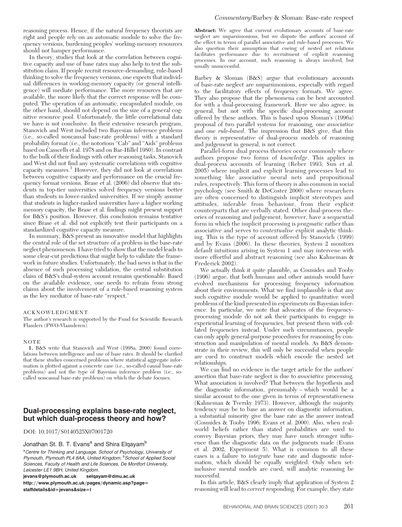reasoning process. Hence, if the natural frequency theorists are right and people rely on an automatic module to solve the frequency versions, burdening peoples' working-memory resources should not hamper performance.

In theory, studies that look at the correlation between cognitive capacity and use of base rates may also help to test the substitution claim. If people recruit resource-demanding, rule-based thinking to solve the frequency versions, one expects that individual differences in working-memory capacity (or general intelligence) will mediate performance. The more resources that are available, the more likely that the correct response will be computed. The operation of an automatic, encapsulated module, on the other hand, should not depend on the size of a general cognitive resource pool. Unfortunately, the little correlational data we have is not conclusive. In their extensive research program, Stanovich and West included two Bayesian inference problems (i.e., so-called noncausal base-rate problems) with a standard probability format (i.e., the notorious "Cab" and "Aids" problems based on Casscells et al. 1978 and on Bar-Hillel 1980). In contrast to the bulk of their findings with other reasoning tasks, Stanovich and West did not find any systematic correlations with cognitive capacity measures.<sup>1</sup> However, they did not look at correlations between cognitive capacity and performance on the crucial frequency format versions. Brase et al. (2006) did observe that students in top-tier universities solved frequency versions better than students in lower-ranked universities. If we simply assume that students in higher-ranked universities have a higher working memory capacity, the Brase et al. findings might present support for B&S's position. However, this conclusion remains tentative since Brase et al. did not explicitly test their participants on a standardized cognitive capacity measure.

In summary, B&S present an innovative model that highlights the central role of the set structure of a problem in the base-rate neglect phenomenon. I have tried to show that the model leads to some clear-cut predictions that might help to validate the framework in future studies. Unfortunately, the bad news is that in the absence of such processing validation, the central substitution claim of B&S's dual-system account remains questionable. Based on the available evidence, one needs to refrain from strong claims about the involvement of a rule-based reasoning system as the key mediator of base-rate "respect."

#### ACKNOWLEDGMENT

The author's research is supported by the Fund for Scientific Research Flanders (FWO-Vlaanderen).

#### NOTE

1. B&S write that Stanovich and West (1998a; 2000) found correlations between intelligence and use of base rates. It should be clarified that these studies concerned problems where statistical aggregate information is plotted against a concrete case (i.e., so-called causal base-rate problems) and not the type of Bayesian inference problem (i.e., socalled noncausal base-rate problems) on which the debate focuses.

### Dual-processing explains base-rate neglect, but which dual-process theory and how?

DOI: 10.1017/S0140525X07001720

Jonathan St. B. T. Evans<sup>a</sup> and Shira Elgayam<sup>b</sup>

<sup>a</sup> Centre for Thinking and Language, School of Psychology, University of Plymouth, Plymouth PL4 8AA, United Kingdom; <sup>b</sup> School of Applied Social Sciences, Faculty of Health and Life Sciences, De Montfort University, Leicester LE1 9BH, United Kingdom.

jevans@plymouth.ac.uk selqayam@dmu.ac.uk http://www.plymouth.ac.uk/pages/dynamic.asp?page= staffdetails&id=jevans&size=l

Abstract: We agree that current evolutionary accounts of base-rate neglect are unparsimonious, but we dispute the authors' account of the effect in terms of parallel associative and rule-based processes. We also question their assumption that cueing of nested set relations facilitates performance due to recruitment of explicit reasoning processes. In our account, such reasoning is always involved, but usually unsuccessful.

Barbey & Sloman (B&S) argue that evolutionary accounts of base-rate neglect are unparsimonious, especially with regard to the facilitatory effects of frequency formats. We agree. They also propose that the phenomena can be best accounted for with a dual-processing framework. Here we also agree, in general, but not with the specific dual-processing account offered by these authors. This is based upon Sloman's (1996a) proposal of two parallel systems for reasoning, one associative and one rule-based. The impression that B&S give, that this theory is representative of dual-process models of reasoning and judgement in general, is not correct.

Parallel-form dual process theories occur commonly where authors propose two forms of knowledge. This applies in dual-process accounts of learning (Reber 1993; Sun et al. 2005) where implicit and explicit learning processes lead to something like associative neural nets and propositional rules, respectively. This form of theory is also common in social psychology (see Smith & DeCoster 2000) where researchers are often concerned to distinguish implicit stereotypes and attitudes, inferable from behaviour, from their explicit counterparts that are verbally stated. Other dual-process theories of reasoning and judgement, however, have a sequential form in which the implicit processing is pragmatic rather than associative and serves to contextualise explicit analytic thinking. This is the type of account offered by Stanovich (1999) and by Evans (2006). In these theories, System 2 monitors default intuitions arising in System 1 and may intervene with more effortful and abstract reasoning (see also Kahneman & Frederick 2002).

We actually think it quite plausible, as Cosmides and Tooby (1996) argue, that both humans and other animals would have evolved mechanisms for processing frequency information about their environments. What we find implausible is that any such cognitive module would be applied to quantitative word problems of the kind presented in experiments on Bayesian inference. In particular, we note that advocates of the frequencyprocessing module do not ask their participants to engage in experiential learning of frequencies, but present them with collated frequencies instead. Under such circumstances, people can only apply general-purpose procedures for reasoning by construction and manipulation of mental models. As B&S demonstrate in their review, this will only be successful when people are cued to construct models which encode the nested set relationships.

We can find no evidence in the target article for the authors' assertion that base-rate neglect is due to associative processing. What association is involved? That between the hypothesis and the diagnostic information, presumably – which would be a similar account to the one given in terms of representativeness (Kahneman & Tversky 1973). However, although the majority tendency may be to base an answer on diagnostic information, a substantial minority give the base rate as the answer instead (Cosmides & Tooby 1996; Evans et al. 2000). Also, when realworld beliefs rather than stated probabilities are used to convey Bayesian priors, they may have much stronger influence than the diagnostic data on the judgments made (Evans et al. 2002, Experiment 5). What is common to all these cases is a failure to integrate base rate and diagnostic information, which should be equally weighted. Only when setinclusive mental models are cued, will analytic reasoning be successful.

In this article, B&S clearly imply that application of System 2 reasoning will lead to correct responding. For example, they state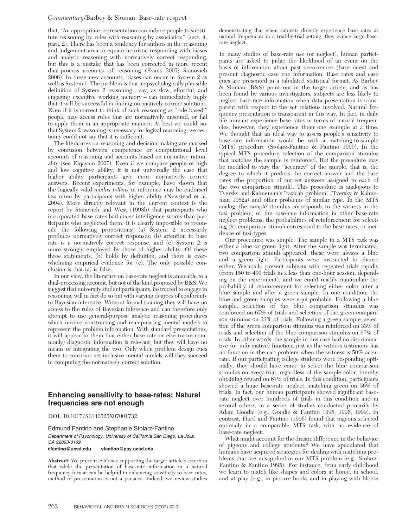that, "An appropriate representation can induce people to substitute reasoning by rules with reasoning by association" (sect. 4, para. 2). There has been a tendency for authors in the reasoning and judgement area to equate heuristic responding with biases and analytic reasoning with normatively correct responding, but this is a mistake that has been corrected in more recent dual-process accounts of reasoning (Evans 2007; Stanovich 2006). In these new accounts, biases can occur in System 2 as well as System 1. The problem is that no psychologically plausible definition of System 2 reasoning – say, as slow, effortful, and engaging executive working memory – can immediately imply that it will be successful in finding normatively correct solutions. Even if it is correct to think of such reasoning as "rule based," people may access rules that are normatively unsound, or fail to apply them in an appropriate manner. At best we could say that System 2 reasoning is necessary for logical reasoning; we certainly could not say that it is sufficient.

The literatures on reasoning and decision making are marked by confusion between competence or computational level accounts of reasoning and accounts based on normative rationality (see Elqayam 2007). Even if we compare people of high and low cognitive ability, it is not universally the case that higher ability participants give more normatively correct answers. Recent experiments, for example, have shown that the logically valid modus tollens in inference may be endorsed less often by participants with higher ability (Newstead et al. 2004). More directly relevant in the current context is the report by Stanovich and West (1998b) that participants who incorporated base rates had lower intelligence scores than participants who neglected them. It is clearly impossible to reconcile the following propositions: (a) System 2 necessarily produces normatively correct responses; (b) attention to base rate is a normatively correct response, and (c) System 2 is more strongly employed by those of higher ability. Of these three statements, (b) holds by definition, and there is overwhelming empirical evidence for (c). The only possible conclusion is that (a) is false.

In our view, the literature on base-rate neglect is amenable to a dual-processing account, but not of the kind proposed by B&S. We suggest that university student participants, instructed to engage in reasoning, will in fact do so but with varying degrees of conformity to Bayesian inference. Without formal training they will have no access to the rules of Bayesian inference and can therefore only attempt to use general-purpose analytic reasoning procedures which involve constructing and manipulating mental models to represent the problem information. With standard presentations, it will appear to them that either base rate or else (more commonly) diagnostic information is relevant, but they will have no means of integrating the two. Only when problem design cues them to construct set-inclusive mental models will they succeed in computing the normatively correct solution.

### Enhancing sensitivity to base-rates: Natural frequencies are not enough

DOI: 10.1017/S0140525X07001732

#### Edmund Fantino and Stephanie Stolarz-Fantino

Department of Psychology, University of California San Diego, La Jolla, CA 92093-0109.

#### efantino@ucsd.edu sfantino@psy.ucsd.edu

Abstract: We present evidence supporting the target article's assertion that while the presentation of base-rate information in a natural frequency format can be helpful in enhancing sensitivity to base rates, method of presentation is not a panacea. Indeed, we review studies demonstrating that when subjects directly experience base rates as natural frequencies in a trial-by-trial setting, they evince large baserate neglect.

In many studies of base-rate use (or neglect), human participants are asked to judge the likelihood of an event on the basis of information about past occurrences (base rates) and present diagnostic case cue information. Base rates and case cues are presented in a tabulated statistical format. As Barbey & Sloman (B&S) point out in the target article, and as has been found by various investigators, subjects are less likely to neglect base-rate information when data presentation is transparent with respect to the set relations involved. Natural frequency presentation is transparent in this way. In fact, in daily life humans experience base rates in terms of natural frequencies; however, they experience them one example at a time. We thought that an ideal way to assess people's sensitivity to base-rate information would be with a matching-to-sample (MTS) procedure (Stolarz-Fantino & Fantino 1990). In the typical MTS procedure selection of the comparison stimulus that matches the sample is reinforced. But the procedure may be modified to vary the "accuracy" of the sample, that is, the degree to which it predicts the correct answer and the base rates (the proportion of correct answers assigned to each of the two comparison stimuli). This procedure is analogous to Tversky and Kahneman's "taxicab problem" (Tversky & Kahneman 1982a) and other problems of similar type. In the MTS analog, the sample stimulus corresponds to the witness in the taxi problem, or the case-cue information in other base-rate neglect problems; the probabilities of reinforcement for selecting the comparison stimuli correspond to the base rates, or incidence of taxi types.

Our procedure was simple. The sample in a MTS task was either a blue or green light. After the sample was terminated, two comparison stimuli appeared: these were always a blue and a green light. Participants were instructed to choose either. We could present subjects with repeated trials rapidly (from 150 to 400 trials in a less than one-hour session, depending on the experiment), and we could readily manipulate the probability of reinforcement for selecting either color after a blue sample and after a green sample. In one condition, the blue and green samples were equi-probable. Following a blue sample, selection of the blue comparison stimulus was reinforced on 67% of trials and selection of the green comparison stimulus on 33% of trials. Following a green sample, selection of the green comparison stimulus was reinforced on 33% of trials and selection of the blue comparison stimulus on 67% of trials. In other words, the sample in this case had no discriminative (or informative) function, just as the witness testimony has no function in the cab problem when the witness is 50% accurate. If our participating college students were responding optimally, they should have come to select the blue comparison stimulus on every trial, regardless of the sample color, thereby obtaining reward on 67% of trials. In this condition, participants showed a huge base-rate neglect, matching green on 56% of trials. In fact, our human participants showed significant baserate neglect over hundreds of trials in this condition and in several others, in a series of studies conducted primarily by Adam Goodie (e.g., Goodie & Fantino 1995; 1996; 1999). In contrast, Hartl and Fantino (1996) found that pigeons selected optimally in a comparable MTS task, with no evidence of base-rate neglect.

What might account for the drastic difference in the behavior of pigeons and college students? We have speculated that humans have acquired strategies for dealing with matching problems that are misapplied in our MTS problem (e.g., Stolarz-Fantino & Fantino 1995). For instance, from early childhood we learn to match like shapes and colors at home, in school, and at play (e.g., in picture books and in playing with blocks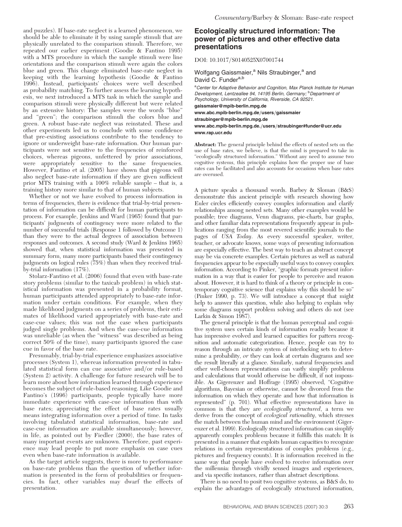and puzzles). If base-rate neglect is a learned phenomenon, we should be able to eliminate it by using sample stimuli that are physically unrelated to the comparison stimuli. Therefore, we repeated our earlier experiment (Goodie & Fantino 1995) with a MTS procedure in which the sample stimuli were line orientations and the comparison stimuli were again the colors blue and green. This change eliminated base-rate neglect in keeping with the learning hypothesis (Goodie & Fantino 1996). Instead, participants' choices were well described as probability matching. To further assess the learning hypothesis, we next introduced a MTS task in which the sample and comparison stimuli were physically different but were related by an extensive history: The samples were the words "blue" and "green"; the comparison stimuli the colors blue and green. A robust base-rate neglect was reinstated. These and other experiments led us to conclude with some confidence that pre-existing associations contribute to the tendency to ignore or underweight base-rate information. Our human participants were not sensitive to the frequencies of reinforced choices, whereas pigeons, unfettered by prior associations, were appropriately sensitive to the same frequencies. However, Fantino et al. (2005) have shown that pigeons will also neglect base-rate information if they are given sufficient prior MTS training with a 100% reliable sample – that is, a training history more similar to that of human subjects.

Whether or not we have evolved to process information in terms of frequencies, there is evidence that trial-by-trial presentation of information can be difficult for human participants to process. For example, Jenkins and Ward (1965) found that participants' judgments of contingency were more related to the number of successful trials (Response 1 followed by Outcome 1) than they were to the actual degrees of association between responses and outcomes. A second study (Ward & Jenkins 1965) showed that, when statistical information was presented in summary form, many more participants based their contingency judgments on logical rules (75%) than when they received trialby-trial information (17%).

Stolarz-Fantino et al. (2006) found that even with base-rate story problems (similar to the taxicab problem) in which statistical information was presented in a probability format, human participants attended appropriately to base-rate information under certain conditions. For example, when they made likelihood judgments on a series of problems, their estimates of likelihood varied appropriately with base-rate and case-cue values; this was not the case when participants judged single problems. And when the case-cue information was unreliable (as when the "witness" was described as being correct 50% of the time), many participants ignored the case cue in favor of the base rate.

Presumably, trial-by-trial experience emphasizes associative processes (System 1), whereas information presented in tabulated statistical form can cue associative and/or rule-based (System 2) activity. A challenge for future research will be to learn more about how information learned through experience becomes the subject of rule-based reasoning. Like Goodie and Fantino's (1996) participants, people typically have more immediate experience with case-cue information than with base rates; appreciating the effect of base rates usually means integrating information over a period of time. In tasks involving tabulated statistical information, base-rate and case-cue information are available simultaneously; however, in life, as pointed out by Fiedler (2000), the base rates of many important events are unknown. Therefore, past experience may lead people to put more emphasis on case cues even when base-rate information is available.

As the target article suggests, there is more to performance on base-rate problems than the question of whether information is presented in the form of probabilities or frequencies. In fact, other variables may dwarf the effects of presentation.

### Ecologically structured information: The power of pictures and other effective data presentations

DOI: 10.1017/S0140525X07001744

Wolfgang Gaissmaier,<sup>a</sup> Nils Straubinger,<sup>a</sup> and David C. Funder<sup>a,b</sup>

<sup>a</sup> Center for Adaptive Behavior and Cognition, Max Planck Institute for Human Development, Lentzeallee 94, 14195 Berlin, Germany; <sup>b</sup>Department of Psychology, University of California, Riverside, CA 92521. gaissmaier@mpib-berlin.mpg.de www.abc.mpib-berlin.mpg.de/users/gaissmaier straubinger@mpib-berlin.mpg.de www.abc.mpib-berlin.mpg.de./users/straubinger#funder@ucr.edu

www.rap.ucr.edu

Abstract: The general principle behind the effects of nested sets on the use of base rates, we believe, is that the mind is prepared to take in "ecologically structured information." Without any need to assume two cognitive systems, this principle explains how the proper use of base rates can be facilitated and also accounts for occasions when base rates are overused.

A picture speaks a thousand words. Barbey & Sloman (B&S) demonstrate this ancient principle with research showing how Euler circles efficiently convey complex information and clarify relationships among nested sets. Many other examples would be possible; tree diagrams, Venn diagrams, pie-charts, bar graphs, and other familiar data representations frequently appear in publications ranging from the most revered scientific journals to the pages of USA Today. As every successful speaker, writer, teacher, or advocate knows, some ways of presenting information are especially effective. The best way to teach an abstract concept may be via concrete examples. Certain pictures as well as natural frequencies appear to be especially useful ways to convey complex information. According to Pinker, "graphic formats present information in a way that is easier for people to perceive and reason about. However, it is hard to think of a theory or principle in contemporary cognitive science that explains why this should be so" (Pinker 1990, p. 73). We will introduce a concept that might help to answer this question, while also helping to explain why some diagrams support problem solving and others do not (see Larkin & Simon 1987).

The general principle is that the human perceptual and cognitive system uses certain kinds of information readily because it has impressive evolved and learned capacities for pattern recognition and automatic categorization. Hence, people can try to reason through an intricate system of interlocking sets to determine a probability, or they can look at certain diagrams and see the result literally at a glance. Similarly, natural frequencies and other well-chosen representations can vastly simplify problems and calculations that would otherwise be difficult, if not impossible. As Gigerenzer and Hoffrage (1995) observed, "Cognitive algorithms, Bayesian or otherwise, cannot be divorced from the information on which they operate and how that information is represented" (p. 701). What effective representations have in common is that they are ecologically structured, a term we derive from the concept of ecological rationality, which stresses the match between the human mind and the environment (Gigerenzer et al. 1999). Ecologically structured information can simplify apparently complex problems because it fulfills this match: It is presented in a manner that exploits human capacities to recognize relations in certain representations of complex problems (e.g., pictures and frequency counts). It is information received in the same way that people have evolved to receive information over the millennia: through vividly sensed images and experiences, and via specific instances, rather than abstract descriptions.

There is no need to posit two cognitive systems, as B&S do, to explain the advantages of ecologically structured information,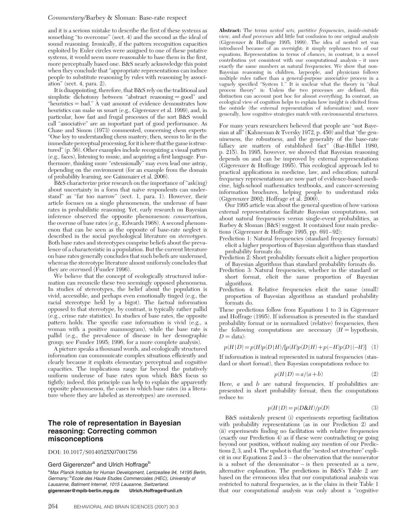and it is a serious mistake to describe the first of these systems as something "to overcome" (sect. 4) and the second as the ideal of sound reasoning. Ironically, if the pattern recognition capacities exploited by Euler circles were assigned to one of these putative systems, it would seem more reasonable to base them in the first, more perceptually based one. B&S nearly acknowledge this point when they conclude that "appropriate representations can induce people to substitute reasoning by rules with reasoning by association" (sect. 4, para. 2).

It is disappointing, therefore, that B&S rely on the traditional and simplistic dichotomy between "abstract reasoning  $=$  good" and "heuristics  $=$  bad." A vast amount of evidence demonstrates how heuristics can make us smart (e.g., Gigerenzer et al. 1999), and, in particular, how fast and frugal processes of the sort B&S would call "associative" are an important part of good performance. As Chase and Simon (1973) commented, concerning chess experts: "One key to understanding chess mastery, then, seems to lie in the immediate perceptual processing, for it is here that the game is structured" (p. 56). Other examples include recognizing a visual pattern (e.g., faces), listening to music, and acquiring a first language. Furthermore, thinking more "extensionally" may even lead one astray, depending on the environment (for an example from the domain of probability learning, see Gaissmaier et al. 2006).

B&S characterize prior research on the importance of "ask(ing) about uncertainty in a form that naïve respondents can understand" as "far too narrow" (sect. 1, para. 1). However, their article focuses on a single phenomenon, the underuse of base rates in probabilistic reasoning. Yet, early research on Bayesian inference observed the opposite phenomenon: conservatism, the overuse of base rates (e.g., Edwards 1968). A second phenomenon that can be seen as the opposite of base-rate neglect is described in the social psychological literature on stereotypes. Both base rates and stereotypes comprise beliefs about the prevalence of a characteristic in a population. But the current literature on base rates generally concludes that such beliefs are underused, whereas the stereotype literature almost uniformly concludes that they are overused (Funder 1996).

We believe that the concept of ecologically structured information can reconcile these two seemingly opposed phenomena. In studies of stereotypes, the belief about the population is vivid, accessible, and perhaps even emotionally tinged (e.g., the racial stereotype held by a bigot). The factual information opposed to that stereotype, by contrast, is typically rather pallid (e.g., crime rate statistics). In studies of base rates, the opposite pattern holds. The specific case information is vivid (e.g., a woman with a positive mammogram), while the base rate is pallid (e.g., the prevalence of disease in her demographic group; see Funder 1995; 1996, for a more complete analysis).

A picture speaks a thousand words, and ecologically structured information can communicate complex situations efficiently and clearly because it exploits elementary perceptual and cognitive capacities. The implications range far beyond the putatively uniform underuse of base rates upon which B&S focus so tightly; indeed, this principle can help to explain the apparently opposite phenomenon, the cases in which base rates (in a literature where they are labeled as stereotypes) are overused.

### The role of representation in Bayesian reasoning: Correcting common misconceptions

DOI: 10.1017/S0140525X07001756

Gerd Gigerenzer<sup>a</sup> and Ulrich Hoffrage<sup>b</sup>

<sup>a</sup>Max Planck Institute for Human Development, Lentzeallee 94, 14195 Berlin, Germany; <sup>b</sup> Ecole des Haute Etudes Commerciales (HEC), University of Lausanne, Batiment Internef, 1015 Lausanne, Switzerland. gigerenzer@mpib-berlin.mpg.de Ulrich.Hoffrage@unil.ch

Abstract: The terms nested sets, partitive frequencies, inside-outside view, and dual processes add little but confusion to our original analysis (Gigerenzer & Hoffrage 1995; 1999). The idea of nested set was introduced because of an oversight; it simply rephrases two of our equations. Representation in terms of *chances*, in contrast, is a novel contribution yet consistent with our computational analysis – it uses exactly the same numbers as natural frequencies. We show that non-Bayesian reasoning in children, laypeople, and physicians follows multiple rules rather than a general-purpose associative process in a vaguely specified "System 1." It is unclear what the theory in "dual process theory" is: Unless the two processes are defined, this distinction can account post hoc for almost everything. In contrast, an ecological view of cognition helps to explain how insight is elicited from the outside (the external representation of information) and, more generally, how cognitive strategies match with environmental structures.

For many years researchers believed that people are "not Bayesian at all" (Kahneman & Tversky 1972, p. 450) and that "the genuineness, the robustness, and the generality of the base-rate fallacy are matters of established fact" (Bar-Hillel 1980, p. 215). In 1995, however, we showed that Bayesian reasoning depends on and can be improved by external representations (Gigerenzer & Hoffrage 1995). This ecological approach led to practical applications in medicine, law, and education; natural frequency representations are now part of evidence-based medicine, high-school mathematics textbooks, and cancer-screening information brochures, helping people to understand risks (Gigerenzer 2002; Hoffrage et al. 2000).

Our 1995 article was about the general question of how various external representations facilitate Bayesian computations, not about natural frequencies versus single-event probabilities, as Barbey & Sloman (B&S) suggest. It contained four main predictions (Gigerenzer & Hoffrage 1995, pp. 691-92):

- Prediction 1: Natural frequencies (standard frequency formats) elicit a higher proportion of Bayesian algorithms than standard probability formats do.
- Prediction 2: Short probability formats elicit a higher proportion of Bayesian algorithms than standard probability formats do. Prediction 3: Natural frequencies, whether in the standard or
- short format, elicit the same proportion of Bayesian algorithms.
- Prediction 4: Relative frequencies elicit the same (small) proportion of Bayesian algorithms as standard probability formats do.

These predictions follow from Equations 1 to 3 in Gigerenzer and Hoffrage (1995). If information is presented in the standard probability format or in normalized (relative) frequencies, then the following computations are necessary  $(H = \text{hypothesis},$  $D = \text{data}:$ 

$$
p(H | D) = p(H)p(D | H) / [p(H)p(D | H) + p(-H)p(D | (-H)] \quad (1)
$$

If information is instead represented in natural frequencies (standard or short format), then Bayesian computations reduce to:

$$
p(H|D) = a/(a+b)
$$
 (2)

Here,  $a$  and  $b$  are natural frequencies. If probabilities are presented in short probability format, then the computations reduce to:

$$
p(H|D) = p(D\&H)/p(D)
$$
\n(3)

B&S mistakenly present (i) experiments reporting facilitation with probability representations (as in our Prediction 2) and (ii) experiments finding no facilitation with relative frequencies (exactly our Prediction 4) as if these were contradicting or going beyond our position, without making any mention of our Predictions 2, 3, and 4. The upshot is that the "nested set structure" explicit in our Equations 2 and 3 – the observation that the numerator is a subset of the denominator – is then presented as a new, alternative explanation. The predictions in B&S's Table 2 are based on the erroneous idea that our computational analysis was restricted to natural frequencies, as is the claim in their Table 1 that our computational analysis was only about a "cognitive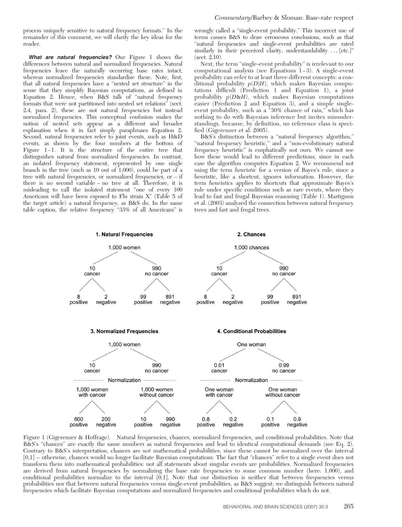process uniquely sensitive to natural frequency formats." In the remainder of this comment, we will clarify the key ideas for the reader.

What are natural frequencies? Our Figure 1 shows the differences between natural and normalized frequencies. Natural frequencies leave the naturally occurring base rates intact, whereas normalized frequencies standardize these. Note, first, that all natural frequencies have a "nested set structure" in the sense that they simplify Bayesian computations, as defined in Equation 2. Hence, when B&S talk of "natural frequency formats that were not partitioned into nested set relations" (sect. 2.4, para. 2), these are not natural frequencies but instead normalized frequencies. This conceptual confusion makes the notion of nested sets appear as a different and broader explanation when it in fact simply paraphrases Equation 2. Second, natural frequencies refer to joint events, such as H&D events, as shown by the four numbers at the bottom of Figure 1–1. It is the structure of the entire tree that distinguishes natural from normalized frequencies. In contrast, an isolated frequency statement, represented by one single branch in the tree (such as 10 out of 1,000), could be part of a tree with natural frequencies, or normalized frequencies, or – if there is no second variable – no tree at all. Therefore, it is misleading to call the isolated statement "one of every 100 Americans will have been exposed to Flu strain X" (Table 5 of the target article) a natural frequency, as B&S do. In the same table caption, the relative frequency "33% of all Americans" is wrongly called a "single-event probability." This incorrect use of terms causes B&S to draw erroneous conclusions, such as that "natural frequencies and single-event probabilities are rated similarly in their perceived clarity, understandability ... [etc.]" (sect. 2.10).

Next, the term "single-event probability" is irrelevant to our computational analysis (see Equations  $1-3$ ). A single-event probability can refer to at least three different concepts: a conditional probability  $p(D|H)$ , which makes Bayesian computations difficult (Prediction 1 and Equation 1), a joint probability  $p(D\&H)$ , which makes Bayesian computations easier (Prediction 2 and Equation 3), and a simple singleevent probability, such as a "30% chance of rain," which has nothing to do with Bayesian inference but invites misunderstandings, because, by definition, no reference class is specified (Gigerenzer et al. 2005).

B&S's distinction between a "natural frequency algorithm," "natural frequency heuristic," and a "non-evolutionary natural frequency heuristic" is emphatically not ours. We cannot see how these would lead to different predictions, since in each case the algorithm computes Equation 2. We recommend not using the term heuristic for a version of Bayes's rule, since a heuristic, like a shortcut, ignores information. However, the term heuristics applies to shortcuts that approximate Bayes's rule under specific conditions such as rare events, where they lead to fast and frugal Bayesian reasoning (Table 1). Martignon et al. (2003) analyzed the connection between natural frequency trees and fast and frugal trees.



Figure 1 (Gigerenzer & Hoffrage). Natural frequencies, chances, normalized frequencies, and conditional probabilities. Note that B&S's "chances" are exactly the same numbers as natural frequencies and lead to identical computational demands (see Eq. 2). Contrary to B&S's interpretation, chances are not mathematical probabilities, since these cannot be normalized over the interval [0,1] – otherwise, chances would no longer facilitate Bayesian computations. The fact that "chances" refer to a single event does not transform them into mathematical probabilities: not all statements about singular events are probabilities. Normalized frequencies are derived from natural frequencies by normalizing the base rate frequencies to some common number (here: 1,000), and conditional probabilities normalize to the interval [0,1]. Note that our distinction is neither that between frequencies versus probabilities nor that between natural frequencies versus single-event probabilities, as B&S suggest; we distinguish between natural frequencies which facilitate Bayesian computations and normalized frequencies and conditional probabilities which do not.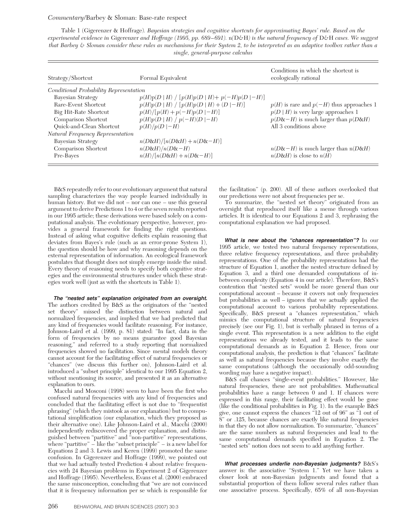Table 1 (Gigerenzer & Hoffrage). Bayesian strategies and cognitive shortcuts for approximating Bayes' rule. Based on the experimental evidence in Gigerenzer and Hoffrage (1995, pp. 689–691).  $n(D\&H)$  is the natural frequency of D $\&H$  cases. We suggest that Barbey  $\&$  Sloman consider these rules as mechanisms for their System 2, to be interpreted as an adaptive toolbox rather than a single, general-purpose calculus

| Strategy/Shortcut                      | Formal Equivalent                          | Conditions in which the shortcut is<br>ecologically rational |
|----------------------------------------|--------------------------------------------|--------------------------------------------------------------|
| Conditional Probability Representation |                                            |                                                              |
| Bayesian Strategy                      | $p(H)p(D H) / [p(H)p(D H) + p(-H)p(D -H)]$ |                                                              |
| Rare-Event Shortcut                    | $p(H)p(D H) / [p(H)p(D H) + (D -H)]$       | $p(H)$ is rare and $p(-H)$ thus approaches 1                 |
| Big Hit-Rate Shortcut                  | $p(H)/[p(H) + p(-H)p(D -H)]$               | $p(D   H)$ is very large approaches 1                        |
| Comparison Shortcut                    | $p(H)p(D H) / p(-H)(D -H)$                 | $p(D\&-H)$ is much larger than $p(D\&H)$                     |
| Quick-and-Clean Shortcut               | $p(H)/p(D -H)$                             | All 3 conditions above                                       |
| Natural Frequency Representation       |                                            |                                                              |
| <b>Bayesian Strategy</b>               | $n(D\&H)/[n(D\&H)+n(D\&-H)]$               |                                                              |
| Comparison Shortcut                    | $n(D\&H)/n(D\&-H)$                         | $n(D\&-H)$ is much larger than $n(D\&H)$                     |
| Pre-Bayes                              | $n(H)/[n(D\&H)+n(D\&-H)]$                  | $n(D\&H)$ is close to $n(H)$                                 |

B&S repeatedly refer to our evolutionary argument that natural sampling characterizes the way people learned individually in human history. But we did not – nor can one – use this general argument to derive Predictions 1 to 4 or the seven results reported in our 1995 article; these derivations were based solely on a computational analysis. The evolutionary perspective, however, provides a general framework for finding the right questions. Instead of asking what cognitive deficits explain reasoning that deviates from Bayes's rule (such as an error-prone System 1), the question should be how and why reasoning depends on the external representation of information. An ecological framework postulates that thought does not simply emerge inside the mind. Every theory of reasoning needs to specify both cognitive strategies and the environmental structures under which these strategies work well (just as with the shortcuts in Table 1).

The "nested sets" explanation originated from an oversight. The authors credited by B&S as the originators of the "nested set theory" missed the distinction between natural and normalized frequencies, and implied that we had predicted that any kind of frequencies would facilitate reasoning. For instance, Johnson-Laird et al. (1999, p. 81) stated: "In fact, data in the form of frequencies by no means guarantee good Bayesian reasoning," and referred to a study reporting that normalized frequencies showed no facilitation. Since mental models theory cannot account for the facilitating effect of natural frequencies or "chances" (we discuss this further on), Johnson-Laird et al. introduced a "subset principle" identical to our 1995 Equation 2, without mentioning its source, and presented it as an alternative explanation to ours.

Macchi and Mosconi (1998) seem to have been the first who confused natural frequencies with any kind of frequencies and concluded that the facilitating effect is not due to "frequentist phrasing" (which they mistook as our explanation) but to computational simplification (our explanation, which they proposed as their alternative one). Like Johnson-Laird et al., Macchi (2000) independently rediscovered the proper explanation, and distinguished between "partitive" and "non-partitive" representations, where "partitive" – like the "subset principle" – is a new label for Equations 2 and 3. Lewis and Keren (1999) promoted the same confusion. In Gigerenzer and Hoffrage (1999), we pointed out that we had actually tested Prediction 4 about relative frequencies with 24 Bayesian problems in Experiment 2 of Gigerenzer and Hoffrage (1995). Nevertheless, Evans et al. (2000) embraced the same misconception, concluding that "we are not convinced that it is frequency information per se which is responsible for

the facilitation" (p. 200). All of these authors overlooked that our predictions were not about frequencies per se.

To summarize, the "nested set theory" originated from an oversight that reproduced itself like a meme through various articles. It is identical to our Equations 2 and 3, rephrasing the computational explanation we had proposed.

What is new about the "chances representation"? In our 1995 article, we tested two natural frequency representations, three relative frequency representations, and three probability representations. One of the probability representations had the structure of Equation 1, another the nested structure defined by Equation 3, and a third one demanded computations of inbetween complexity (Equation 4 in our article). Therefore, B&S's contention that "nested sets" would be more general than our computational account – because it covers not only frequencies but probabilities as well – ignores that we actually applied the computational account to various probability representations. Specifically, B&S present a "chances representation," which mimics the computational structure of natural frequencies precisely (see our Fig. 1), but is verbally phrased in terms of a single event. This representation is a new addition to the eight representations we already tested, and it leads to the same computational demands as in Equation 2. Hence, from our computational analysis, the prediction is that "chances" facilitate as well as natural frequencies because they involve exactly the same computations (although the occasionally odd-sounding wording may have a negative impact).

B&S call chances "single-event probabilities." However, like natural frequencies, these are not probabilities. Mathematical probabilities have a range between 0 and 1. If chances were expressed in this range, their facilitating effect would be gone (like the conditional probabilities in Fig. 1). In the example B&S give, one cannot express the chances "12 out of 96" as "1 out of 8" or .125, because chances are exactly like natural frequencies in that they do not allow normalization. To summarize, "chances" are the same numbers as natural frequencies and lead to the same computational demands specified in Equation 2. The "nested sets" notion does not seem to add anything further.

What processes underlie non-Bayesian judgments? B&S's answer is: the associative "System 1." Yet we have taken a closer look at non-Bayesian judgments and found that a substantial proportion of them follow several rules rather than one associative process. Specifically, 65% of all non-Bayesian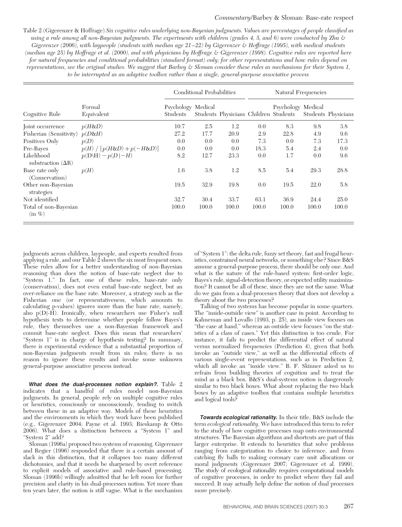Table 2 (Gigerenzer & Hoffrage).Six cognitive rules underlying non-Bayesian judgments. Values are percentages of people classified as using a rule among all non-Bayesian judgments. The experiments with children (grades 4, 5, and 6) were conducted by Zhu  $\Theta$ Gigerenzer (2006), with laypeople (students with median age  $21-22$ ) by Gigerenzer & Hoffrage (1995), with medical students (median age 25) by Hoffrage et al. (2000), and with physicians by Hoffrage  $\&$  Gigerenzer (1998). Cognitive rules are reported here for natural frequencies and conditional probabilities (standard format) only; for other representations and how rules depend on representations, see the original studies. We suggest that Barbey  $\psi$  Sloman consider these rules as mechanisms for their System 1, to be interrupted as an adaptive toolbox rather than a single, general-purpose associative process

|                                           |                               |                                | Conditional Probabilities |                                       |       | Natural Frequencies |       |                     |
|-------------------------------------------|-------------------------------|--------------------------------|---------------------------|---------------------------------------|-------|---------------------|-------|---------------------|
| Cognitive Rule                            | Formal<br>Equivalent          | Psychology Medical<br>Students |                           | Students Physicians Children Students |       | Psychology Medical  |       | Students Physicians |
| Joint occurrence                          | $p(H\&D)$                     | 10.7                           | 2.5                       | 1.2                                   | 0.0   | 8.3                 | 9.8   | 3.8                 |
| Fisherian (Sensitivity)                   | $p(D\&H)$                     | 27.2                           | 17.7                      | 20.9                                  | 2.9   | 22.8                | 4.9   | 9.6                 |
| Positives Only                            | p(D)                          | 0.0                            | 0.0                       | 0.0                                   | 7.3   | 0.0                 | 7.3   | 17.3                |
| Pre-Bayes                                 | $p(H) / [p(H&D) + p(-H&D)]$   | 0.0                            | 0.0                       | 0.0                                   | 18.3  | 5.4                 | 2.4   | 0.0                 |
| Likelihood<br>substraction $( \Delta R )$ | $p(D \backslash H) - p(D -H)$ | 8.2                            | 12.7                      | 23.3                                  | 0.0   | 1.7                 | 0.0   | 9.6                 |
| Base rate only<br>(Conservatism)          | p(H)                          | 1.6                            | 3.8                       | 1.2                                   | 8.5   | 5.4                 | 29.3  | 28.8                |
| Other non-Bayesian<br>strategies          |                               | 19.5                           | 32.9                      | 19.8                                  | 0.0   | 19.5                | 22.0  | 5.8                 |
| Not identified                            |                               | 32.7                           | 30.4                      | 33.7                                  | 63.1  | 36.9                | 24.4  | 25.0                |
| Total of non-Bayesian<br>$(in \%)$        |                               | 100.0                          | 100.0                     | 100.0                                 | 100.0 | 100.0               | 100.0 | 100.0               |

judgments across children, laypeople, and experts resulted from applying a rule, and our Table 2 shows the six most frequent ones. These rules allow for a better understanding of non-Bayesian reasoning than does the notion of base-rate neglect due to "System 1." In fact, one of these rules, base-rate only (conservatism), does not even entail base-rate neglect, but an over-reliance on the base rate. Moreover, a strategy such as the Fisherian one (or representativeness, which amounts to calculating p-values) ignores more than the base rate, namely, also  $p(D)$ - $\overrightarrow{H}$ ). Ironically, when researchers use Fisher's null hypothesis tests to determine whether people follow Bayes's rule, they themselves use a non-Bayesian framework and commit base-rate neglect. Does this mean that researchers' "System 1" is in charge of hypothesis testing? In summary, there is experimental evidence that a substantial proportion of non-Bayesian judgments result from six rules; there is no reason to ignore these results and invoke some unknown general-purpose associative process instead.

What does the dual-processes notion explain?. Table 2 indicates that a handful of rules model non-Bayesian judgments. In general, people rely on multiple cognitive rules or heuristics, consciously or unconsciously, tending to switch between these in an adaptive way. Models of these heuristics and the environments in which they work have been published (e.g., Gigerenzer 2004; Payne et al. 1993; Rieskamp & Otto 2006). What does a distinction between a "System 1" and "System 2" add?

Sloman (1996a) proposed two systems of reasoning. Gigerenzer and Regier (1996) responded that there is a certain amount of slack in this distinction, that it collapses too many different dichotomies, and that it needs be sharpened by overt reference to explicit models of associative and rule-based processing. Sloman (1996b) willingly admitted that he left room for further precision and clarity in his dual-processes notion. Yet more than ten years later, the notion is still vague. What is the mechanism

of "System 1": the delta rule, fuzzy set theory, fast and frugal heuristics, constrained neural networks, or something else? Since B&S assume a general-purpose process, there should be only one. And what is the nature of the rule-based system: first-order logic, Bayes's rule, signal-detection theory, or expected utility maximization? It cannot be all of these, since they are not the same. What do we gain from a dual-processes theory that does not develop a theory about the two processes?

Talking of two systems has become popular in some quarters. The "inside-outside view" is another case in point. According to Kahneman and Lovallo (1993, p. 25), an inside view focuses on "the case at hand," whereas an outside view focuses "on the statistics of a class of cases." Yet this distinction is too crude. For instance, it fails to predict the differential effect of natural versus normalized frequencies (Prediction 4), given that both invoke an "outside view," as well as the differential effects of various single-event representations, such as in Prediction 2, which all invoke an "inside view." B. F. Skinner asked us to refrain from building theories of cognition and to treat the mind as a black box. B&S's dual-systems notion is dangerously similar to two black boxes. What about replacing the two black boxes by an adaptive toolbox that contains multiple heuristics and logical tools?

Towards ecological rationality. In their title, B&S include the term ecological rationality. We have introduced this term to refer to the study of how cognitive processes map onto environmental structures. The Bayesian algorithms and shortcuts are part of this larger enterprise. It extends to heuristics that solve problems ranging from categorization to choice to inference, and from catching fly balls to making coronary care unit allocations or moral judgments (Gigerenzer 2007; Gigerenzer et al. 1999). The study of ecological rationality requires computational models of cognitive processes, in order to predict where they fail and succeed. It may actually help define the notion of dual processes more precisely.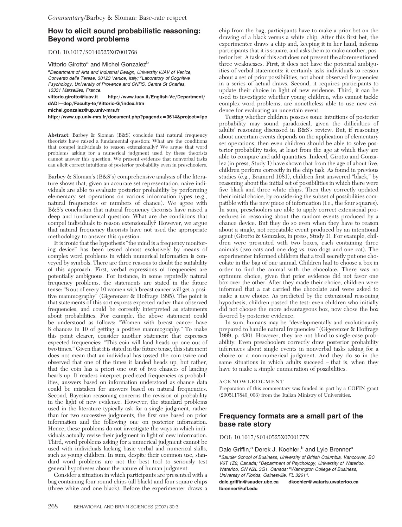### How to elicit sound probabilistic reasoning: Beyond word problems

#### DOI: 10.1017/S0140525X07001768

Vittorio Girotto<sup>a</sup> and Michel Gonzalez<sup>b</sup>

<sup>a</sup>Department of Arts and Industrial Design, University IUAV of Venice, Convento delle Terese, 30123 Venice, Italy; <sup>b</sup>Laboratory of Cognitive Psychology, University of Provence and CNRS, Centre St Charles, 13331 Marseilles, France.

vittorio.girotto@iuav.it http://www.iuav.it/English-Ve/Department/ dADI—dep/Faculty-te/Vittorio-G/index.htm

michel.gonzalez@up.univ-mrs.fr

http://www.up.univ-mrs.fr/document.php?pagendx=3614&project=lpc

Abstract: Barbey & Sloman (B&S) conclude that natural frequency theorists have raised a fundamental question: What are the conditions that compel individuals to reason extensionally? We argue that word problems asking for a numerical judgment used by these theorists cannot answer this question. We present evidence that nonverbal tasks can elicit correct intuitions of posterior probability even in preschoolers.

Barbey & Sloman's (B&S's) comprehensive analysis of the literature shows that, given an accurate set representation, naive individuals are able to evaluate posterior probability by performing elementary set operations on various information types (e.g., natural frequencies or numbers of chance). We agree with B&S's conclusion that natural frequency theorists have raised a deep and fundamental question: What are the conditions that compel individuals to reason extensionally? However, we argue that natural frequency theorists have not used the appropriate methodology to answer this question.

It is ironic that the hypothesis "the mind is a frequency monitoring device" has been tested almost exclusively by means of complex word problems in which numerical information is conveyed by symbols. There are three reasons to doubt the suitability of this approach. First, verbal expressions of frequencies are potentially ambiguous. For instance, in some reputedly natural frequency problems, the statements are stated in the future tense: "8 out of every 10 women with breast cancer will get a positive mammography" (Gigerenzer & Hoffrage 1995). The point is that statements of this sort express expected rather than observed frequencies, and could be correctly interpreted as statements about probabilities. For example, the above statement could be understood as follows: "Women with breast cancer have 8 chances in 10 of getting a positive mammography." To make this point clearer, consider another statement that expresses expected frequencies: "This coin will land heads up one out of two times." Given that it is stated in the future tense, this statement does not mean that an individual has tossed the coin twice and observed that one of the times it landed heads up, but rather, that the coin has a priori one out of two chances of landing heads up. If readers interpret predicted frequencies as probabilities, answers based on information understood as chance data could be mistaken for answers based on natural frequencies. Second, Bayesian reasoning concerns the revision of probability in the light of new evidence. However, the standard problems used in the literature typically ask for a single judgment, rather than for two successive judgments, the first one based on prior information and the following one on posterior information. Hence, these problems do not investigate the ways in which individuals actually revise their judgment in light of new information. Third, word problems asking for a numerical judgment cannot be used with individuals lacking basic verbal and numerical skills, such as young children. In sum, despite their common use, standard word problems are not the best tool to seriously test general hypotheses about the nature of human judgment.

Consider a situation in which participants are presented with a bag containing four round chips (all black) and four square chips (three white and one black). Before the experimenter draws a

chip from the bag, participants have to make a prior bet on the drawing of a black versus a white chip. After this first bet, the experimenter draws a chip and, keeping it in her hand, informs participants that it is square, and asks them to make another, posterior bet. A task of this sort does not present the aforementioned three weaknesses. First, it does not have the potential ambiguities of verbal statements: it certainly asks individuals to reason about a set of prior possibilities, not about observed frequencies in a series of actual draws. Second, it requires participants to update their choice in light of new evidence. Third, it can be used to investigate whether young children, who cannot tackle complex word problems, are nonetheless able to use new evidence for evaluating an uncertain event.

Testing whether children possess some intuitions of posterior probability may sound paradoxical, given the difficulties of adults' reasoning discussed in B&S's review. But, if reasoning about uncertain events depends on the application of elementary set operations, then even children should be able to solve posterior probability tasks, at least from the age at which they are able to compare and add quantities. Indeed, Girotto and Gonzalez (in press, Study 1) have shown that from the age of about five, children perform correctly in the chip task. As found in previous studies (e.g., Brainerd 1981), children first answered "black," by reasoning about the initial set of possibilities in which there were five black and three white chips. Then they correctly updated their initial choice, by considering the subset of possibilities compatible with the new piece of information (i.e., the four squares). In sum, preschoolers are able to apply correct extensional procedures in reasoning about the random events produced by a chance device. But they do so even when they have to reason about a single, not repeatable event produced by an intentional agent (Girotto & Gonzalez, in press, Study 3). For example, children were presented with two boxes, each containing three animals (two cats and one dog vs. two dogs and one cat). The experimenter informed children that a troll secretly put one chocolate in the bag of one animal. Children had to choose a box in order to find the animal with the chocolate. There was no optimum choice, given that prior evidence did not favor one box over the other. After they made their choice, children were informed that a cat carried the chocolate and were asked to make a new choice. As predicted by the extensional reasoning hypothesis, children passed the test: even children who initially did not choose the more advantageous box, now chose the box favored by posterior evidence.

In sum, humans may be "developmentally and evolutionarily prepared to handle natural frequencies" (Gigerenzer & Hoffrage 1999, p. 430). However, they are not blind to single-case probability. Even preschoolers correctly draw posterior probability inferences about single events in nonverbal tasks asking for a choice or a non-numerical judgment. And they do so in the same situations in which adults succeed – that is, when they have to make a simple enumeration of possibilities.

#### ACKNOWLEDGMENT

Preparation of this commentary was funded in part by a COFIN grant (2005117840\_003) from the Italian Ministry of Universities.

### Frequency formats are a small part of the base rate story

DOI: 10.1017/S0140525X0700177X

Dale Griffin,<sup>a</sup> Derek J. Koehler,<sup>b</sup> and Lyle Brenner<sup>c</sup>

<sup>a</sup> Sauder School of Business, University of British Columbia, Vancouver, BC V6T 1Z2, Canada; <sup>b</sup>Department of Psychology, University of Waterloo, Waterloo, ON N2L 3G1, Canada; <sup>c</sup>Warrington College of Business, University of Florida, Gainesville, FL 32611.

dale.griffin@sauder.ubc.ca dkoehler@watarts.uwaterloo.ca lbrenner@ufl.edu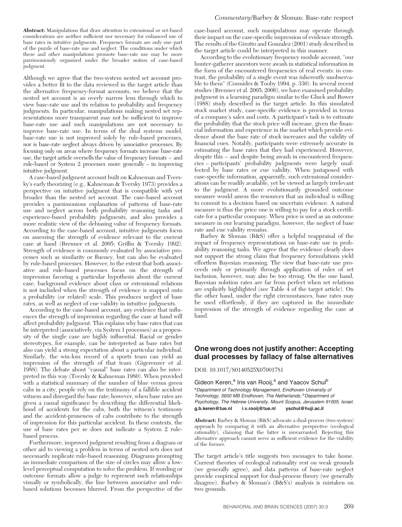Abstract: Manipulations that draw attention to extensional or set-based considerations are neither sufficient nor necessary for enhanced use of base rates in intuitive judgments. Frequency formats are only one part of the puzzle of base-rate use and neglect. The conditions under which these and other manipulations promote base-rate use may be more parsimoniously organized under the broader notion of case-based judgment.

Although we agree that the two-system nested set account provides a better fit to the data reviewed in the target article than the alternative frequency-format accounts, we believe that the nested set account is an overly narrow lens through which to view base-rate use and its relation to probability and frequency judgments. In particular, manipulations making nested set representations more transparent may not be sufficient to improve base-rate use and such manipulations are not necessary to improve base-rate use. In terms of the dual systems model, base-rate use is not improved solely by rule-based processes, nor is base-rate neglect always driven by associative processes. By focusing only on areas where frequency formats increase base-rate use, the target article oversells the value of frequency formats – and rule-based or System 2 processes more generally – in improving intuitive judgment.

A case-based judgment account built on Kahneman and Tversky's early theorizing (e.g., Kahneman & Tversky 1973) provides a perspective on intuitive judgment that is compatible with yet broader than the nested set account. The case-based account provides a parsimonious explanation of patterns of base-rate use and neglect across both probability reasoning tasks and experience-based probability judgments, and also provides a more realistic view of the debiasing value of frequency formats. According to the case-based account, intuitive judgments focus on assessing the strength of evidence relevant to the current case at hand (Brenner et al. 2005; Griffin & Tversky 1992). Strength of evidence is commonly evaluated by associative processes such as similarity or fluency, but can also be evaluated by rule-based processes. However, to the extent that both associative and rule-based processes focus on the strength of impression favoring a particular hypothesis about the current case, background evidence about class or extensional relations is not included when the strength of evidence is mapped onto a probability (or related) scale. This produces neglect of base rates, as well as neglect of cue validity in intuitive judgments.

According to the case-based account, any evidence that influences the strength of impression regarding the case at hand will affect probability judgment. This explains why base rates that can be interpreted (associatively, via System 1 processes) as a propensity of the single case are highly influential. Racial or gender stereotypes, for example, can be interpreted as base rates but also can yield a strong expectation about a particular individual. Similarly, the win-loss record of a sports team can yield an impression of the strength of that team (Gigerenzer et al. 1988). The debate about "causal" base rates can also be interpreted in this way (Tversky & Kahneman 1980). When provided with a statistical summary of the number of blue versus green cabs in a city, people rely on the testimony of a fallible accident witness and disregard the base rate; however, when base rates are given a causal significance by describing the differential likelihood of accidents for the cabs, both the witness's testimony and the accident-proneness of cabs contribute to the strength of impression for this particular accident. In these contexts, the use of base rates per se does not indicate a System 2 rulebased process.

Furthermore, improved judgment resulting from a diagram or other aid to viewing a problem in terms of nested sets does not necessarily implicate rule-based reasoning. Diagrams prompting an immediate comparison of the size of circles may allow a lowlevel perceptual computation to solve the problem. If wording or outcome formats allow a judge to represent such relationships visually or symbolically, the line between associative and rulebased solutions becomes blurred. From the perspective of the case-based account, such manipulations may operate through their impact on the case-specific impression of evidence strength. The results of the Girotto and Gonzalez (2001) study described in the target article could be interpreted in this manner.

According to the evolutionary frequency module account, "our hunter-gatherer ancestors were awash in statistical information in the form of the encountered frequencies of real events: in contrast, the probability of a single event was inherently unobservable to them" (Cosmides & Tooby 1994, p. 330). In several recent studies (Brenner et al. 2005; 2006), we have examined probability judgment in a learning paradigm similar to the Gluck and Bower (1988) study described in the target article. In this simulated stock market study, case-specific evidence is provided in terms of a company's sales and costs. A participant's task is to estimate the probability that the stock price will increase, given the financial information and experience in the market which provide evidence about the base rate of stock increases and the validity of financial cues. Notably, participants were extremely accurate in estimating the base rates that they had experienced. However, despite this – and despite being awash in encountered frequencies – participants' probability judgments were largely unaffected by base rates or cue validity. When juxtaposed with case-specific information, apparently, such extensional considerations can be readily available, yet be viewed as largely irrelevant to the judgment. A more evolutionarily grounded outcome measure would assess the resources that an individual is willing to commit to a decision based on uncertain evidence. A natural measure is thus the price one is willing to pay for a stock certificate for a particular company. When price is used as an outcome measure in our learning paradigm, however, the neglect of base rate and cue validity remains.

Barbey & Sloman (B&S) offer a helpful reappraisal of the impact of frequency representations on base-rate use in probability reasoning tasks. We agree that the evidence clearly does not support the strong claim that frequency formulations yield effortless Bayesian reasoning. The view that base-rate use proceeds only or primarily through application of rules of set inclusion, however, may also be too strong. On the one hand, Bayesian solution rates are far from perfect when set relations are explicitly highlighted (see Table 4 of the target article). On the other hand, under the right circumstances, base rates may be used effortlessly, if they are captured in the immediate impression of the strength of evidence regarding the case at hand.

### One wrong does not justify another: Accepting dual processes by fallacy of false alternatives

DOI: 10.1017/S0140525X07001781

Gideon Keren,<sup>a</sup> Iris van Rooij,<sup>a</sup> and Yaacov Schul<sup>b</sup>

<sup>a</sup> Department of Technology Management, Eindhoven University of Technology, 5600 MB Eindhoven, The Netherlands; <sup>b</sup>Department of Psychology, The Hebrew University, Mount Scopus, Jerusalem 91905, Israel. g.b.keren@tue.nl i.v.rooij@tue.nl yschul@huji.ac.il

Abstract: Barbey & Sloman (B&S) advocate a dual-process (two-system) approach by comparing it with an alternative perspective (ecological rationality), claiming that the latter is unwarranted. Rejecting this alternative approach cannot serve as sufficient evidence for the viability of the former.

The target article's title suggests two messages to take home. Current theories of ecological rationality rest on weak grounds (we generally agree), and data patterns of base-rate neglect provide empirical support for dual-process theory (we generally disagree). Barbey & Sloman's (B&S's) analysis is mistaken on two grounds.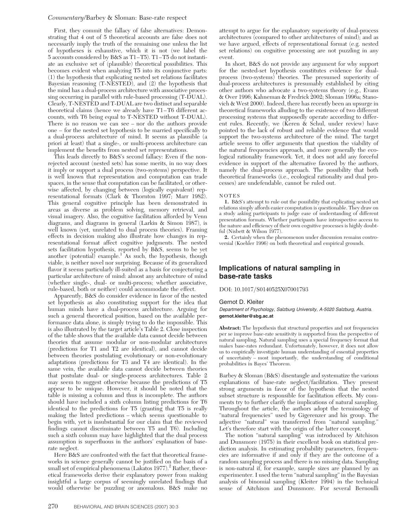First, they commit the fallacy of false alternatives: Demonstrating that 4 out of 5 theoretical accounts are false does not necessarily imply the truth of the remaining one unless the list of hypotheses is exhaustive, which it is not (we label the 5 accounts considered by B&S as T1–T5). T1–T5 do not instantiate an exclusive set of (plausible) theoretical possibilities. This becomes evident when analyzing T5 into its conjunctive parts: (1) the hypothesis that explicating nested set relations facilitates Bayesian reasoning (T-NESTED), and (2) the hypothesis that the mind has a dual-process architecture with associative processing occurring in parallel with rule-based processing (T-DUAL). Clearly, T-NESTED and T-DUAL are two distinct and separable theoretical claims (hence we already have T1 –T6 different accounts, with T6 being equal to T-NESTED without T-DUAL). There is no reason we can see – nor do the authors provide one – for the nested set hypothesis to be married specifically to a dual-process architecture of mind. It seems as plausible (a priori at least) that a single-, or multi-process architecture can implement the benefits from nested set representations.

This leads directly to B&S's second fallacy: Even if the nonrejected account (nested sets) has some merits, in no way does it imply or support a dual process (two-systems) perspective. It is well known that representation and computation can trade spaces, in the sense that computation can be facilitated, or otherwise affected, by changing between (logically equivalent) representational formats (Clark & Thornton 1997; Marr 1982). This general cognitive principle has been demonstrated in areas as diverse as problem solving, memory retrieval, and visual imagery. Also, the cognitive facilitation afforded by Venn diagrams, and diagrams in general (Larkin & Simon 1987), is well known (yet, unrelated to dual process theories). Framing effects in decision making also illustrate how changes in representational format affect cognitive judgments. The nested sets facilitation hypothesis, reported by B&S, seems to be yet<br>another (potential) example.<sup>1</sup> As such, the hypothesis, though viable, is neither novel nor surprising. Because of its generalized flavor it seems particularly ill-suited as a basis for conjecturing a particular architecture of mind: almost any architecture of mind (whether single-, dual- or multi-process; whether associative, rule-based, both or neither) could accommodate the effect.

Apparently, B&S do consider evidence in favor of the nested set hypothesis as also constituting support for the idea that human minds have a dual-process architecture. Arguing for such a general theoretical position, based on the available performance data alone, is simply trying to do the impossible. This is also illustrated by the target article's Table 2. Close inspection of the table shows that the available data cannot decide between theories that assume modular or non-modular architectures (predictions for T1 and T2 are identical), and cannot decide between theories postulating evolutionary or non-evolutionary adaptations (predictions for T3 and T4 are identical). In the same vein, the available data cannot decide between theories that postulate dual- or single-process architectures. Table 2 may seem to suggest otherwise because the predictions of T5 appear to be unique. However, it should be noted that the table is missing a column and thus is incomplete. The authors should have included a sixth column listing predictions for T6 identical to the predictions for T5 (granting that T5 is really making the listed predictions – which seems questionable to begin with, yet is insubstantial for our claim that the reviewed findings cannot discriminate between T5 and T6). Including such a sixth column may have highlighted that the dual process assumption is superfluous in the authors' explanation of baserate neglect.

Here B&S are confronted with the fact that theoretical frameworks in science generally cannot be justified on the basis of a small set of empirical phenomena (Lakatos 1977).<sup>2</sup> Rather, theoretical frameworks derive their explanatory power from making insightful a large corpus of seemingly unrelated findings that would otherwise be puzzling or anomalous. B&S make no

attempt to argue for the explanatory superiority of dual-process architectures (compared to other architectures of mind); and as we have argued, effects of representational format (e.g. nested set relations) on cognitive processing are not puzzling in any event.

In short, B&S do not provide any argument for why support for the nested-set hypothesis constitutes evidence for dualprocess (two-systems) theories. The presumed superiority of dual-process architectures is presumably established by citing other authors who advocate a two-systems theory (e.g., Evans & Over 1996; Kahneman & Fredrick 2002; Sloman 1996a; Stanovich & West 2000). Indeed, there has recently been an upsurge in theoretical frameworks alluding to the existence of two different processing systems that supposedly operate according to different rules. Recently, we (Keren & Schul, under review) have pointed to the lack of robust and reliable evidence that would support the two-systems architecture of the mind. The target article seems to offer arguments that question the viability of the natural frequencies approach, and more generally the ecological rationality framework. Yet, it does not add any forceful evidence in support of the alternative favored by the authors, namely the dual-process approach. The possibility that both theoretical frameworks (i.e., ecological rationality and dual processes) are undefendable, cannot be ruled out.

#### NOTES

1. B&S's attempt to rule out the possibility that explicating nested set relations simply affords easier computation is questionable. They draw on a study asking participants to judge ease of understanding of different presentation formats. Whether participants have introspective access to the nature and efficiency of their own cognitive processes is highly doubtful (Nisbett & Wilson 1977).

2. Certainly when the phenomenon under discussion remains controversial (Koehler 1996) on both theoretical and empirical grounds.

### Implications of natural sampling in base-rate tasks

DOI: 10.1017/S0140525X07001793

#### Gernot D. Kleiter

#### Department of Psychology, Salzburg University, A-5020 Salzburg, Austria. gernot.kleiter@sbg.ac.at

Abstract: The hypothesis that structural properties and not frequencies per se improve base-rate sensitivity is supported from the perspective of natural sampling. Natural sampling uses a special frequency format that makes base-rates redundant. Unfortunately, however, it does not allow us to empirically investigate human understanding of essential properties of uncertainty – most importantly, the understanding of conditional probabilities in Bayes' Theorem.

Barbey & Sloman (B&S) disentangle and systematize the various explanations of base-rate neglect/facilitation. They present strong arguments in favor of the hypothesis that the nested subset structure is responsible for facilitation effects. My comments try to further clarify the implications of natural sampling. Throughout the article, the authors adopt the terminology of "natural frequencies" used by Gigerenzer and his group. The adjective "natural" was transferred from "natural sampling." Let's therefore start with the origin of the latter concept.

The notion "natural sampling" was introduced by Aitchison and Dunsmore (1975) in their excellent book on statistical prediction analysis. In estimating probability parameters, frequencies are informative if and only if they are the outcome of a random sampling process and there is no missing data. Sampling is non-natural if, for example, sample sizes are planned by an experimenter. I used the term "natural sampling" in the Bayesian analysis of binomial sampling (Kleiter 1994) in the technical sense of Aitchison and Dunsmore. For several Bernoulli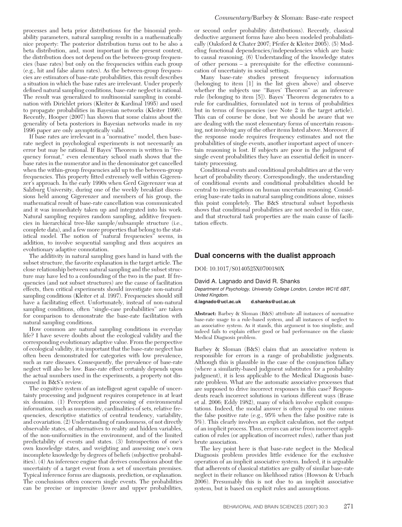processes and beta prior distributions for the binomial probability parameters, natural sampling results in a mathematically nice property: The posterior distribution turns out to be also a beta distribution, and, most important in the present context, the distribution does not depend on the between-group frequencies (base rates) but only on the frequencies within each group (e.g., hit and false alarm rates). As the between-group frequencies are estimators of base-rate probabilities, this result describes a situation in which the base rates are irrelevant. Under properly defined natural sampling conditions, base-rate neglect is rational. The result was generalized to multinomial sampling in combination with Dirichlet priors (Kleiter & Kardinal 1995) and used to propagate probabilities in Bayesian networks (Kleiter 1996). Recently, Hooper (2007) has shown that some claims about the generality of beta posteriors in Bayesian networks made in my 1996 paper are only asymptotically valid.

If base rates are irrelevant in a "normative" model, then baserate neglect in psychological experiments is not necessarily an error but may be rational. If Bayes' Theorem is written in "frequency format," even elementary school math shows that the base rates in the numerator and in the denominator get cancelled when the within-group frequencies add up to the between-group frequencies. This property fitted extremely well within Gigerenzer's approach. In the early 1990s when Gerd Gigerenzer was at Salzburg University, during one of the weekly breakfast discussions held among Gigerenzer and members of his group, the mathematical result of base-rate cancellation was communicated and it was immediately taken up and integrated into his work. Natural sampling requires random sampling, additive frequencies in hierarchical tree-like sample/subsample structure (i.e., complete data), and a few more properties that belong to the statistical model. The notion of "natural frequencies" seems, in addition, to involve sequential sampling and thus acquires an evolutionary adaptive connotation.

The additivity in natural sampling goes hand in hand with the subset structure, the favorite explanation in the target article. The close relationship between natural sampling and the subset structure may have led to a confounding of the two in the past. If frequencies (and not subset structures) are the cause of facilitation effects, then critical experiments should investigate non-natural sampling conditions (Kleiter et al. 1997). Frequencies should still have a facilitating effect. Unfortunately, instead of non-natural sampling conditions, often "single-case probabilities" are taken for comparison to demonstrate the base-rate facilitation with natural sampling conditions.

How common are natural sampling conditions in everyday life? I have severe doubts about the ecological validity and the corresponding evolutionary adaptive value. From the perspective of ecological validity, it is important that the base-rate neglect has often been demonstrated for categories with low prevalence, such as rare diseases. Consequently, the prevalence of base-rate neglect will also be low. Base-rate effect certainly depends upon the actual numbers used in the experiments, a property not discussed in B&S's review.

The cognitive system of an intelligent agent capable of uncertainty processing and judgment requires competence in at least six domains.  $(1)$  Perception and processing of environmental information, such as numerosity, cardinalities of sets, relative frequencies, descriptive statistics of central tendency, variability, and covariation. (2) Understanding of randomness, of not directly observable states, of alternatives to reality and hidden variables, of the non-uniformities in the environment, and of the limited predictability of events and states. (3) Introspection of one's own knowledge states, and weighting and assessing one's own incomplete knowledge by degrees of beliefs (subjective probabilities). (4) An inference engine that derives conclusions about the uncertainty of a target event from a set of uncertain premises. Typical inference forms are diagnosis, prediction, or explanation. The conclusions often concern single events. The probabilities can be precise or imprecise (lower and upper probabilities,

or second order probability distributions). Recently, classical deductive argument forms have also been modeled probabilistically (Oaksford & Chater 2007; Pfeifer & Kleiter 2005). (5) Modeling functional dependencies/independencies which are basic to causal reasoning. (6) Understanding of the knowledge states of other persons – a prerequisite for the effective communication of uncertainty in social settings.

Many base-rate studies present frequency information (belonging to item [1] in the list given above) and observe whether the subjects use "Bayes' Theorem" as an inference rule (belonging to item [5]). Bayes' Theorem degenerates to a rule for cardinalities, formulated not in terms of probabilities but in terms of frequencies (see Note 2 in the target article). This can of course be done, but we should be aware that we are dealing with the most elementary forms of uncertain reasoning, not involving any of the other items listed above. Moreover, if the response mode requires frequency estimates and not the probabilities of single events, another important aspect of uncertain reasoning is lost. If subjects are poor in the judgment of single event probabilities they have an essential deficit in uncertainty processing.

Conditional events and conditional probabilities are at the very heart of probability theory. Correspondingly, the understanding of conditional events and conditional probabilities should be central to investigations on human uncertain reasoning. Considering base-rate tasks in natural sampling conditions alone, misses this point completely. The B&S structural subset hypothesis shows that conditional probabilities are not needed in this case, and that structural task properties are the main cause of facilitation effects.

#### Dual concerns with the dualist approach

DOI: 10.1017/S0140525X0700180X

David A. Lagnado and David R. Shanks Department of Psychology, University College London, London WC1E 6BT, United Kingdom.

d.lagnado@ucl.ac.uk d.shanks@ucl.ac.uk

Abstract: Barbey & Sloman (B&S) attribute all instances of normative base-rate usage to a rule-based system, and all instances of neglect to an associative system. As it stands, this argument is too simplistic, and indeed fails to explain either good or bad performance on the classic Medical Diagnosis problem.

Barbey & Sloman (B&S) claim that an associative system is responsible for errors in a range of probabilistic judgments. Although this is plausible in the case of the conjunction fallacy (where a similarity-based judgment substitutes for a probability judgment), it is less applicable to the Medical Diagnosis baserate problem. What are the automatic associative processes that are supposed to drive incorrect responses in this case? Respondents reach incorrect solutions in various different ways (Brase et al. 2006; Eddy 1982), many of which involve explicit computations. Indeed, the modal answer is often equal to one minus the false positive rate (e.g., 95% when the false positive rate is 5%). This clearly involves an explicit calculation, not the output of an implicit process. Thus, errors can arise from incorrect application of rules (or application of incorrect rules), rather than just brute association.

The key point here is that base-rate neglect in the Medical Diagnosis problem provides little evidence for the exclusive operation of an implicit associative system. Indeed, it is arguable that adherents of classical statistics are guilty of similar base-rate neglect in their reliance on likelihood ratios (Howson & Urbach 2006). Presumably this is not due to an implicit associative system, but is based on explicit rules and assumptions.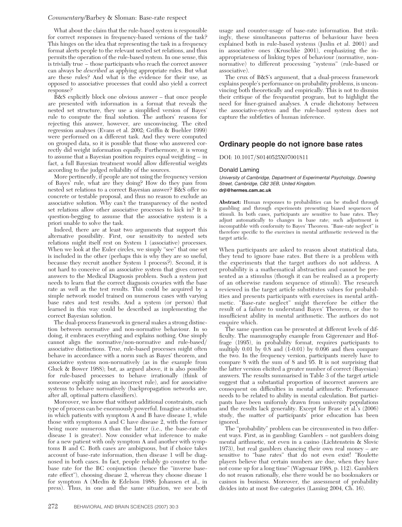What about the claim that the rule-based system is responsible for correct responses in frequency-based versions of the task? This hinges on the idea that representing the task in a frequency format alerts people to the relevant nested set relations, and thus permits the operation of the rule-based system. In one sense, this is trivially true – those participants who reach the correct answer can always be described as applying appropriate rules. But what are these rules? And what is the evidence for their use, as opposed to associative processes that could also yield a correct response?

B&S explicitly block one obvious answer – that once people are presented with information in a format that reveals the nested set structure, they use a simplified version of Bayes' rule to compute the final solution. The authors' reasons for rejecting this answer, however, are unconvincing. The cited regression analyses (Evans et al. 2002; Griffin & Buehler 1999) were performed on a different task. And they were computed on grouped data, so it is possible that those who answered correctly did weight information equally. Furthermore, it is wrong to assume that a Bayesian position requires equal weighting – in fact, a full Bayesian treatment would allow differential weights according to the judged reliability of the sources.

More pertinently, if people are not using the frequency version of Bayes' rule, what are they doing? How do they pass from nested set relations to a correct Bayesian answer? B&S offer no concrete or testable proposal, and thus no reason to exclude an associative solution. Why can't the transparency of the nested set relations allow other associative processes to kick in? It is question-begging to assume that the associative system is a priori unable to solve the task.

Indeed, there are at least two arguments that support this alternative possibility. First, our sensitivity to nested sets relations might itself rest on System 1 (associative) processes. When we look at the Euler circles, we simply "see" that one set is included in the other (perhaps this is why they are so useful, because they recruit another System 1 process?). Second, it is not hard to conceive of an associative system that gives correct answers to the Medical Diagnosis problem. Such a system just needs to learn that the correct diagnosis covaries with the base rate as well as the test results. This could be acquired by a simple network model trained on numerous cases with varying base rates and test results. And a system (or person) that learned in this way could be described as implementing the correct Bayesian solution.

The dual-process framework in general makes a strong distinction between normative and non-normative behaviour. In so doing, it embraces everything and explains nothing. One simply cannot align the normative/non-normative and rule-based/ associative distinctions. True, rule-based processes might often behave in accordance with a norm such as Bayes' theorem, and associative systems non-normatively (as in the example from Gluck & Bower 1988); but, as argued above, it is also possible for rule-based processes to behave irrationally (think of someone explicitly using an incorrect rule), and for associative systems to behave normatively (backpropagation networks are, after all, optimal pattern classifiers).

Moreover, we know that without additional constraints, each type of process can be enormously powerful. Imagine a situation in which patients with symptom A and B have disease 1, while those with symptoms A and C have disease 2, with the former being more numerous than the latter (i.e., the base-rate of disease 1 is greater). Now consider what inference to make for a new patient with only symptom A and another with symptoms B and C. Both cases are ambiguous, but if choice takes account of base-rate information, then disease 1 will be diagnosed in both cases. In fact, people reliably go counter to the base rate for the BC conjunction (hence the "inverse baserate effect"), choosing disease 2, whereas they choose disease 1 for symptom A (Medin & Edelson 1988; Johansen et al., in press). Thus, in one and the same situation, we see both

usage and counter-usage of base-rate information. But strikingly, these simultaneous patterns of behaviour have been explained both in rule-based systems (Juslin et al. 2001) and in associative ones (Kruschke 2001), emphasizing the inappropriateness of linking types of behaviour (normative, nonnormative) to different processing "systems" (rule-based or associative).

The crux of B&S's argument, that a dual-process framework explains people's performance on probability problems, is unconvincing both theoretically and empirically. This is not to dismiss their critique of the frequentist program, but to highlight the need for finer-grained analyses. A crude dichotomy between the associative-system and the rule-based system does not capture the subtleties of human inference.

### Ordinary people do not ignore base rates

DOI: 10.1017/S0140525X07001811

#### Donald Laming

University of Cambridge, Department of Experimental Psychology, Downing Street, Cambridge, CB2 3EB, United Kingdom. drjl@hermes.cam.ac.uk

Abstract: Human responses to probabilities can be studied through gambling and through experiments presenting biased sequences of stimuli. In both cases, participants are sensitive to base rates. They adjust automatically to changes in base rate; such adjustment is incompatible with conformity to Bayes' Theorem. "Base-rate neglect" is therefore specific to the exercises in mental arithmetic reviewed in the target article.

When participants are asked to reason about statistical data, they tend to ignore base rates. But there is a problem with the experiments that the target authors do not address. A probability is a mathematical abstraction and cannot be presented as a stimulus (though it can be realised as a property of an otherwise random sequence of stimuli). The research reviewed in the target article substitutes values for probabilities and presents participants with exercises in mental arithmetic. "Base-rate neglect" might therefore be either the result of a failure to understand Bayes' Theorem, or due to insufficient ability in mental arithmetic. The authors do not enquire which.

The same question can be presented at different levels of difficulty. The mammography example from Gigerenzer and Hoffrage (1995), in probability format, requires participants to multiply 0.01 by 0.8 and (1-0.01) by 0.096 and then compare the two. In the frequency version, participants merely have to compare 8 with the sum of 8 and 95. It is not surprising that the latter version elicited a greater number of correct (Bayesian) answers. The results summarised in Table 3 of the target article suggest that a substantial proportion of incorrect answers are consequent on difficulties in mental arithmetic. Performance needs to be related to ability in mental calculation. But participants have been uniformly drawn from university populations and the results lack generality. Except for Brase et al.'s (2006) study, the matter of participants' prior education has been ignored.

The "probability" problem can be circumvented in two different ways. First, as in gambling: Gamblers – not gamblers doing mental arithmetic, not even in a casino (Lichtenstein & Slovic 1973), but real gamblers chancing their own real money – are sensitive to "base rates" that do not even exist! "Roulette players believe that certain numbers are due, when they have not come up for a long time" (Wagenaar 1988, p. 112). Gamblers do not reason rationally, else there would be no bookmakers or casinos in business. Moreover, the assessment of probability divides into at most five categories (Laming 2004, Ch. 16).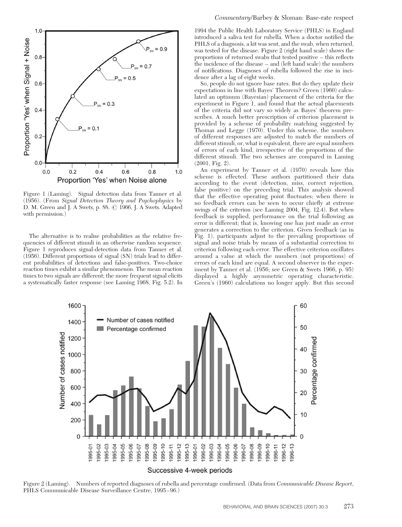

Figure 1 (Laming). Signal detection data from Tanner et al. (1956). (From Signal Detection Theory and Psychophysics by D. M. Green and J. A Swets, p. 88.  $\odot$  1966, J. A Swets. Adapted with permission.)

The alternative is to realise probabilities as the relative frequencies of different stimuli in an otherwise random sequence. Figure 1 reproduces signal-detection data from Tanner et al. (1956). Different proportions of signal (SN) trials lead to different probabilities of detections and false-positives. Two-choice reaction times exhibit a similar phenomenon. The mean reaction times to two signals are different; the more frequent signal elicits a systematically faster response (see Laming 1968, Fig. 5.2). In 1994 the Public Health Laboratory Service (PHLS) in England introduced a saliva test for rubella. When a doctor notified the PHLS of a diagnosis, a kit was sent, and the swab, when returned, was tested for the disease. Figure 2 (right hand scale) shows the proportions of returned swabs that tested positive – this reflects the incidence of the disease – and (left hand scale) the numbers of notifications. Diagnoses of rubella followed the rise in incidence after a lag of eight weeks.

So, people do not ignore base rates. But do they update their expectations in line with Bayes' Theorem? Green (1960) calculated an optimum (Bayesian) placement of the criteria for the experiment in Figure 1, and found that the actual placements of the criteria did not vary so widely as Bayes' theorem prescribes. A much better prescription of criterion placement is provided by a scheme of probability matching suggested by Thomas and Legge (1970). Under this scheme, the numbers of different responses are adjusted to match the numbers of different stimuli, or, what is equivalent, there are equal numbers of errors of each kind, irrespective of the proportions of the different stimuli. The two schemes are compared in Laming (2001, Fig. 2).

An experiment by Tanner et al. (1970) reveals how this scheme is effected. These authors partitioned their data according to the event (detection, miss, correct rejection, false positive) on the preceding trial. This analysis showed that the effective operating point fluctuates; when there is no feedback errors can be seen to occur chiefly at extreme swings of the criterion (see Laming 2004, Fig. 12.4). But when feedback is supplied, performance on the trial following an error is different; that is, knowing one has just made an error generates a correction to the criterion. Given feedback (as in Fig. 1), participants adjust to the prevailing proportions of signal and noise trials by means of a substantial correction to criterion following each error. The effective criterion oscillates around a value at which the numbers (not proportions) of errors of each kind are equal. A second observer in the experiment by Tanner et al. (1956; see Green & Swets 1966, p. 95) displayed a highly asymmetric operating characteristic. Green's (1960) calculations no longer apply. But this second



Figure 2 (Laming). Numbers of reported diagnoses of rubella and percentage confirmed. (Data from Communicable Disease Report, PHLS Communicable Disease Surveillance Centre, 1995–96.)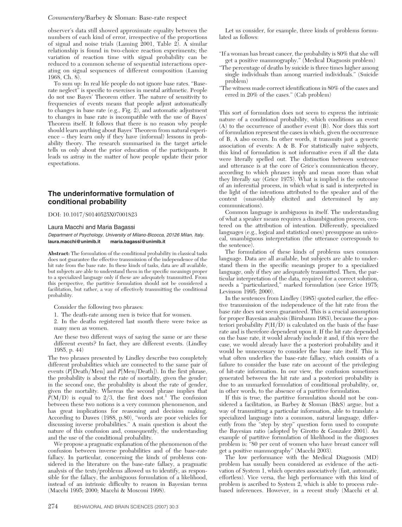observer's data still showed approximate equality between the numbers of each kind of error, irrespective of the proportions of signal and noise trials (Laming 2001, Table 2). A similar relationship is found in two-choice reaction experiments; the variation of reaction time with signal probability can be reduced to a common scheme of sequential interactions operating on signal sequences of different composition (Laming 1968, Ch. 8).

To sum up: In real life people do not ignore base rates. "Baserate neglect" is specific to exercises in mental arithmetic. People do not use Bayes' Theorem either. The nature of sensitivity to frequencies of events means that people adjust automatically to changes in base rate (e.g., Fig. 2), and automatic adjustment to changes in base rate is incompatible with the use of Bayes' Theorem itself. It follows that there is no reason why people should learn anything about Bayes' Theorem from natural experience – they learn only if they have (informal) lessons in probability theory. The research summarised in the target article tells us only about the prior education of the participants. It leads us astray in the matter of how people update their prior expectations.

### The underinformative formulation of conditional probability

DOI: 10.1017/S0140525X07001823

#### Laura Macchi and Maria Bagassi

Department of Psychology, University of Milano-Bicocca, 20126 Milan, Italy. laura.macchi@unimib.it maria.bagassi@unimib.it

Abstract: The formulation of the conditional probability in classical tasks does not guarantee the effective transmission of the independence of the hit rate from the base rate. In these kinds of tasks, data are all available, but subjects are able to understand them in the specific meanings proper to a specialized language only if these are adequately transmitted. From this perspective, the partitive formulation should not be considered a facilitation, but rather, a way of effectively transmitting the conditional probability.

Consider the following two phrases:

1. The death-rate among men is twice that for women.

2. In the deaths registered last month there were twice as many men as women.

Are these two different ways of saying the same or are these different events? In fact, they are different events. (Lindley 1985, p. 44)

The two phrases presented by Lindley describe two completely different probabilities which are connected to the same pair of events (P[Death/Men] and P[Men/Death]). In the first phrase, the probability is about the rate of mortality, given the gender; in the second one, the probability is about the rate of gender, given the mortality. Whereas the second phrase implies that  $P(M/D)$  is equal to 2/3, the first does not.<sup>1</sup> The confusion between these two notions is a very common phenomenon, and has great implications for reasoning and decision making. According to Dawes (1988, p.80), "words are poor vehicles for discussing inverse probabilities." A main question is about the nature of this confusion and, consequently, the understanding and the use of the conditional probability.

We propose a pragmatic explanation of the phenomenon of the confusion between inverse probabilities and of the base-rate fallacy. In particular, concerning the kinds of problems considered in the literature on the base-rate fallacy, a pragmatic analysis of the texts/problems allowed us to identify, as responsible for the fallacy, the ambiguous formulation of a likelihood, instead of an intrinsic difficulty to reason in Bayesian terms (Macchi 1995; 2000; Macchi & Mosconi 1998).

Let us consider, for example, three kinds of problems formulated as follows:

- "If a woman has breast cancer, the probability is 80% that she will get a positive mammography." (Medical Diagnosis problem)
- "The percentage of deaths by suicide is three times higher among single individuals than among married individuals." (Suicide problem)
- "The witness made correct identifications in 80% of the cases and erred in 20% of the cases." (Cab problem)

This sort of formulation does not seem to express the intrinsic nature of a conditional probability, which conditions an event (A) to the occurrence of another event (B). Nor does this sort of formulation represent the cases in which, given the occurrence of B, A also occurs. In other words, it transmits just a generic association of events: A & B. For statistically naive subjects, this kind of formulation is not informative even if all the data were literally spelled out. The distinction between sentence and utterance is at the core of Grice's communication theory, according to which phrases imply and mean more than what they literally say (Grice 1975). What is implied is the outcome of an inferential process, in which what is said is interpreted in the light of the intentions attributed to the speaker and of the context (unavoidably elicited and determined by any communications).

Common language is ambiguous in itself. The understanding of what a speaker means requires a disambiguation process, centered on the attribution of intention. Differently, specialized languages (e.g., logical and statistical ones) presuppose an univocal, unambiguous interpretation (the utterance corresponds to the sentence).

The formulation of these kinds of problems uses common language. Data are all available, but subjects are able to understand them in the specific meanings proper to a specialized language, only if they are adequately transmitted. Then, the particular interpretation of the data, required for a correct solution, needs a "particularized," marked formulation (see Grice 1975; Levinson 1995; 2000).

In the sentences from Lindley (1985) quoted earlier, the effective transmission of the independence of the hit rate from the base rate does not seem guaranteed. This is a crucial assumption for proper Bayesian analysis (Birnbaum 1983), because the a posteriori probability  $P(H/D)$  is calculated on the basis of the base rate and is therefore dependent upon it. If the hit rate depended on the base rate, it would already include it and, if this were the case, we would already have the a posteriori probability and it would be unnecessary to consider the base rate itself. This is what often underlies the base-rate fallacy, which consists of a failure to consider the base rate on account of the privileging of hit-rate information. In our view, the confusion sometimes generated between the hit rate and a posteriori probability is due to an unmarked formulation of conditional probability, or, in other words, to the absence of a partitive formulation.

If this is true, the partitive formulation should not be considered a facilitation, as Barbey & Sloman (B&S) argue, but a way of transmitting a particular information, able to translate a specialized language into a common, natural language, differently from the "step by step" question form used to compute the Bayesian ratio (adopted by Girotto & Gonzalez 2001). An example of partitive formulation of likelihood in the diagnoses problem is: "80 per cent of women who have breast cancer will get a positive mammography" (Macchi 2003).

The low performance with the Medical Diagnosis (MD) problem has usually been considered as evidence of the activation of System 1, which operates associatively (fast, automatic, effortless). Vice versa, the high performance with this kind of problem is ascribed to System 2, which is able to process rulebased inferences. However, in a recent study (Macchi et al.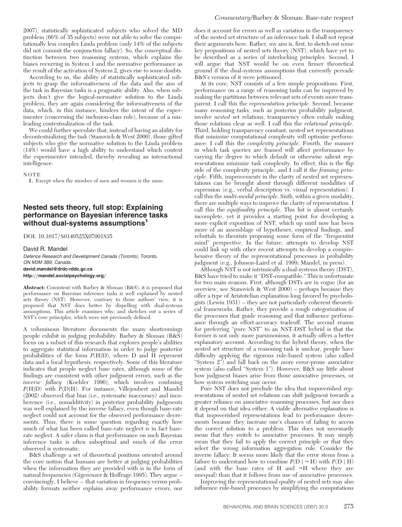2007), statistically sophisticated subjects who solved the MD problem (66% of 35 subjects) were not able to solve the computationally less complex Linda problem (only 14% of the subjects did not commit the conjunction fallacy). So, the conceptual distinction between two reasoning systems, which explains the biases recurring in System 1 and the normative performance as the result of the activation of System 2, gives rise to some doubts.

According to us, the ability of statistically sophisticated subjects to grasp the informativeness of the data and the aim of the task in Bayesian tasks is a pragmatic ability. Also, when subjects don't give the logical-normative solution to the Linda problem, they are again considering the informativeness of the data, which, in this instance, hinders the intent of the experimenter (concerning the inclusion-class rule), because of a misleading contextualization of the task.

We could further speculate that, instead of having an ability for decontextualizing the task (Stanovich & West 2000), those gifted subjects who give the normative solution to the Linda problem (14%) would have a high ability to understand which context the experimenter intended, thereby revealing an interactional intelligence.

NOTE

1. Except when the number of men and women is the same.

### Nested sets theory, full stop: Explaining performance on Bayesian inference tasks without dual-systems assumptions<sup>1</sup>

DOI: 10.1017/S0140525X07001835

David R. Mandel Defence Research and Development Canada (Toronto), Toronto, ON M3M 3B9, Canada. david.mandel@drdc-rddc.gc.ca http://mandel.socialpsychology.org/

Abstract: Consistent with Barbey & Sloman (B&S), it is proposed that performance on Bayesian inference tasks is well explained by nested sets theory (NST). However, contrary to those authors' view, it is proposed that NST does better by dispelling with dual-systems assumptions. This article examines why, and sketches out a series of NST's core principles, which were not previously defined.

A voluminous literature documents the many shortcomings people exhibit in judging probability. Barbey & Sloman (B&S) focus on a subset of this research that explores people's abilities to aggregate statistical information in order to judge posterior probabilities of the form  $P(H|D)$ , where D and H represent data and a focal hypothesis, respectively. Some of this literature indicates that people neglect base rates, although some of the findings are consistent with other judgment errors, such as the inverse fallacy (Koehler 1996), which involves confusing  $P(H|D)$  with  $P(D|H)$ . For instance, Villejoubert and Mandel (2002) observed that bias (i.e., systematic inaccuracy) and incoherence (i.e., nonadditivity) in posterior probability judgments was well explained by the inverse fallacy, even though base-rate neglect could not account for the observed performance decrements. Thus, there is some question regarding exactly how much of what has been called base-rate neglect is in fact baserate neglect. A safer claim is that performance on such Bayesian inference tasks is often suboptimal and much of the error observed is systematic.

B&S challenge a set of theoretical positions oriented around the core notion that humans are better at judging probabilities when the information they are provided with is in the form of natural frequencies (Gigerenzer & Hoffrage 1995). They argue – convincingly, I believe – that variation in frequency versus probability formats neither explains away performance errors, nor does it account for errors as well as variation in the transparency of the nested set structure of an inference task. I shall not repeat their arguments here. Rather, my aim is, first, to sketch out some key propositions of nested sets theory (NST), which have yet to be described as a series of interlocking principles. Second, I will argue that NST would be on even firmer theoretical ground if the dual-systems assumptions that currently pervade B&S's version of it were jettisoned.

At its core, NST consists of a few simple propositions: First, performance on a range of reasoning tasks can be improved by making the partitions between relevant sets of events more transparent. I call this the representation principle. Second, because many reasoning tasks, such as posterior probability judgment, involve nested set relations, transparency often entails making those relations clear as well. I call this the *relational principle*. Third, holding transparency constant, nested set representations that minimize computational complexity will optimize performance. I call this the complexity principle. Fourth, the manner in which task queries are framed will affect performance by varying the degree to which default or otherwise salient representations minimize task complexity. In effect, this is the flip side of the complexity principle, and I call it the framing principle. Fifth, improvements in the clarity of nested set representations can be brought about through different modalities of expression (e.g., verbal description vs. visual representation). I call this the multi-modal principle. Sixth, within a given modality, there are multiple ways to improve the clarity of representation. I call this the equifinality principle. This list is almost certainly incomplete, yet it provides a starting point for developing a more explicit exposition of NST, which up until now has been more of an assemblage of hypotheses, empirical findings, and rebuttals to theorists proposing some form of the "frequentist mind" perspective. In the future, attempts to develop NST could link up with other recent attempts to develop a comprehensive theory of the representational processes in probability judgment (e.g., Johnson-Laird et al. 1999; Mandel, in press).

Although NST is not intrinsically a dual-systems theory (DST), B&S have tried to make it "DST-compatible." This is unfortunate for two main reasons. First, although DSTs are in vogue (for an overview, see Stanovich & West 2000) – perhaps because they offer a type of Aristotelian explanation long favored by psychologists (Lewin 1931) – they are not particularly coherent theoretical frameworks. Rather, they provide a rough categorization of the processes that guide reasoning and that influence performance through an effort-accuracy tradeoff. The second reason for preferring "pure NST" to an NST-DST hybrid is that the former is not only more parsimonious, it actually offers a better explanatory account. According to the hybrid theory, when the nested set structure of a reasoning task is unclear, people have difficulty applying the rigorous rule-based system (also called "System 2") and fall back on the more error-prone associative system (also called "System 1"). However, B&S say little about how judgment biases arise from those associative processes, or how system switching may occur.

Pure NST does not preclude the idea that impoverished representations of nested set relations can shift judgment towards a greater reliance on associative reasoning processes, but nor does it depend on that idea either. A viable alternative explanation is that impoverished representations lead to performance decrements because they increase one's chances of failing to access the correct solution to a problem. This does not necessarily mean that they switch to associative processes. It may simply mean that they fail to apply the correct principle or that they select the wrong information aggregation rule. Consider the inverse fallacy: It seems more likely that the error stems from a failure to understand how to combine  $P(D \mid \neg H)$  with  $P(D \mid H)$ (and with the base rates of H and  $\neg H$  where they are unequal) than that it follows from use of associative processes.

Improving the representational quality of nested sets may also influence rule-based processes by simplifying the computations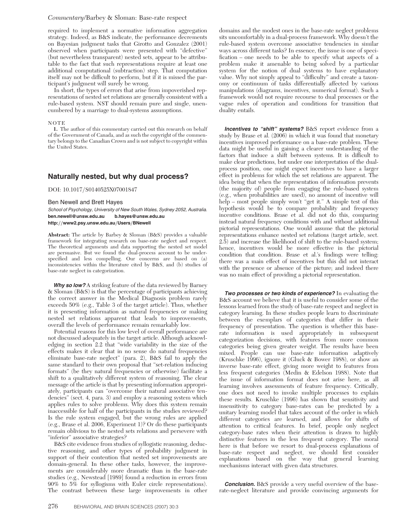required to implement a normative information aggregation strategy. Indeed, as B&S indicate, the performance decrements on Bayesian judgment tasks that Girotto and Gonzalez (2001) observed when participants were presented with "defective" (but nevertheless transparent) nested sets, appear to be attributable to the fact that such representations require at least one additional computational (subtraction) step. That computation itself may not be difficult to perform, but if it is missed the participant's judgment will surely be wrong.

In short, the types of errors that arise from impoverished representations of nested set relations are generally consistent with a rule-based system. NST should remain pure and single, unencumbered by a marriage to dual-systems assumptions.

#### **NOTE**

1. The author of this commentary carried out this research on behalf of the Government of Canada, and as such the copyright of the commentary belongs to the Canadian Crown and is not subject to copyright within the United States.

### Naturally nested, but why dual process?

DOI: 10.1017/S0140525X07001847

#### Ben Newell and Brett Hayes

School of Psychology, University of New South Wales, Sydney 2052, Australia. ben.newell@unsw.edu.au b.hayes@unsw.edu.au http://www2.psy.unsw.edu.au/Users/BNewell

Abstract: The article by Barbey & Sloman (B&S) provides a valuable framework for integrating research on base-rate neglect and respect. The theoretical arguments and data supporting the nested set model are persuasive. But we found the dual-process account to be underspecified and less compelling. Our concerns are based on (a) inconsistencies within the literature cited by B&S, and (b) studies of base-rate neglect in categorization.

Why so low? A striking feature of the data reviewed by Barney & Sloman (B&S) is that the percentage of participants achieving the correct answer in the Medical Diagnosis problem rarely exceeds 50% (e.g., Table 3 of the target article). Thus, whether it is presenting information as natural frequencies or making nested set relations apparent that leads to improvements, overall the levels of performance remain remarkably low.

Potential reasons for this low level of overall performance are not discussed adequately in the target article. Although acknowledging in section 2.2 that "wide variability in the size of the effects makes it clear that in no sense do natural frequencies eliminate base-rate neglect" (para. 2), B&S fail to apply the same standard to their own proposal that "set-relation inducing formats" (be they natural frequencies or otherwise) facilitate a shift to a qualitatively different system of reasoning. The clear message of the article is that by presenting information appropriately, participants can "overcome their natural associative tendencies" (sect. 4, para. 3) and employ a reasoning system which applies rules to solve problems. Why does this system remain inaccessible for half of the participants in the studies reviewed? Is the rule system engaged, but the wrong rules are applied (e.g., Brase et al. 2006, Experiment 1)? Or do these participants remain oblivious to the nested sets relations and persevere with "inferior" associative strategies?

B&S cite evidence from studies of syllogistic reasoning, deductive reasoning, and other types of probability judgment in support of their contention that nested set improvements are domain-general. In these other tasks, however, the improvements are considerably more dramatic than in the base-rate studies (e.g., Newstead [1989] found a reduction in errors from 90% to 5% for syllogisms with Euler circle representations). The contrast between these large improvements in other

domains and the modest ones in the base-rate neglect problems sits uncomfortably in a dual-process framework. Why doesn't the rule-based system overcome associative tendencies in similar ways across different tasks? In essence, the issue is one of specification – one needs to be able to specify what aspects of a problem make it amenable to being solved by a particular system for the notion of dual systems to have explanatory value. Why not simply appeal to "difficulty" and create a taxonomy or continuum of tasks differentially affected by various manipulations (diagrams, incentives, numerical format). Such a framework would not require recourse to dual processes or the vague rules of operation and conditions for transition that duality entails.

Incentives to "shift" systems? B&S report evidence from a study by Brase et al. (2006) in which it was found that monetary incentives improved performance on a base-rate problem. These data might be useful in gaining a clearer understanding of the factors that induce a shift between systems. It is difficult to make clear predictions, but under one interpretation of the dualprocess position, one might expect incentives to have a larger effect in problems for which the set relations are apparent. The idea being that when the representation of information prevents (the majority of) people from engaging the rule-based system (e.g., when probabilities are used), no amount of incentive will help – most people simply won't "get it." A simple test of this hypothesis would be to compare probability and frequency incentive conditions. Brase et al. did not do this, comparing instead natural frequency conditions with and without additional pictorial representations. One would assume that the pictorial representations enhance nested set relations (target article, sect. 2.5) and increase the likelihood of shift to the rule-based system; hence, incentives would be more effective in the pictorial condition that condition. Brase et al.'s findings were telling: there was a main effect of incentives but this did not interact with the presence or absence of the picture; and indeed there was no main effect of providing a pictorial representation.

Two processes or two kinds of experience? In evaluating the B&S account we believe that it is useful to consider some of the lessons learned from the study of base-rate respect and neglect in category learning. In these studies people learn to discriminate between the exemplars of categories that differ in their frequency of presentation. The question is whether this baserate information is used appropriately in subsequent categorization decisions, with features from more common categories being given greater weight. The results have been mixed. People can use base-rate information adaptively (Kruschke 1996), ignore it (Gluck & Bower 1988), or show an inverse base-rate effect, giving more weight to features from less frequent categories (Medin & Edelson 1988). Note that the issue of information format does not arise here, as all learning involves assessments of feature frequency. Critically, one does not need to invoke multiple processes to explain these results. Kruschke (1996) has shown that sensitivity and insensitivity to category base-rates can be predicted by a unitary learning model that takes account of the order in which different categories are learned, and allows for shifts of attention to critical features. In brief, people only neglect category-base rates when their attention is drawn to highly distinctive features in the less frequent category. The moral here is that before we resort to dual-process explanations of base-rate respect and neglect, we should first consider explanations based on the way that general learning mechanisms interact with given data structures.

**Conclusion.** B&S provide a very useful overview of the baserate-neglect literature and provide convincing arguments for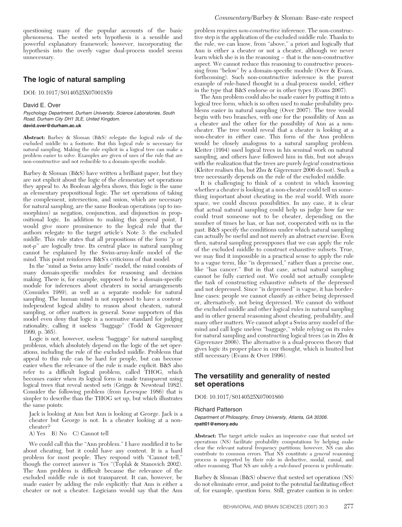questioning many of the popular accounts of the basic phenomena. The nested sets hypothesis is a sensible and powerful explanatory framework; however, incorporating the hypothesis into the overly vague dual-process model seems unnecessary.

### The logic of natural sampling

DOI: 10.1017/S0140525X07001859

#### David E. Over

Psychology Department, Durham University, Science Laboratories, South Road, Durham City DH1 3LE, United Kingdom. david.over@durham.ac.uk

Abstract: Barbey & Sloman (B&S) relegate the logical rule of the excluded middle to a footnote. But this logical rule is necessary for natural sampling. Making the rule explicit in a logical tree can make a problem easier to solve. Examples are given of uses of the rule that are non-constructive and not reducible to a domain-specific module.

Barbey & Sloman (B&S) have written a brilliant paper, but they are not explicit about the logic of the elementary set operations they appeal to. As Boolean algebra shows, this logic is the same as elementary propositional logic. The set operations of taking the complement, intersection, and union, which are necessary for natural sampling, are the same Boolean operations (up to isomorphism) as negation, conjunction, and disjunction in propositional logic. In addition to making this general point, I would give more prominence to the logical rule that the authors relegate to the target article's Note 3: the excluded middle. This rule states that all propositions of the form  $\text{``$p$}$  or not- $p$ " are logically true. Its central place in natural sampling cannot be explained by the Swiss-army-knife model of the mind. This point reinforces B&S's criticisms of that model.

In the "mind as Swiss army knife" model, the mind consists of many domain-specific modules for reasoning and decision making. There is, for example, supposed to be a domain-specific module for inferences about cheaters in social arrangements (Cosmides 1989), as well as a separate module for natural sampling. The human mind is not supposed to have a contentindependent logical ability to reason about cheaters, natural sampling, or other matters in general. Some supporters of this model even deny that logic is a normative standard for judging rationality, calling it useless "baggage" (Todd & Gigerenzer 1999, p. 365).

Logic is not, however, useless "baggage" for natural sampling problems, which absolutely depend on the logic of the set operations, including the rule of the excluded middle. Problems that appeal to this rule can be hard for people, but can become easier when the relevance of the rule is made explicit. B&S also refer to a difficult logical problem, called THOG, which becomes easier when its logical form is made transparent using logical trees that reveal nested sets (Griggs & Newstead 1982). Consider the following problem (from Levesque 1986) that is simpler to describe than the THOG set up, but which illustrates the same points:

Jack is looking at Ann but Ann is looking at George. Jack is a cheater but George is not. Is a cheater looking at a noncheater?

A) Yes B) No C) Cannot tell

We could call this the "Ann problem." I have modified it to be about cheating, but it could have any content. It is a hard problem for most people. They respond with "Cannot tell," though the correct answer is "Yes "(Toplak & Stanovich 2002). The Ann problem is difficult because the relevance of the excluded middle rule is not transparent. It can, however, be made easier by adding the rule explicitly: that Ann is either a cheater or not a cheater. Logicians would say that the Ann problem requires non-constructive inference. The non-constructive step is the application of the excluded middle rule. Thanks to the rule, we can know, from "above," a priori and logically that Ann is either a cheater or not a cheater, although we never learn which she is in the reasoning – that is the non-constructive aspect. We cannot reduce this reasoning to constructive processing from "below" by a domain-specific module (Over & Evans, forthcoming). Such non-constructive inference is the purest example of rule-based thought in a dual-process model, either in the type that B&S endorse or in other types (Evans 2007).

The Ann problem could also be made easier by putting it into a logical tree form, which is so often used to make probability problems easier in natural sampling (Over 2007). The tree would begin with two branches, with one for the possibility of Ann as a cheater and the other for the possibility of Ann as a noncheater. The tree would reveal that a cheater is looking at a non-cheater in either case. This form of the Ann problem would be closely analogous to a natural sampling problem. Kleiter (1994) used logical trees in his seminal work on natural sampling, and others have followed him in this, but not always with the realization that the trees are purely *logical* constructions (Kleiter realises this, but Zhu & Gigerenzer 2006 do not). Such a tree necessarily depends on the rule of the excluded middle.

It is challenging to think of a context in which knowing whether a cheater is looking at a non-cheater could tell us something important about cheating in the real world. With more space, we could discuss possibilities. In any case, it is clear that actual natural sampling could help us judge how far we could trust someone not to be cheater, depending on the number of times he has, or has not, cooperated with us in the past. B&S specify the conditions under which natural sampling can actually be useful and not merely an abstract exercise. Even then, natural sampling presupposes that we can apply the rule of the excluded middle to construct exhaustive subsets. True, we may find it impossible in a practical sense to apply the rule to a vague term, like "is depressed," rather than a precise one, like "has cancer." But in that case, actual natural sampling cannot be fully carried out. We could not actually complete the task of constructing exhaustive subsets of the depressed and not depressed. Since "is depressed" is vague, it has borderline cases: people we cannot classify as either being depressed or, alternatively, not being depressed. We cannot do without the excluded middle and other logical rules in natural sampling and in other general reasoning about cheating, probability, and many other matters. We cannot adopt a Swiss army model of the mind and call logic useless "baggage," while relying on its rules for natural sampling and constructing logical trees (as in Zhu & Gigerenzer 2006). The alternative is a dual-process theory that gives logic its proper place in our thought, which is limited but still necessary (Evans & Over 1996).

### The versatility and generality of nested set operations

DOI: 10.1017/S0140525X07001860

#### Richard Patterson

Department of Philosophy, Emory University, Atlanta, GA 30306. rpatt01@emory.edu

Abstract: The target article makes an impressive case that nested set operations (NS) facilitate probability computations by helping make clear the relevant natural frequency partitions; however, NS can also contribute to common errors. That NS constitute a *general* reasoning process is supported by their role in deductive, modal, causal, and other reasoning. That NS are solely a *rule-based* process is problematic.

Barbey & Sloman (B&S) observe that nested set operations (NS) do not eliminate error, and point to the potential facilitating effect of, for example, question form. Still, greater caution is in order: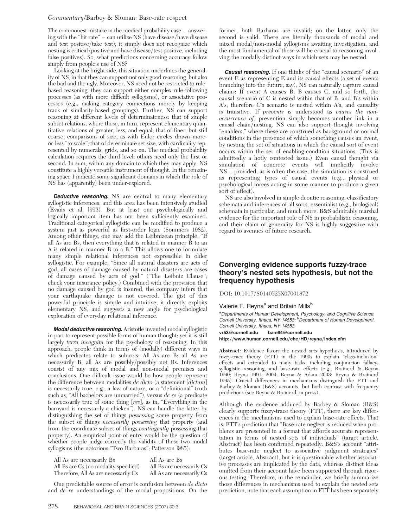The commonest mistake in the medical probability case – answering with the "hit rate" – can utilize NS (have disease/have disease and test positive/take test); it simply does not recognize which nesting is critical (positive and have disease/test positive, including false positives). So, what predictions concerning accuracy follow simply from people's use of NS?

Looking at the bright side, this situation underlines the generality of NS, in that they can support not only good reasoning, but also the bad and the ugly. Moreover, NS need not be restricted to rulebased reasoning: they can support either complex rule-following processes (as with more difficult syllogisms), or associative processes (e.g., making category connections merely by keeping track of similarity-based groupings). Further, NS can support reasoning at different levels of determinateness: that of simple subset relations, where these, in turn, represent elementary quantitative relations of greater, less, and equal; that of finer, but still coarse, comparisons of size, as with Euler circles drawn moreor-less "to scale"; that of determinate set size, with cardinality represented by numerals, grids, and so on. The medical probability calculation requires the third level; others need only the first or second. In sum, within any domain to which they may apply, NS constitute a highly versatile instrument of thought. In the remaining space I indicate some significant domains in which the role of NS has (apparently) been under-explored.

Deductive reasoning. NS are central to many elementary syllogistic inferences, and this area has been intensively studied (Evans et al. l993). But at least one psychologically and logically important item has not been sufficiently examined. Traditional categorical syllogistic can be modified to produce a system just as powerful as first-order logic (Sommers 1982). Among other things, one may add the Leibnizean principle, "If all As are Bs, then everything that is related in manner R to an A is related in manner R to a B." This allows one to formulate many simple relational inferences not expressible in older syllogistic. For example, "Since all natural disasters are acts of god, all cases of damage caused by natural disasters are cases of damage caused by acts of god." ("The Leibniz Clause"; check your insurance policy.) Combined with the provision that no damage caused by god is insured, the company infers that your earthquake damage is not covered. The gist of this powerful principle is simple and intuitive; it directly exploits elementary NS, and suggests a new angle for psychological exploration of everyday relational inference.

Modal deductive reasoning. Aristotle invented modal syllogistic in part to represent possible forms of human thought; yet it is still largely terra incognita for the psychology of reasoning. In this approach, people think in terms of (modally) different ways in which predicates relate to subjects: All As are B; all As are necessarily B; all As are possibly/possibly not Bs. Inferences consist of any mix of modal and non-modal premises and conclusions. One difficult issue would be how people represent the difference between modalities *de dicto* (a statement [*dictum*] is necessarily true, e.g., a law of nature, or a "definitional" truth such as, "All bachelors are unmarried"), versus de re (a predicate is necessarily true of some thing [res], as in, "Everything in the barnyard is necessarily a chicken"). NS can handle the latter by distinguishing the set of things possessing some property from the subset of things necessarily possessing that property (and from the coordinate subset of things contingently possessing that property). An empirical point of entry would be the question of whether people judge correctly the validity of these two modal syllogisms (the notorious "Two Barbaras"; Patterson l985):

| All As are necessarily Bs             | All As are Bs             |
|---------------------------------------|---------------------------|
| All Bs are Cs (no modality specified) | All Bs are necessarily Cs |
| Therefore, All As are necessarily Cs  | All As are necessarily Cs |

One predictable source of error is confusion between de dicto and de re understandings of the modal propositions. On the

former, both Barbaras are invalid; on the latter, only the second is valid. There are literally thousands of modal and mixed modal/non-modal syllogisms awaiting investigation, and the most fundamental of these will be crucial to reasoning involving the modally distinct ways in which sets may be nested.

**Causal reasoning.** If one thinks of the "causal scenario" of an event E as representing E and its causal effects (a set of events branching into the future, say), NS can naturally capture causal chains: If event A causes B, B causes C, and so forth, the causal scenario of C is nested within that of B, and B's within A's; therefore C's scenario is nested within A's, and causality is transitive. If prevents is understood as causes the nonoccurrence of, prevention simply becomes another link in a causal chain/nesting. NS can also support thought involving "enablers," where these are construed as background or normal conditions in the presence of which something causes an event, by nesting the set of situations in which the causal sort of event occurs within the set of enabling-condition situations. (This is admittedly a hotly contested issue.) Even causal thought via simulation of concrete events will implicitly involve NS – provided, as is often the case, the simulation is construed as representing types of causal events (e.g., physical or psychological forces acting in some manner to produce a given sort of effect).

NS are also involved in simple deontic reasoning, classificatory schemata and inferences of all sorts, essentialist (e.g., biological) schemata in particular, and much more. B&S admirably marshal evidence for the important role of NS in probabilistic reasoning, and their claim of generality for NS is highly suggestive with regard to avenues of future research.

### Converging evidence supports fuzzy-trace theory's nested sets hypothesis, but not the frequency hypothesis

DOI: 10.1017/S0140525X07001872

#### Valerie F. Reyna<sup>a</sup> and Britain Mills<sup>b</sup>

<sup>a</sup> Departments of Human Development, Psychology, and Cognitive Science, Cornell University, Ithaca, NY 14853; <sup>b</sup>Department of Human Development, Cornell University, Ithaca, NY 14853.

vr53@cornell.edu bam64@cornell.edu http://www.human.cornell.edu/che/HD/reyna/index.cfm

Abstract: Evidence favors the nested sets hypothesis, introduced by fuzzy-trace theory (FTT) in the 1990s to explain "class-inclusion" effects and extended to many tasks, including conjunction fallacy, syllogistic reasoning, and base-rate effects (e.g., Brainerd & Reyna 1990; Reyna 1991; 2004; Reyna & Adam 2003; Reyna & Brainerd 1995). Crucial differences in mechanisms distinguish the FTT and Barbey & Sloman (B&S) accounts, but both contrast with frequency predictions (see Reyna & Brainerd, in press).

Although the evidence adduced by Barbey & Sloman (B&S) clearly supports fuzzy-trace theory (FTT), there are key differences in the mechanisms used to explain base-rate effects. That is, FTT's prediction that "Base-rate neglect is reduced when problems are presented in a format that affords accurate representation in terms of nested sets of individuals" (target article, Abstract) has been confirmed repeatedly. B&S's account "attributes base-rate neglect to associative judgment strategies" (target article, Abstract), but it is questionable whether associative processes are implicated by the data, whereas distinct ideas omitted from their account have been supported through rigorous testing. Therefore, in the remainder, we briefly summarize those differences in mechanisms used to explain the nested sets prediction, note that each assumption in FTT has been separately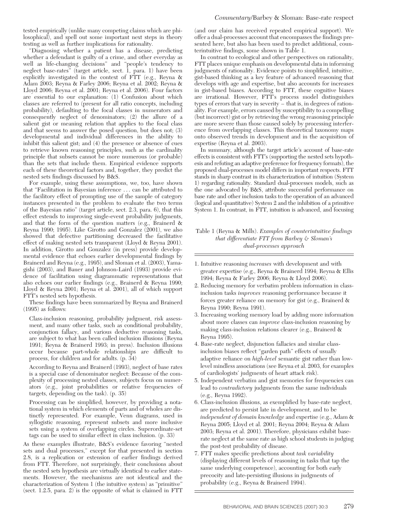tested empirically (unlike many competing claims which are philosophical), and spell out some important next steps in theory testing as well as further implications for rationality.

"Diagnosing whether a patient has a disease, predicting whether a defendant is guilty of a crime, and other everyday as well as life-changing decisions" and "people's tendency to neglect base-rates" (target article, sect. 1, para. 1) have been explicitly investigated in the context of FTT (e.g., Reyna & Adam 2003; Reyna & Farley 2006; Reyna et al. 2002; Reyna & Lloyd 2006; Reyna et al. 2001; Reyna et al. 2006). Four factors are essential to our explanation: (1) Confusion about which classes are referred to (present for all ratio concepts, including probability), defaulting to the focal classes in numerators and consequently neglect of denominators; (2) the allure of a salient gist or meaning relation that applies to the focal class and that seems to answer the posed question, but does not; (3) developmental and individual differences in the ability to inhibit this salient gist; and (4) the presence or absence of cues to retrieve known reasoning principles, such as the cardinality principle that subsets cannot be more numerous (or probable) than the sets that include them. Empirical evidence supports each of these theoretical factors and, together, they predict the nested sets findings discussed by B&S.

For example, using these assumptions, we, too, have shown that "Facilitation in Bayesian inference ... can be attributed to the facilitory effect of prompting use of the sample of category instances presented in the problem to evaluate the two terms of the Bayesian ratio" (target article, sect. 2.3, para. 6), that this effect extends to improving single-event probability judgments, and that the form of the question matters (e.g., Brainerd & Reyna 1990; 1995). Like Girotto and Gonzalez (2001), we also showed that defective partitioning decreased the facilitative effect of making nested sets transparent (Lloyd & Reyna 2001). In addition, Girotto and Gonzalez (in press) provide developmental evidence that echoes earlier developmental findings by Brainerd and Reyna (e.g., 1995), and Sloman et al. (2003), Yamagishi (2003), and Bauer and Johnson-Laird (1993) provide evidence of facilitation using diagrammatic representations that also echoes our earlier findings (e.g., Brainerd & Reyna 1990; Lloyd & Reyna 2001; Reyna et al. 2001), all of which support FTT's nested sets hypothesis.

These findings have been summarized by Reyna and Brainerd (1995) as follows:

- Class-inclusion reasoning, probability judgment, risk assessment, and many other tasks, such as conditional probability, conjunction fallacy, and various deductive reasoning tasks, are subject to what has been called inclusion illusions (Reyna 1991; Reyna & Brainerd 1993; in press). Inclusion illusions occur because part-whole relationships are difficult to process, for children and for adults. (p. 34)
- According to Reyna and Brainerd (1993), neglect of base rates is a special case of denominator neglect: Because of the complexity of processing nested classes, subjects focus on numerators (e.g., joint probabilities or relative frequencies of targets, depending on the task). (p. 35)
- Processing can be simplified, however, by providing a notational system in which elements of parts and of wholes are distinctly represented. For example, Venn diagrams, used in syllogistic reasoning, represent subsets and more inclusive sets using a system of overlapping circles. Superordinate-set tags can be used to similar effect in class inclusion. (p. 33)
- As these examples illustrate, B&S's evidence favoring "nested sets and dual processes," except for that presented in section 2.8, is a replication or extension of earlier findings derived from FTT. Therefore, not surprisingly, their conclusions about the nested sets hypothesis are virtually identical to earlier statements. However, the mechanisms are not identical and the characterization of System 1 (the intuitive system) as "primitive" (sect. 1.2.5, para. 2) is the opposite of what is claimed in FTT

(and our claim has received repeated empirical support). We offer a dual-processes account that encompasses the findings presented here, but also has been used to predict additional, counterintuitive findings, some shown in Table 1.

In contrast to ecological and other perspectives on rationality, FTT places unique emphasis on developmental data in informing judgments of rationality. Evidence points to simplified, intuitive, gist-based thinking as a key feature of advanced reasoning that develops with age and expertise, but also accounts for increases in gist-based biases. According to FTT, these cognitive biases are irrational. However, FTT's process model distinguishes types of errors that vary in severity – that is, in degrees of rationality. For example, errors caused by susceptibility to a compelling (but incorrect) gist or by retrieving the wrong reasoning principle are more severe than those caused solely by processing interference from overlapping classes. This theoretical taxonomy maps onto observed trends in development and in the acquisition of expertise (Reyna et al. 2003).

In summary, although the target article's account of base-rate effects is consistent with FTT's (supporting the nested sets hypothesis and refuting an adaptive preference for frequency formats), the proposed dual-processes model differs in important respects. FTT stands in sharp contrast in its characterization of intuition (System 1) regarding rationality. Standard dual-processes models, such as the one advocated by B&S, attribute successful performance on base rate and other inclusion tasks to the operation of an advanced (logical and quantitative) System 2 and the inhibition of a primitive System 1. In contrast, in FTT, intuition is advanced, and focusing

### Table 1 (Reyna & Mills). Examples of counterintuitive findings that differentiate FTT from Barbey  $\&$  Sloman's dual-processes approach

- 1. Intuitive reasoning increases with development and with greater expertise (e.g., Reyna & Brainerd 1994; Reyna & Ellis 1994; Reyna & Farley 2006; Reyna & Lloyd 2006).
- 2. Reducing memory for verbatim problem information in classinclusion tasks improves reasoning performance because it forces greater reliance on memory for gist (e.g., Brainerd & Reyna 1990; Reyna 1991).
- 3. Increasing working memory load by adding more information about more classes can improve class-inclusion reasoning by making class-inclusion relations clearer (e.g., Brainerd & Reyna 1995).
- 4. Base-rate neglect, disjunction fallacies and similar classinclusion biases reflect "garden path" effects of usually adaptive reliance on high-level semantic gist rather than lowlevel mindless associations (see Reyna et al. 2003, for examples of cardiologists' judgments of heart attack risk).
- 5. Independent verbatim and gist memories for frequencies can lead to contradictory judgments from the same individuals (e.g., Reyna 1992).
- 6. Class-inclusion illusions, as exemplified by base-rate neglect, are predicted to persist late in development, and to be independent of domain knowledge and expertise (e.g., Adam & Reyna 2005; Lloyd et al. 2001; Reyna 2004; Reyna & Adam 2003; Reyna et al. 2001). Therefore, physicians exhibit baserate neglect at the same rate as high school students in judging the post-test probability of disease.
- 7. FTT makes specific predictions about task variability (displaying different levels of reasoning in tasks that tap the same underlying competence), accounting for both early precocity and late-persisting illusions in judgments of probability (e.g., Reyna & Brainerd 1994).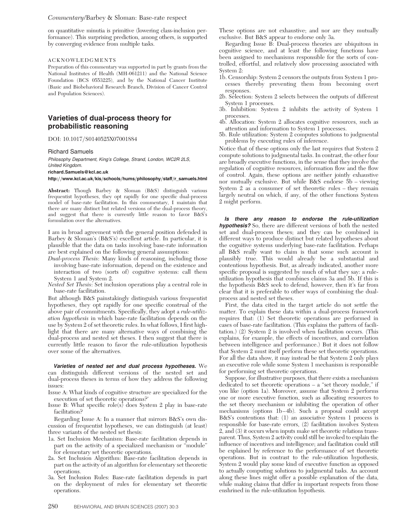on quantitative minutia is primitive (lowering class-inclusion performance). This surprising prediction, among others, is supported by converging evidence from multiple tasks.

#### ACKNOWLEDGMENTS

Preparation of this commentary was supported in part by grants from the National Institutes of Health (MH-061211) and the National Science Foundation (BCS 0553225), and by the National Cancer Institute (Basic and Biobehavioral Research Branch, Division of Cancer Control and Population Sciences).

### Varieties of dual-process theory for probabilistic reasoning

DOI: 10.1017/S0140525X07001884

#### Richard Samuels

Philosophy Department, King's College, Strand, London, WC2R 2LS, United Kingdom.

#### richard.Samuels@kcl.ac.uk

http://www.kcl.ac.uk/kis/schools/hums/philosophy/staff/r\_samuels.html

Abstract: Though Barbey & Sloman (B&S) distinguish various frequentist hypotheses, they opt rapidly for one specific dual-process model of base-rate facilitation. In this commentary, I maintain that there are many distinct but related versions of the dual-process theory, and suggest that there is currently little reason to favor B&S's formulation over the alternatives.

I am in broad agreement with the general position defended in Barbey & Sloman's (B&S's) excellent article. In particular, it is plausible that the data on tasks involving base-rate information are best explained on the following general assumptions:

Dual-process Thesis: Many kinds of reasoning, including those involving base-rate information, depend on the existence and interaction of two (sorts of) cognitive systems: call them System 1 and System 2.

Nested Set Thesis: Set inclusion operations play a central role in base-rate facilitation.

But although B&S painstakingly distinguish various frequentist hypotheses, they opt rapidly for one specific construal of the above pair of commitments. Specifically, they adopt a *rule-utiliz*ation hypothesis in which base-rate facilitation depends on the use by System 2 of set theoretic rules. In what follows, I first highlight that there are many alternative ways of combining the dual-process and nested set theses. I then suggest that there is currently little reason to favor the rule-utilization hypothesis over some of the alternatives.

Varieties of nested set and dual process hypotheses. We can distinguish different versions of the nested set and dual-process theses in terms of how they address the following issues:

Issue A: What kinds of cognitive structure are specialized for the execution of set theoretic operations?'

Issue B: What specific role(s) does System 2 play in base-rate facilitation?

Regarding Issue A: In a manner that mirrors B&S's own discussion of frequentist hypotheses, we can distinguish (at least) three variants of the nested set thesis:

- 1a. Set Inclusion Mechanism: Base-rate facilitation depends in part on the activity of a specialized mechanism or "module" for elementary set theoretic operations.
- 2a. Set Inclusion Algorithm: Base-rate facilitation depends in part on the activity of an algorithm for elementary set theoretic operations.
- 3a. Set Inclusion Rules: Base-rate facilitation depends in part on the deployment of rules for elementary set theoretic operations.

These options are not exhaustive; and nor are they mutually exclusive. But B&S appear to endorse only 3a.

Regarding Issue B: Dual-process theories are ubiquitous in cognitive science, and at least the following functions have been assigned to mechanisms responsible for the sorts of controlled, effortful, and relatively slow processing associated with System 2:

- 1b. Censorship: System 2 censors the outputs from System 1 processes thereby preventing them from becoming overt responses.
- 2b. Selection: System 2 selects between the outputs of different System 1 processes.
- 3b. Inhibition: System 2 inhibits the activity of System 1 processes.
- 4b. Allocation: System 2 allocates cognitive resources, such as
- 5b. Rule utilization: System 2 computes solutions to judgmental problems by executing rules of inference.

Notice that of these options only the last requires that System 2 compute solutions to judgmental tasks. In contrast, the other four are broadly executive functions, in the sense that they involve the regulation of cognitive resources, information flow and the flow of control. Again, these options are neither jointly exhaustive nor mutually exclusive. But while B&S endorse 5b – viewing System 2 as a consumer of set theoretic rules – they remain largely neutral on which, if any, of the other functions System 2 might perform.

Is there any reason to endorse the rule-utilization hypothesis? So, there are different versions of both the nested set and dual-process theses; and they can be combined in different ways to produce distinct but related hypotheses about the cognitive systems underlying base-rate facilitation. Perhaps all B&S really want to claim is that some such account is plausibly true. This would already be a substantial and contentious hypothesis. But, as already indicated, another more specific proposal is suggested by much of what they say: a ruleutilization hypothesis that combines claims 3a and 5b. If this is the hypothesis B&S seek to defend, however, then it's far from clear that it is preferable to other ways of combining the dualprocess and nested set theses.

First, the data cited in the target article do not settle the matter. To explain these data within a dual-process framework requires that: (1) Set theoretic operations are performed in cases of base-rate facilitation. (This explains the pattern of facilitation.) (2) System 2 is involved when facilitation occurs. (This explains, for example, the effects of incentives, and correlation between intelligence and performance.) But it does not follow that System 2 must itself perform these set theoretic operations. For all the data show, it may instead be that System 2 only plays an executive role while some System 1 mechanism is responsible for performing set theoretic operations.

Suppose, for illustrative purposes, that there exists a mechanism dedicated to set theoretic operations – a "set theory module," if you like (option 1a). Moreover, assume that System 2 performs one or more executive function, such as allocating resources to the set theory mechanism or inhibiting the operation of other mechanisms (options 1b–4b). Such a proposal could accept B&S's contentions that: (1) an associative System 1 process is responsible for base-rate errors, (2) facilitation involves System 2, and (3) it occurs when inputs make set theoretic relations transparent. Thus, System 2 activity could still be invoked to explain the influence of incentives and intelligence; and facilitation could still be explained by reference to the performance of set theoretic operations. But in contrast to the rule-utilization hypothesis, System 2 would play some kind of executive function as opposed to actually computing solutions to judgmental tasks. An account along these lines might offer a possible explanation of the data, while making claims that differ in important respects from those enshrined in the rule-utilization hypothesis.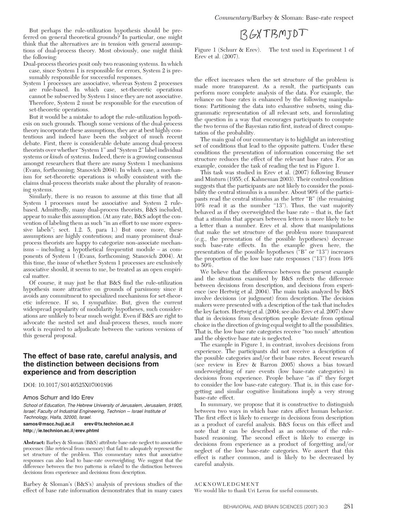But perhaps the rule-utilization hypothesis should be preferred on general theoretical grounds? In particular, one might think that the alternatives are in tension with general assumptions of dual-process theory. Most obviously, one might think the following:

- Dual-process theories posit only two reasoning systems. In which case, since System 1 is responsible for errors, System 2 is presumably responsible for successful responses.
- System 1 processes are associative, whereas System 2 processes are rule-based. In which case, set-theoretic operations cannot be subserved by System 1 since they are not associative. Therefore, System 2 must be responsible for the execution of set-theoretic operations.

But it would be a mistake to adopt the rule-utilization hypothesis on such grounds. Though some versions of the dual-process theory incorporate these assumptions, they are at best highly contentious and indeed have been the subject of much recent debate. First, there is considerable debate among dual-process theorists over whether "System 1" and "System 2" label individual systems or kinds of systems. Indeed, there is a growing consensus amongst researchers that there are many System 1 mechanisms (Evans, forthcoming; Stanovich 2004). In which case, a mechanism for set-theoretic operations is wholly consistent with the claims dual-process theorists make about the plurality of reasoning systems.

Similarly, there is no reason to assume at this time that all System 1 processes must be associative and System 2 rulebased. Admittedly, many dual-process theorists, B&S included, appear to make this assumption. (At any rate, B&S adopt the convention of labeling them as such "in an effort to use more expressive labels"; sect. 1.2. 5, para 1.) But once more, these assumptions are highly contentious; and many prominent dualprocess theorists are happy to categorize non-associate mechanisms – including a hypothetical frequentist module – as components of System 1 (Evans, forthcoming; Stanovich 2004). At this time, the issue of whether System 1 processes are exclusively associative should, it seems to me, be treated as an open empirical matter.

Of course, it may just be that B&S find the rule-utilization hypothesis more attractive on grounds of parsimony since it avoids any commitment to specialized mechanisms for set-theoretic inference. If so, I sympathize. But, given the current widespread popularity of modularity hypotheses, such considerations are unlikely to bear much weight. Even if B&S are right to advocate the nested set and dual-process theses, much more work is required to adjudicate between the various versions of this general proposal.

### The effect of base rate, careful analysis, and the distinction between decisions from experience and from description

DOI: 10.1017/S0140525X07001896

Amos Schurr and Ido Erev

School of Education, The Hebrew University of Jerusalem, Jerusalem, 91905, Israel; Faculty of Industrial Engineering, Technion – Israel Institute of Technology, Haifa, 32000, Israel.

#### samos@mscc.huji.ac.il erev@tx.technion.ac.il http://ie.technion.ac.il/erev.phtml

Abstract: Barbey & Sloman (B&S) attribute base-rate neglect to associative processes (like retrieval from memory) that fail to adequately represent the set structure of the problem. This commentary notes that associative responses can also lead to base-rate overweighting. We suggest that the difference between the two patterns is related to the distinction between decisions from experience and decisions from description.

Barbey & Sloman's (B&S's) analysis of previous studies of the effect of base rate information demonstrates that in many cases



Figure 1 (Schurr & Erev). The text used in Experiment 1 of Erev et al. (2007).

the effect increases when the set structure of the problem is made more transparent. As a result, the participants can perform more complete analysis of the data. For example, the reliance on base rates is enhanced by the following manipulations: Partitioning the data into exhaustive subsets, using diagrammatic representation of all relevant sets, and formulating the question in a way that encourages participants to compute the two terms of the Bayesian ratio first, instead of direct computation of the probability.

The main goal of our commentary is to highlight an interesting set of conditions that lead to the opposite pattern. Under these conditions the presentation of information concerning the set structure reduces the effect of the relevant base rates. For an example, consider the task of reading the text in Figure 1.

This task was studied in Erev et al. (2007) following Bruner and Minturn (1955; cf. Kahneman 2003). Their control condition suggests that the participants are not likely to consider the possibility the central stimulus is a number. About 90% of the participants read the central stimulus as the letter "B" (the remaining 10% read it as the number "13"). Thus, the vast majority behaved as if they overweighted the base rate – that is, the fact that a stimulus that appears between letters is more likely to be a letter than a number. Erev et al. show that manipulations that make the set structure of the problem more transparent (e.g., the presentation of the possible hypotheses) decrease such base-rate effects. In the example given here, the presentation of the possible hypotheses ("B" or "13") increases the proportion of the low base rate responses ("13") from  $10\%$ to  $50\%$ .

We believe that the difference between the present example and the situations examined by B&S reflects the difference between decisions from description, and decisions from experience (see Hertwig et al. 2004). The main tasks analyzed by B&S involve decisions (or judgment) from description. The decision makers were presented with a description of the task that includes the key factors. Hertwig et al. (2004; see also Erev et al. 2007) show that in decisions from description people deviate from optimal choice in the direction of giving equal weight to all the possibilities. That is, the low base rate categories receive "too much" attention and the objective base rate is neglected.

The example in Figure 1, in contrast, involves decisions from experience. The participants did not receive a description of the possible categories and/or their base rates. Recent research (see review in Erev & Barron 2005) shows a bias toward underweighting of rare events (low base-rate categories) in decisions from experience. People behave "as if" they forget to consider the low base-rate category. That is, in this case forgetting and similar cognitive limitations imply a very strong base-rate effect.

In summary, we propose that it is constructive to distinguish between two ways in which base rates affect human behavior. The first effect is likely to emerge in decisions from description as a product of careful analysis. B&S focus on this effect and note that it can be described as an outcome of the rulebased reasoning. The second effect is likely to emerge in decisions from experience as a product of forgetting and/or neglect of the low base-rate categories. We assert that this effect is rather common, and is likely to be decreased by careful analysis.

ACKNOWLEDGMENT We would like to thank Uri Leron for useful comments.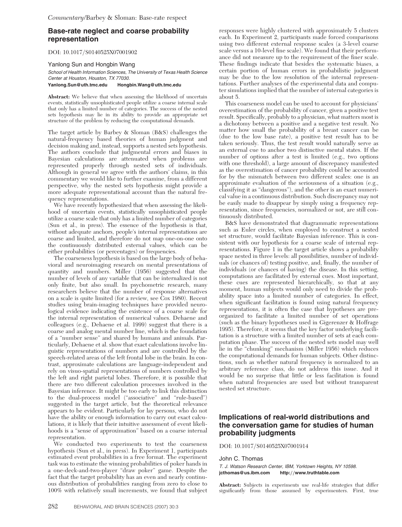### Base-rate neglect and coarse probability representation

#### DOI: 10.1017/S0140525X07001902

#### Yanlong Sun and Hongbin Wang

School of Health Information Sciences, The University of Texas Health Science Center at Houston, Houston, TX 77030.

#### Yanlong.Sun@uth.tmc.edu Hongbin.Wang@uth.tmc.edu

Abstract: We believe that when assessing the likelihood of uncertain events, statistically unsophisticated people utilize a coarse internal scale that only has a limited number of categories. The success of the nested sets hypothesis may lie in its ability to provide an appropriate set structure of the problem by reducing the computational demands.

The target article by Barbey & Sloman (B&S) challenges the natural-frequency based theories of human judgment and decision making and, instead, supports a nested sets hypothesis. The authors conclude that judgmental errors and biases in Bayesian calculations are attenuated when problems are represented properly through nested sets of individuals. Although in general we agree with the authors' claims, in this commentary we would like to further examine, from a different perspective, why the nested sets hypothesis might provide a more adequate representational account than the natural frequency representations.

We have recently hypothesized that when assessing the likelihood of uncertain events, statistically unsophisticated people utilize a coarse scale that only has a limited number of categories (Sun et al., in press). The essence of the hypothesis is that, without adequate anchors, people's internal representations are coarse and limited, and therefore do not map one-on-one onto the continuously distributed external values, which can be either probabilities (or percentages) or frequencies.

The coarseness hypothesis is based on the large body of behavioral and neuroimaging research on mental presentations of quantity and numbers. Miller (1956) suggested that the number of levels of any variable that can be internalized is not only finite, but also small. In psychometric research, many researchers believe that the number of response alternatives on a scale is quite limited (for a review, see Cox 1980). Recent studies using brain-imaging techniques have provided neurological evidence indicating the existence of a coarse scale for the internal representation of numerical values. Dehaene and colleagues (e.g., Dehaene et al. 1999) suggest that there is a coarse and analog mental number line, which is the foundation of a "number sense" and shared by humans and animals. Particularly, Dehaene et al. show that exact calculations involve linguistic representations of numbers and are controlled by the speech-related areas of the left frontal lobe in the brain. In contrast, approximate calculations are language-independent and rely on visuo-spatial representations of numbers controlled by the left and right parietal lobes. Therefore, it is possible that there are two different calculation processes involved in the Bayesian inference. It might be too early to link this distinction to the dual-process model ("associative" and "rule-based") suggested in the target article, but the theoretical relevance appears to be evident. Particularly for lay persons, who do not have the ability or enough information to carry out exact calculations, it is likely that their intuitive assessment of event likelihoods is a "sense of approximation" based on a coarse internal representation.

We conducted two experiments to test the coarseness hypothesis (Sun et al., in press). In Experiment 1, participants estimated event probabilities in a free format. The experiment task was to estimate the winning probabilities of poker hands in a one-deck-and-two-player "draw poker" game. Despite the fact that the target probability has an even and nearly continuous distribution of probabilities ranging from zero to close to 100% with relatively small increments, we found that subject

282 BEHAVIORAL AND BRAIN SCIENCES (2007) 30:3

responses were highly clustered with approximately 5 clusters each. In Experiment 2, participants made forced comparisons using two different external response scales (a 3-level coarse scale versus a 10-level fine scale). We found that their performance did not measure up to the requirement of the finer scale. These findings indicate that besides the systematic biases, a certain portion of human errors in probabilistic judgment may be due to the low resolution of the internal representations. Further analyses of the experimental data and computer simulations implied that the number of internal categories is about 5.

This coarseness model can be used to account for physicians' overestimation of the probability of cancer, given a positive test result. Specifically, probably to a physician, what matters most is a dichotomy between a positive and a negative test result. No matter how small the probability of a breast cancer can be (due to the low base rate), a positive test result has to be taken seriously. Thus, the test result would naturally serve as an external cue to anchor two distinctive mental states. If the number of options after a test is limited (e.g., two options with one threshold), a large amount of discrepancy manifested as the overestimation of cancer probability could be accounted for by the mismatch between two different scales: one is an approximate evaluation of the seriousness of a situation (e.g., classifying it as "dangerous"), and the other is an exact numerical value in a continuous distribution. Such discrepancy may not be easily made to disappear by simply using a frequency representation, since frequencies, normalized or not, are still continuously distributed.

B&S have demonstrated that diagrammatic representations such as Euler circles, when employed to construct a nested set structure, would facilitate Bayesian inference. This is consistent with our hypothesis for a coarse scale of internal representations. Figure 1 in the target article shows a probability space nested in three levels: all possibilities, number of individuals (or chances of) testing positive, and, finally, the number of individuals (or chances of having) the disease. In this setting, computations are facilitated by external cues. Most important, these cues are represented hierarchically, so that at any moment, human subjects would only need to divide the probability space into a limited number of categories. In effect, when significant facilitation is found using natural frequency representations, it is often the case that hypotheses are preorganized to facilitate a limited number of set operations (such as the binary hypotheses used in Gigerenzer & Hoffrage 1995). Therefore, it seems that the key factor underlying facilitation is a structure with a limited number of sets at each computation phase. The success of the nested sets model may well lie in the "chunking" mechanism (Miller 1956) which reduces the computational demands for human subjects. Other distinctions, such as whether natural frequency is normalized to an arbitrary reference class, do not address this issue. And it would be no surprise that little or less facilitation is found when natural frequencies are used but without transparent nested set structure.

### Implications of real-world distributions and the conversation game for studies of human probability judgments

DOI: 10.1017/S0140525X07001914

#### John C. Thomas

T. J. Watson Research Center, IBM, Yorktown Heights, NY 10598. jcthomas@us.ibm.com http://www.truthtable.com

Abstract: Subjects in experiments use real-life strategies that differ significantly from those assumed by experimenters. First, true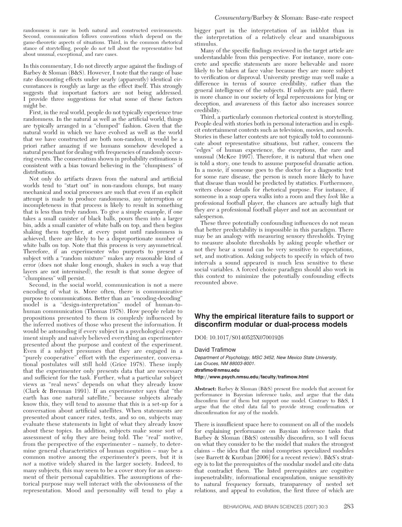randomness is rare in both natural and constructed environments. Second, communication follows conventions which depend on the game-theoretic aspects of situations. Third, in the common rhetorical stance of storytelling, people do not tell about the representative but about unusual, exceptional, and rare cases.

In this commentary, I do not directly argue against the findings of Barbey & Sloman (B&S). However, I note that the range of base rate discounting effects under nearly (apparently) identical circumstances is roughly as large as the effect itself. This strongly suggests that important factors are not being addressed. I provide three suggestions for what some of these factors might be.

First, in the real world, people do not typically experience true randomness. In the natural as well as the artificial world, things are typically arranged in a "clumped" fashion. Given that the natural world in which we have evolved as well as the world that we have constructed are both non-random, it would be a priori rather amazing if we humans somehow developed a natural penchant for dealing with frequencies of randomly occurring events. The conservatism shown in probability estimations is consistent with a bias toward believing in the "clumpiness" of distributions.

Not only do artifacts drawn from the natural and artificial worlds tend to "start out" in non-random clumps, but many mechanical and social processes are such that even if an explicit attempt is made to produce randomness, any interruption or incompleteness in that process is likely to result in something that is less than truly random. To give a simple example, if one takes a small canister of black balls, pours them into a larger bin, adds a small canister of white balls on top, and then begins shaking them together, at every point until randomness is achieved, there are likely to be a disproportionate number of white balls on top. Note that this process is very asymmetrical. Therefore, if an experimenter who purports to present a subject with a "random mixture" makes any reasonable kind of error (does not shake long enough, shakes in such a way that layers are not intermixed), the result is that some degree of "clumpiness" will persist.

Second, in the social world, communication is not a mere encoding of what is. More often, there is communicative purpose to communications. Better than an "encoding-decoding" model is a "design-interpretation" model of human-tohuman communication (Thomas 1978). How people relate to propositions presented to them is complexly influenced by the inferred motives of those who present the information. It would be astounding if every subject in a psychological experiment simply and naively believed everything an experimenter presented about the purpose and context of the experiment. Even if a subject presumes that they are engaged in a "purely cooperative" effort with the experimenter, conversational postulates will still hold (Grice 1978). These imply that the experimenter only presents data that are necessary and sufficient for the task. Further, what a particular subject views as "real news" depends on what they already know (Clark & Brennan 1991). If an experimenter says that "the earth has one natural satellite," because subjects already know this, they will tend to assume that this is a set-up for a conversation about artificial satellites. When statements are presented about cancer rates, tests, and so on, subjects may evaluate these statements in light of what they already know about these topics. In addition, subjects make some sort of assessment of why they are being told. The "real" motive, from the perspective of the experimenter – namely, to determine general characteristics of human cognition – may be a common motive among the experimenter's peers, but it is not a motive widely shared in the larger society. Indeed, to many subjects, this may seem to be a cover story for an assessment of their personal capabilities. The assumptions of rhetorical purpose may well interact with the obviousness of the representation. Mood and personality will tend to play a bigger part in the interpretation of an inkblot than in the interpretation of a relatively clear and unambiguous stimulus.

Many of the specific findings reviewed in the target article are understandable from this perspective. For instance, more concrete and specific statements are more believable and more likely to be taken at face value because they are more subject to verification or disproval. University prestige may well make a difference in terms of source credibility, rather than the general intelligence of the subjects. If subjects are paid, there is more chance in our society of legal repercussions for lying or deception, and awareness of this factor also increases source credibility.

Third, a particularly common rhetorical context is storytelling. People deal with stories both in personal interaction and in explicit entertainment contexts such as television, movies, and novels. Stories in these latter contexts are not typically told to communicate about representative situations, but rather, concern the "edges" of human experience, the exceptions, the rare and unusual (McKee 1997). Therefore, it is natural that when one is told a story, one tends to assume purposeful dramatic action. In a movie, if someone goes to the doctor for a diagnostic test for some rare disease, the person is much more likely to have that disease than would be predicted by statistics. Furthermore, writers choose details for rhetorical purpose. For instance, if someone in a soap opera walks into a room and they look like a professional football player, the chances are actually high that they are a professional football player and not an accountant or salesperson.

These three potentially confounding influences do not mean that better predictability is impossible in this paradigm. There may be an analogy with measuring sensory thresholds. Trying to measure absolute thresholds by asking people whether or not they hear a sound can be very sensitive to expectations, set, and motivation. Asking subjects to specify in which of two intervals a sound appeared is much less sensitive to these social variables. A forced choice paradigm should also work in this context to minimize the potentially confounding effects recounted above.

### Why the empirical literature fails to support or disconfirm modular or dual-process models

DOI: 10.1017/S0140525X07001926

David Trafimow

Department of Psychology, MSC 3452, New Mexico State University, Las Cruces, NM 88003-8001. dtrafimo@nmsu.edu http://www.psych.nmsu.edu/faculty/trafimow.html

Abstract: Barbey & Sloman (B&S) present five models that account for performance in Bayesian inference tasks, and argue that the data disconfirm four of them but support one model. Contrary to B&S, I argue that the cited data fail to provide strong confirmation or disconfirmation for any of the models.

There is insufficient space here to comment on all of the models for explaining performance on Baysian inference tasks that Barbey & Sloman (B&S) ostensibly disconfirm, so I will focus on what they consider to be the model that makes the strongest claims – the idea that the mind comprises specialized modules (see Barrett & Kurzban [2006] for a recent review). B&S's strategy is to list the prerequisites of the modular model and cite data that contradict them. The listed prerequisites are cognitive impenetrability, informational encapsulation, unique sensitivity to natural frequency formats, transparency of nested set relations, and appeal to evolution, the first three of which are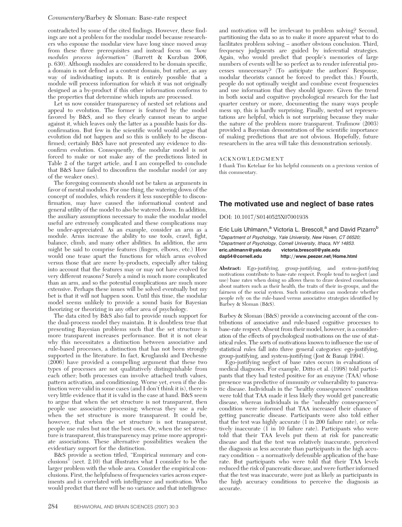contradicted by some of the cited findings. However, these findings are not a problem for the modular model because researchers who espouse the modular view have long since moved away from these three prerequisites and instead focus on "how modules process information" (Barrett & Kurzban 2006, p. 630). Although modules are considered to be domain specific, a domain is not defined as a content domain, but rather, as any way of individuating inputs. It is entirely possible that a module will process information for which it was not originally designed as a by-product if this other information conforms to the properties that determine which inputs are processed.

Let us now consider transparency of nested set relations and appeal to evolution. The former is featured by the model favored by B&S, and so they clearly cannot mean to argue against it, which leaves only the latter as a possible basis for disconfirmation. But few in the scientific world would argue that evolution did not happen and so this is unlikely to be disconfirmed; certainly B&S have not presented any evidence to disconfirm evolution. Consequently, the modular model is not forced to make or not make any of the predictions listed in Table 2 of the target article, and I am compelled to conclude that B&S have failed to disconfirm the modular model (or any of the weaker ones).

The foregoing comments should not be taken as arguments in favor of mental modules. For one thing, the watering down of the concept of modules, which renders it less susceptible to disconfirmation, may have caused the informational content and general utility of the model to also be watered down. In addition, the auxiliary assumptions necessary to make the modular model useful are extremely complicated and these complications may be under-appreciated. As an example, consider an arm as a module. Arms increase the ability to use tools, crawl, fight, balance, climb, and many other abilities. In addition, the arm might be said to comprise features (fingers, elbows, etc.) How would one tease apart the functions for which arms evolved versus those that are mere by-products, especially after taking into account that the features may or may not have evolved for very different reasons? Surely a mind is much more complicated than an arm, and so the potential complications are much more extensive. Perhaps these issues will be solved eventually but my bet is that it will not happen soon. Until this time, the modular model seems unlikely to provide a sound basis for Bayesian theorizing or theorizing in any other area of psychology.

The data cited by B&S also fail to provide much support for the dual-process model they maintain. It is doubtless true that presenting Bayesian problems such that the set structure is more transparent increases performance. But it is not clear why this necessitates a distinction between associative and rule-based processes, a distinction that has not been strongly supported in the literature. In fact, Kruglanski and Dechesne (2006) have provided a compelling argument that these two types of processes are not qualitatively distinguishable from each other; both processes can involve attached truth values, pattern activation, and conditioning. Worse yet, even if the distinction were valid in some cases (and I don't think it is), there is very little evidence that it is valid in the case at hand. B&S seem to argue that when the set structure is not transparent, then people use associative processing; whereas they use a rule when the set structure is more transparent. It could be, however, that when the set structure is not transparent, people use rules but not the best ones. Or, when the set structure is transparent, this transparency may prime more appropriate associations. These alternative possibilities weaken the evidentiary support for the distinction.

B&S provide a section titled, "Empirical summary and conclusions" (sect. 2.10) that illustrates what I consider to be the larger problem with the whole area. Consider the empirical conclusions. First, the helpfulness of frequencies varies across experiments and is correlated with intelligence and motivation. Who would predict that there will be no variance and that intelligence

and motivation will be irrelevant to problem solving? Second, partitioning the data so as to make it more apparent what to do facilitates problem solving – another obvious conclusion. Third, frequency judgments are guided by inferential strategies. Again, who would predict that people's memories of large numbers of events will be so perfect as to render inferential processes unnecessary? (To anticipate the authors' Response, modular theorists cannot be forced to predict this.) Fourth, people do not optimally weight and combine event frequencies and use information that they should ignore. Given the trend in both social and cognitive psychological research for the last quarter century or more, documenting the many ways people mess up, this is hardly surprising. Finally, nested set representations are helpful, which is not surprising because they make the nature of the problem more transparent. Trafimow (2003) provided a Bayesian demonstration of the scientific importance of making predictions that are not obvious. Hopefully, future researchers in the area will take this demonstration seriously.

#### ACKNOWLEDGMENT

I thank Tim Ketelaar for his helpful comments on a previous version of this commentary.

### The motivated use and neglect of base rates

DOI: 10.1017/S0140525X07001938

Eric Luis Uhlmann,<sup>a</sup> Victoria L. Brescoll,<sup>a</sup> and David Pizarro<sup>b</sup> <sup>a</sup>Department of Psychology, Yale University, New Haven, CT 06520; b

|                       | <sup>b</sup> Department of Psychology, Cornell University, Ithaca, NY 14853. |
|-----------------------|------------------------------------------------------------------------------|
| eric.uhlmann@yale.edu | victoria.brescoll@vale.edu                                                   |
| dap54@cornell.edu     | http://www.peezer.net/Home.html                                              |

Abstract: Ego-justifying, group-justifying, and system-justifying motivations contribute to base-rate respect. People tend to neglect (and use) base rates when doing so allows them to draw desired conclusions about matters such as their health, the traits of their in-groups, and the fairness of the social system. Such motivations can moderate whether people rely on the rule-based versus associative strategies identified by Barbey & Sloman (B&S).

Barbey & Sloman (B&S) provide a convincing account of the contributions of associative and rule-based cognitive processes to base-rate respect. Absent from their model, however, is a consideration of the effects of psychological motivations on the use of statistical rules. The sorts of motivations known to influence the use of statistical rules fall into three general categories: ego-justifying, group-justifying, and system-justifying (Jost & Banaji 1994).

Ego-justifying neglect of base rates occurs in evaluations of medical diagnoses. For example, Ditto et al. (1998) told participants that they had tested positive for an enzyme (TAA) whose presence was predictive of immunity or vulnerability to pancreatic disease. Individuals in the "healthy consequences" condition were told that TAA made it less likely they would get pancreatic disease, whereas individuals in the "unhealthy consequences" condition were informed that TAA increased their chance of getting pancreatic disease. Participants were also told either that the test was highly accurate  $(1 \text{ in } 200 \text{ failure rate})$ , or relatively inaccurate (1 in 10 failure rate). Participants who were told that their TAA levels put them at risk for pancreatic disease and that the test was relatively inaccurate, perceived the diagnosis as less accurate than participants in the high accuracy condition – a normatively defensible application of the base rate. But participants who were told that their TAA levels reduced the risk of pancreatic disease, and were further informed that the test was inaccurate, were just as likely as participants in the high accuracy conditions to perceive the diagnosis as accurate.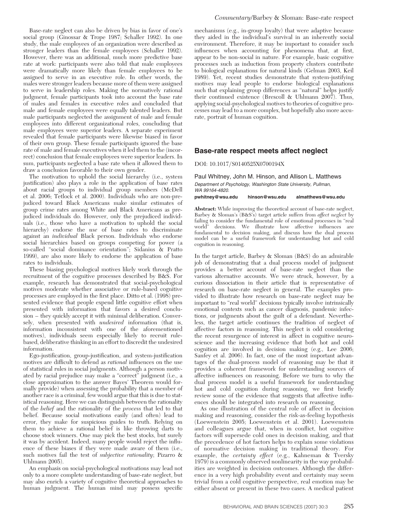Base-rate neglect can also be driven by bias in favor of one's social group (Ginossar & Trope 1987; Schaller 1992). In one study, the male employees of an organization were described as stronger leaders than the female employees (Schaller 1992). However, there was an additional, much more predictive base rate at work: participants were also told that male employees were dramatically more likely than female employees to be assigned to serve in an executive role. In other words, the males were stronger leaders because more of them were assigned to serve in leadership roles. Making the normatively rational judgment, female participants took into account the base rate of males and females in executive roles and concluded that male and female employees were equally talented leaders. But male participants neglected the assignment of male and female employees into different organizational roles, concluding that male employees were superior leaders. A separate experiment revealed that female participants were likewise biased in favor of their own group. These female participants ignored the base rate of male and female executives when it led them to the (incorrect) conclusion that female employees were superior leaders. In sum, participants neglected a base rate when it allowed them to draw a conclusion favorable to their own gender.

The motivation to uphold the social hierarchy (i.e., system justification) also plays a role in the application of base rates about racial groups to individual group members (McDell et al. 2006; Tetlock et al. 2000). Individuals who are non-prejudiced toward Black Americans make similar estimates of group crime rates among White and Black Americans as prejudiced individuals do. However, only the prejudiced individuals (i.e., those who have a motivation to uphold the social hierarchy) endorse the use of base rates to discriminate against an individual Black person. Individuals who endorse social hierarchies based on groups competing for power (a so-called "social dominance orientation"; Sidanius & Pratto 1999), are also more likely to endorse the application of base rates to individuals.

These biasing psychological motives likely work through the recruitment of the cognitive processes described by B&S. For example, research has demonstrated that social-psychological motives moderate whether associative or rule-based cognitive processes are employed in the first place. Ditto et al. (1998) presented evidence that people expend little cognitive effort when presented with information that favors a desired conclusion – they quickly accept it with minimal deliberation. Conversely, when presented with undesired information (that is, information inconsistent with one of the aforementioned motives), individuals seem especially likely to recruit rulebased, deliberative thinking in an effort to discredit the undesired information.

Ego-justification, group-justification, and system-justification motives are difficult to defend as rational influences on the use of statistical rules in social judgments. Although a person motivated by racial prejudice may make a "correct" judgment (i.e., a close approximation to the answer Bayes' Theorem would formally provide) when assessing the probability that a member of another race is a criminal, few would argue that this is due to statistical reasoning. Here we can distinguish between the rationality of the belief and the rationality of the process that led to that belief. Because social motivations easily (and often) lead to error, they make for suspicious guides to truth. Relying on them to achieve a rational belief is like throwing darts to choose stock winners. One may pick the best stocks, but surely it was by accident. Indeed, many people would reject the influence of these biases if they were made aware of them (i.e., such motives fail the test of subjective rationality; Pizarro & Uhlmann 2005).

An emphasis on social-psychological motivations may lead not only to a more complete understanding of base-rate neglect, but may also enrich a variety of cognitive theoretical approaches to human judgment. The human mind may possess specific mechanisms (e.g., in-group loyalty) that were adaptive because they aided in the individual's survival in an inherently social environment. Therefore, it may be important to consider such influences when accounting for phenomena that, at first, appear to be non-social in nature. For example, basic cognitive processes such as induction from property clusters contribute to biological explanations for natural kinds (Gelman 2003, Keil 1989). Yet, recent studies demonstrate that system-justifying motives may lead people to endorse biological explanations such that explaining group differences as "natural" helps justify their continued existence (Brescoll & Uhlmann 2007). Thus, applying social-psychological motives to theories of cognitive processes may lead to a more complex, but hopefully also more accurate, portrait of human cognition.

### Base-rate respect meets affect neglect

DOI: 10.1017/S0140525X0700194X

Paul Whitney, John M. Hinson, and Allison L. Matthews Department of Psychology, Washington State University, Pullman, WA 99164-4820.

pwhitney@wsu.edu hinson@wsu.edu almatthews@wsu.edu

Abstract: While improving the theoretical account of base-rate neglect, Barbey & Sloman's (B&S's) target article suffers from *affect neglect* by failing to consider the fundamental role of emotional processes in "real world" decisions. We illustrate how affective influences are fundamental to decision making, and discuss how the dual process model can be a useful framework for understanding hot and cold cognition in reasoning.

In the target article, Barbey & Sloman (B&S) do an admirable job of demonstrating that a dual process model of judgment provides a better account of base-rate neglect than the various alternative accounts. We were struck, however, by a curious dissociation in their article that is representative of research on base-rate neglect in general. The examples provided to illustrate how research on base-rate neglect may be important to "real world" decisions typically involve intrinsically emotional contexts such as cancer diagnosis, pandemic infections, or judgments about the guilt of a defendant. Nevertheless, the target article continues the tradition of neglect of affective factors in reasoning. This neglect is odd considering the recent resurgence of interest in affect in cognitive neuroscience and the increasing evidence that both hot and cold cognition are involved in decision making (e.g., Lee 2006; Sanfey et al. 2006). In fact, one of the most important advantages of the dual-process model of reasoning may be that it provides a coherent framework for understanding sources of affective influences on reasoning. Before we turn to why the dual process model is a useful framework for understanding hot and cold cognition during reasoning, we first briefly review some of the evidence that suggests that affective influences should be integrated into research on reasoning.

As one illustration of the central role of affect in decision making and reasoning, consider the risk-as-feeling hypothesis (Loewenstein 2005; Loewenstein et al. 2001). Loewenstein and colleagues argue that, when in conflict, hot cognitive factors will supersede cold ones in decision making, and that the precedence of hot factors helps to explain some violations of normative decision making in traditional theory. For example, the certainty effect (e.g., Kahneman & Tversky 1979) is a commonly observed nonlinearity in the way probabilities are weighted in decision outcomes. Although the difference in a very high probability event and certainty may seem trivial from a cold cognitive perspective, real emotion may be either absent or present in these two cases. A medical patient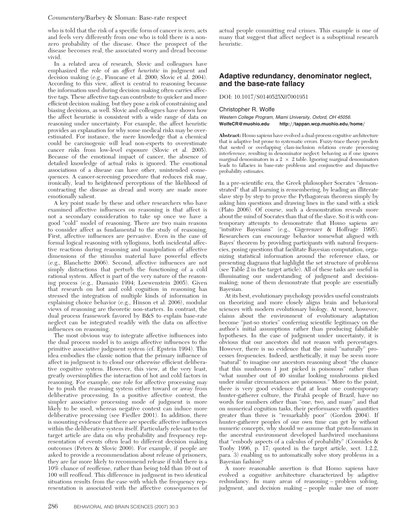who is told that the risk of a specific form of cancer is zero, acts and feels very differently from one who is told there is a nonzero probability of the disease. Once the prospect of the disease becomes real, the associated worry and dread become vivid.

In a related area of research, Slovic and colleagues have emphasized the role of an *affect heuristic* in judgment and decision making (e.g., Finucane et al. 2000; Slovic et al. 2004). According to this view, affect is central to reasoning because the information used during decision making often carries affective tags. These affective tags can contribute to quicker and more efficient decision making, but they pose a risk of constraining and biasing decisions, as well. Slovic and colleagues have shown how the affect heuristic is consistent with a wide range of data on reasoning under uncertainty. For example, the affect heuristic provides an explanation for why some medical risks may be overestimated. For instance, the mere knowledge that a chemical could be carcinogenic will lead non-experts to overestimate cancer risks from low-level exposure (Slovic et al. 2005). Because of the emotional impact of cancer, the absence of detailed knowledge of actual risks is ignored. The emotional associations of a disease can have other, unintended consequences. A cancer-screening procedure that reduces risk may, ironically, lead to heightened perceptions of the likelihood of contracting the disease as dread and worry are made more emotionally salient.

A key point made by these and other researchers who have examined affective influences on reasoning is that affect is not a secondary consideration to take up once we have a good "cold" model of reasoning. There are two main reasons to consider affect as fundamental to the study of reasoning. First, affective influences are pervasive. Even in the case of formal logical reasoning with syllogisms, both incidental affective reactions during reasoning and manipulation of affective dimensions of the stimulus material have powerful effects (e.g., Blanchette 2006). Second, affective influences are not simply distractions that perturb the functioning of a cold rational system. Affect is part of the very nature of the reasoning process (e.g., Damasio 1994; Loewenstein 2005). Given that research on hot and cold cognition in reasoning has stressed the integration of multiple kinds of information in explaining choice behavior (e.g., Hinson et al. 2006), modular views of reasoning are theoretic non-starters. In contrast, the dual process framework favored by B&S to explain base-rate neglect can be integrated readily with the data on affective influences on reasoning.

The most obvious way to integrate affective influences into the dual process model is to assign affective influences to the primitive associative judgment system (cf. Epstein 1994). This idea embodies the classic notion that the primary influence of affect in judgment is to cloud our otherwise efficient deliberative cognitive system. However, this view, at the very least, greatly oversimplifies the interaction of hot and cold factors in reasoning. For example, one role for affective processing may be to push the reasoning system either toward or away from deliberative processing. In a positive affective context, the simpler associative processing mode of judgment is more likely to be used, whereas negative context can induce more deliberative processing (see Fiedler 2001). In addition, there is mounting evidence that there are specific affective influences within the deliberative system itself. Particularly relevant to the target article are data on why probability and frequency representation of events often lead to different decision making outcomes (Peters & Slovic 2000). For example, if people are asked to provide a recommendation about release of prisoners, they are far more likely to recommend release if told there is a 10% chance of reoffense, rather than being told than 10 out of 100 will reoffend. This difference in judgment in two identical situations results from the ease with which the frequency representation is associated with the affective consequences of actual people committing real crimes. This example is one of many that suggest that affect neglect is a suboptimal research heuristic.

### Adaptive redundancy, denominator neglect, and the base-rate fallacy

DOI: 10.1017/S0140525X07001951

#### Christopher R. Wolfe

Western College Program, Miami University, Oxford, OH 45056. WolfeCR@muohio.edu http://tappan.wcp.muohio.edu/home/

Abstract: Homo sapiens have evolved a dual-process cognitive architecture that is adaptive but prone to systematic errors. Fuzzy-trace theory predicts that nested or overlapping class-inclusion relations create processing interference, resulting in denominator neglect: behaving as if one ignores marginal denominators in a  $2 \times 2$  table. Ignoring marginal denominators leads to fallacies in base-rate problems and conjunctive and disjunctive probability estimates.

In a pre-scientific era, the Greek philosopher Socrates "demonstrated" that all learning is remembering, by leading an illiterate slave step by step to prove the Pythagorean theorem simply by asking him questions and drawing lines in the sand with a stick (Plato 2006). Of course, such a demonstration reveals more about the mind of Socrates than that of the slave. So it is with contemporary attempts to demonstrate that Homo sapiens are "intuitive Bayesians" (e.g., Gigerenzer & Hoffrage 1995). Researchers can encourage behavior somewhat aligned with Bayes' theorem by providing participants with natural frequencies, posing questions that facilitate Bayesian computation, organizing statistical information around the reference class, or presenting diagrams that highlight the set structure of problems (see Table 2 in the target article). All of these tasks are useful in illuminating our understanding of judgment and decisionmaking; none of them demonstrate that people are essentially Bayesian.

At its best, evolutionary psychology provides useful constraints on theorizing and more closely aligns brain and behavioral sciences with modern evolutionary biology. At worst, however, claims about the environment of evolutionary adaptation become "just-so stories" conferring scientific legitimacy on the author's initial assumptions rather than producing falsifiable hypotheses. In the case of judgment under uncertainty, it is obvious that our ancestors did not reason with percentages. However, there is no evidence that the mind "naturally" processes frequencies. Indeed, aesthetically, it may be seem more "natural" to imagine our ancestors reasoning about "the chance that this mushroom I just picked is poisonous" rather than "what number out of 40 similar looking mushrooms picked under similar circumstances are poisonous." More to the point, there is very good evidence that at least one contemporary hunter-gatherer culture, the Pirahã people of Brazil, have no words for numbers other than "one, two, and many" and that on numerical cognition tasks, their performance with quantities greater than three is "remarkably poor" (Gordon 2004). If hunter-gatherer peoples of our own time can get by without numeric concepts, why should we assume that proto-humans in the ancestral environment developed hardwired mechanisms that "embody aspects of a calculus of probability" (Cosmides & Tooby 1996, p. 17; quoted in the target article, sect. 1.2.2, para. 3) enabling us to automatically solve story problems in a Bayesian fashion?

A more reasonable assertion is that Homo sapiens have evolved a cognitive architecture characterized by adaptive redundancy. In many areas of reasoning – problem solving, judgment, and decision making – people make use of more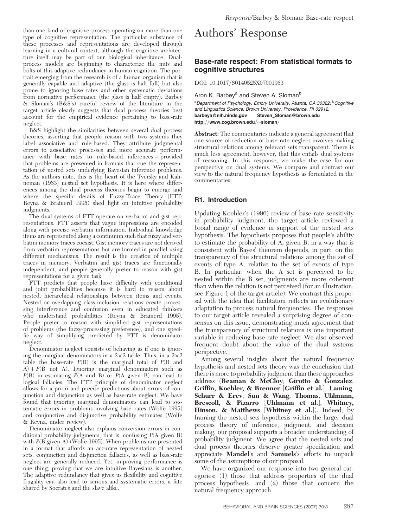than one kind of cognitive process operating on more than one type of cognitive representation. The particular substance of these processes and representations are developed through learning in a cultural context, although the cognitive architecture itself may be part of our biological inheritance. Dualprocess models are beginning to characterize the nuts and bolts of this adaptive redundancy in human cognition. The portrait emerging from the research is of a human organism that is generally capable and adaptive (the glass is half full) but also prone to ignoring base rates and other systematic deviations from normative performance (the glass is half empty). Barbey & Sloman's (B&S's) careful review of the literature in the target article clearly suggests that dual process theories best account for the empirical evidence pertaining to base-rate neglect.

B&S highlight the similarities between several dual process theories, asserting that people reason with two systems they label associative and rule-based. They attribute judgmental errors to associative processes and more accurate performance with base rates to rule-based inferences – provided that problems are presented in formats that cue the representation of nested sets underlying Bayesian inference problems. As the authors note, this is the heart of the Tversky and Kahneman (1983) nested set hypothesis. It is here where differences among the dual process theories begin to emerge and where the specific details of Fuzzy-Trace Theory (FTT; Reyna & Brainerd 1995) shed light on intuitive probability judgments.

The dual systems of FTT operate on verbatim and gist representations. FTT asserts that vague impressions are encoded along with precise verbatim information. Individual knowledge items are represented along a continuum such that fuzzy and verbatim memory traces coexist. Gist memory traces are not derived from verbatim representations but are formed in parallel using different mechanisms. The result is the creation of multiple traces in memory. Verbatim and gist traces are functionally independent, and people generally prefer to reason with gist representations for a given task.

FTT predicts that people have difficulty with conditional and joint probabilities because it is hard to reason about nested, hierarchical relationships between items and events. Nested or overlapping class-inclusion relations create processing interference and confusion even in educated thinkers who understand probabilities (Reyna & Brainerd 1995). People prefer to reason with simplified gist representations of problems (the fuzzy-processing preference), and one specific way of simplifying predicted by FTT is denominator neglect.

Denominator neglect consists of behaving as if one is ignoring the marginal denominators in a  $2 \times 2$  table. Thus, in a  $2 \times 2$ table the base-rate  $P(B)$  is the marginal total of  $P(B \text{ and } B)$  $A$ ) +  $P(B \text{ not } A)$ . Ignoring marginal denominators such as  $P(B)$  in estimating  $P(A \text{ and } B)$  or  $P(A \text{ given } B)$  can lead to logical fallacies. The FTT principle of denominator neglect allows for a priori and precise predictions about errors of conjunction and disjunction as well as base-rate neglect. We have found that ignoring marginal denominators can lead to systematic errors in problems involving base rates (Wolfe 1995) and conjunctive and disjunctive probability estimates (Wolfe & Reyna, under review).

Denominator neglect also explains conversion errors in conditional probability judgments, that is, confusing P(A given B) with P(B given A) (Wolfe 1995). When problems are presented in a format that affords an accurate representation of nested sets, conjunction and disjunction fallacies, as well as base-rate neglect are generally reduced. Yet, improving performance is one thing, proving that we are intuitive Bayesians is another. The adaptive redundancy that gives us flexibility and cognitive frugality can also lead to serious and systematic errors, a fate shared by Socrates and the slave alike.

## Authors' Response

### Base-rate respect: From statistical formats to cognitive structures

DOI: 10.1017/S0140525X07001963

Aron K. Barbey<sup>a</sup> and Steven A. Sloman<sup>b</sup>

<sup>a</sup>Department of Psychology, Emory University, Atlanta, GA 30322; <sup>b</sup>Cognitive and Linguistics Science, Brown University, Providence, RI 02912. barbeya@nih.ninds.gov Steven\_Sloman@brown.edu http://www.cog.brown.edu/ $\sim$ sloman/

Abstract: The commentaries indicate a general agreement that one source of reduction of base-rate neglect involves making structural relations among relevant sets transparent. There is much less agreement, however, that this entails dual systems of reasoning. In this response, we make the case for our perspective on dual systems. We compare and contrast our view to the natural frequency hypothesis as formulated in the commentaries.

### R1. Introduction

Updating Koehler's (1996) review of base-rate sensitivity in probability judgment, the target article reviewed a broad range of evidence in support of the nested sets hypothesis. The hypothesis proposes that people's ability to estimate the probability of A, given B, in a way that is consistent with Bayes' theorem depends, in part, on the transparency of the structural relations among the set of events of type A, relative to the set of events of type B. In particular, when the A set is perceived to be nested within the B set, judgments are more coherent than when the relation is not perceived (for an illustration, see Figure 1 of the target article). We contrast this proposal with the idea that facilitation reflects an evolutionary adaptation to process natural frequencies. The responses to our target article revealed a surprising degree of consensus on this issue, demonstrating much agreement that the transparency of structural relations is one important variable in reducing base-rate neglect. We also observed frequent doubt about the value of the dual systems perspective.

Among several insights about the natural frequency hypothesis and nested sets theory was the conclusion that there is more to probability judgment than these approaches address (Beaman & McCloy, Girotto & Gonzalez, Griffin, Koehler, & Brenner [Griffin et al.], Laming, Schurr & Erev, Sun & Wang, Thomas, Uhlmann, Brescoll, & Pizarro [Uhlmann et al.], Whitney, Hinson, & Matthews [Whitney et al.]). Indeed, by framing the nested sets hypothesis within the larger dual process theory of inference, judgment, and decision making, our proposal supports a broader understanding of probability judgment. We agree that the nested sets and dual process theories deserve greater specification and appreciate Mandel's and Samuels's efforts to unpack some of the assumptions of our proposal.

We have organized our response into two general categories: (1) those that address properties of the dual process hypothesis, and (2) those that concern the natural frequency approach.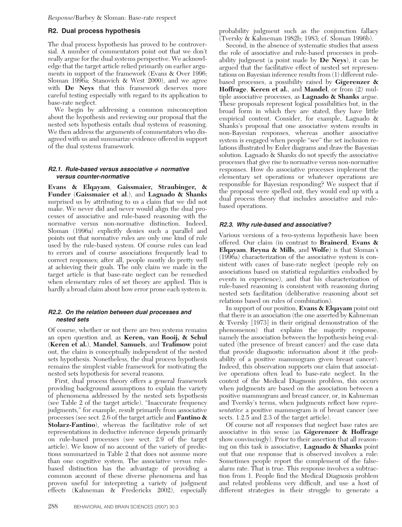### R2. Dual process hypothesis

The dual process hypothesis has proved to be controversial. A number of commentators point out that we don't really argue for the dual systems perspective. We acknowledge that the target article relied primarily on earlier arguments in support of the framework (Evans & Over 1996; Sloman 1996a; Stanovich & West 2000), and we agree with **De Neys** that this framework deserves more careful testing especially with regard to its application to base-rate neglect.

We begin by addressing a common misconception about the hypothesis and reviewing our proposal that the nested sets hypothesis entails dual systems of reasoning. We then address the arguments of commentators who disagreed with us and summarize evidence offered in support of the dual systems framework.

### R2.1. Rule-based versus associative  $\neq$  normative versus counter-normative

Evans & Elqayam, Gaissmaier, Straubinger, & Funder (Gaissmaier et al.), and Lagnado & Shanks surprised us by attributing to us a claim that we did not make. We never did and never would align the dual processes of associative and rule-based reasoning with the normative versus non-normative distinction. Indeed, Sloman (1996a) explicitly denies such a parallel and points out that normative rules are only one kind of rule used by the rule-based system. Of course rules can lead to errors and of course associations frequently lead to correct responses; after all, people mostly do pretty well at achieving their goals. The only claim we made in the target article is that base-rate neglect can be remedied when elementary rules of set theory are applied. This is hardly a broad claim about how error prone each system is.

#### R2.2. On the relation between dual processes and nested sets

Of course, whether or not there are two systems remains an open question and, as Keren, van Rooij, & Schul (Keren et al.), Mandel, Samuels, and Trafimow point out, the claim is conceptually independent of the nested sets hypothesis. Nonetheless, the dual process hypothesis remains the simplest viable framework for motivating the nested sets hypothesis for several reasons.

First, dual process theory offers a general framework providing background assumptions to explain the variety of phenomena addressed by the nested sets hypothesis (see Table 2 of the target article). "Inaccurate frequency judgments," for example, result primarily from associative processes (see sect. 2.6 of the target article and **Fantino &** Stolarz-Fantino), whereas the facilitative role of set representations in deductive inference depends primarily on rule-based processes (see sect. 2.9 of the target article). We know of no account of the variety of predictions summarized in Table 2 that does not assume more than one cognitive system. The associative versus rulebased distinction has the advantage of providing a common account of these diverse phenomena and has proven useful for interpreting a variety of judgment effects (Kahneman & Fredericks 2002), especially

288 BEHAVIORAL AND BRAIN SCIENCES (2007) 30:3

probability judgment such as the conjunction fallacy (Tversky & Kahneman 1982b; 1983; cf. Sloman 1996b).

Second, in the absence of systematic studies that assess the role of associative and rule-based processes in probability judgment (a point made by De Neys), it can be argued that the facilitative effect of nested set representations on Bayesian inference results from (1) different rulebased processes, a possibility raised by **Gigerenzer &** Hoffrage, Keren et al., and Mandel, or from (2) multiple associative processes, as Lagnado & Shanks argue. These proposals represent logical possibilities but, in the broad form in which they are stated, they have little empirical content. Consider, for example, Lagnado & Shanks's proposal that one associative system results in non-Bayesian responses, whereas another associative system is engaged when people "see" the set inclusion relations illustrated by Euler diagrams and draw the Bayesian solution. Lagnado & Shanks do not specify the associative processes that give rise to normative versus non-normative responses. How do associative processes implement the elementary set operations or whatever operations are responsible for Bayesian responding? We suspect that if the proposal were spelled out, they would end up with a dual process theory that includes associative and rulebased operations.

#### R2.3. Why rule-based and associative?

Various versions of a two-systems hypothesis have been offered. Our claim (in contrast to Brainerd, Evans & Elqayam, Reyna & Mills, and Wolfe) is that Sloman's (1996a) characterization of the associative system is consistent with cases of base-rate neglect (people rely on associations based on statistical regularities embodied by events in experience), and that his characterization of rule-based reasoning is consistent with reasoning during nested sets facilitation (deliberative reasoning about set relations based on rules of combination).

In support of our position, Evans & Elqayam point out that there is an association (the one asserted by Kahneman & Tversky [1973] in their original demonstration of the phenomenon) that explains the majority response, namely the association between the hypothesis being evaluated (the presence of breast cancer) and the case data that provide diagnostic information about it (the probability of a positive mammogram given breast cancer). Indeed, this observation supports our claim that associative operations often lead to base-rate neglect. In the context of the Medical Diagnosis problem, this occurs when judgments are based on the association between a positive mammogram and breast cancer, or, in Kahneman and Tversky's terms, when judgments reflect how representative a positive mammogram is of breast cancer (see sects. 1.2.5 and 2.3 of the target article).

Of course not all responses that neglect base rates are associative in this sense (as Gigerenzer & Hoffrage show convincingly). Prior to their assertion that all reasoning on this task is associative, Lagnado & Shanks point out that one response that is observed involves a rule: Sometimes people report the complement of the falsealarm rate. That is true. This response involves a subtraction from 1. People find the Medical Diagnosis problem and related problems very difficult, and use a host of different strategies in their struggle to generate a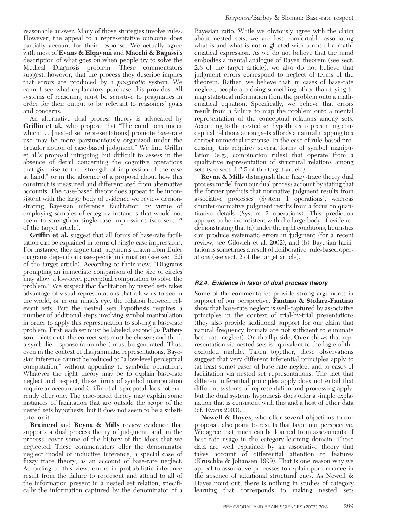reasonable answer. Many of those strategies involve rules. However, the appeal to a representative outcome does partially account for their response. We actually agree with most of Evans & Elqayam and Macchi & Bagassi's description of what goes on when people try to solve the Medical Diagnosis problem. These commentators suggest, however, that the process they describe implies that errors are produced by a pragmatic system. We cannot see what explanatory purchase this provides. All systems of reasoning must be sensitive to pragmatics in order for their output to be relevant to reasoners' goals and concerns.

An alternative dual process theory is advocated by Griffin et al., who propose that "The conditions under which ... [nested set representations] promote base-rate use may be more parsimoniously organized under the broader notion of case-based judgment." We find Griffin et al.'s proposal intriguing but difficult to assess in the absence of detail concerning the cognitive operations that give rise to the "strength of impression of the case at hand," or in the absence of a proposal about how this construct is measured and differentiated from alternative accounts. The case-based theory does appear to be inconsistent with the large body of evidence we review demonstrating Bayesian inference facilitation by virtue of employing samples of category instances that would not seem to strengthen single-case impressions (see sect. 2 of the target article).

Griffin et al. suggest that all forms of base-rate facilitation can be explained in terms of single-case impressions. For instance, they argue that judgments drawn from Euler diagrams depend on case-specific information (see sect. 2.5 of the target article). According to their view, "Diagrams prompting an immediate comparison of the size of circles may allow a low-level perceptual computation to solve the problem." We suspect that facilitation by nested sets takes advantage of visual representations that allow us to see in the world, or in our mind's eye, the relation between relevant sets. But the nested sets hypothesis requires a number of additional steps involving symbol manipulation in order to apply this representation to solving a base-rate problem. First, each set must be labeled; second (as Patterson points out), the correct sets must be chosen; and third, a symbolic response (a number) must be generated. Thus, even in the context of diagrammatic representations, Bayesian inference cannot be reduced to "a low-level perceptual computation," without appealing to symbolic operations. Whatever the right theory may be to explain base-rate neglect and respect, these forms of symbol manipulation require an account and Griffin et al.'s proposal does not currently offer one. The case-based theory may explain some instances of facilitation that are outside the scope of the nested sets hypothesis, but it does not seem to be a substitute for it.

Brainerd and Reyna & Mills review evidence that supports a dual process theory of judgment, and, in the process, cover some of the history of the ideas that we neglected. These commentators offer the denominator neglect model of inductive inference, a special case of fuzzy trace theory, as an account of base-rate neglect. According to this view, errors in probabilistic inference result from the failure to represent and attend to all of the information present in a nested set relation, specifically the information captured by the denominator of a

Bayesian ratio. While we obviously agree with the claim about nested sets, we are less comfortable associating what is and what is not neglected with terms of a mathematical expression. As we do not believe that the mind embodies a mental analogue of Bayes' theorem (see sect. 2.8 of the target article), we also do not believe that judgment errors correspond to neglect of terms of the theorem. Rather, we believe that, in cases of base-rate neglect, people are doing something other than trying to map statistical information from the problem onto a mathematical equation. Specifically, we believe that errors result from a failure to map the problem onto a mental representation of the conceptual relations among sets. According to the nested set hypothesis, representing conceptual relations among sets affords a natural mapping to a correct numerical response. In the case of rule-based processing, this requires several forms of symbol manipulation (e.g., combination rules) that operate from a qualitative representation of structural relations among sets (see sect. 1.2.5 of the target article).

Reyna & Mills distinguish their fuzzy-trace theory dual process model from our dual process account by stating that the former predicts that normative judgment results from associative processes (System 1 operations), whereas counter-normative judgment results from a focus on quantitative details (System 2 operations). This prediction appears to be inconsistent with the large body of evidence demonstrating that (a) under the right conditions, heuristics can produce systematic errors in judgment (for a recent review, see Gilovich et al. 2002), and (b) Bayesian facilitation is sometimes a result of deliberative, rule-based operations (see sect. 2 of the target article).

### R2.4. Evidence in favor of dual process theory

Some of the commentaries provide strong arguments in support of our perspective. Fantino & Stolarz-Fantino show that base-rate neglect is well-captured by associative principles in the context of trial-by-trial presentations (they also provide additional support for our claim that natural frequency formats are not sufficient to eliminate base-rate neglect). On the flip side, Over shows that representation via nested sets is equivalent to the logic of the excluded middle. Taken together, these observations suggest that very different inferential principles apply to (at least some) cases of base-rate neglect and to cases of facilitation via nested set representations. The fact that different inferential principles apply does not entail that different systems of representation and processing apply, but the dual systems hypothesis does offer a simple explanation that is consistent with this and a host of other data (cf. Evans 2003).

Newell & Hayes, who offer several objections to our proposal, also point to results that favor our perspective. We agree that much can be learned from assessments of base-rate usage in the category-learning domain. Those data are well explained by an associative theory that takes account of differential attention to features (Kruschke & Johansen 1999). That is one reason why we appeal to associative processes to explain performance in the absence of additional structural cues. As Newell & Hayes point out, there is nothing in studies of category learning that corresponds to making nested sets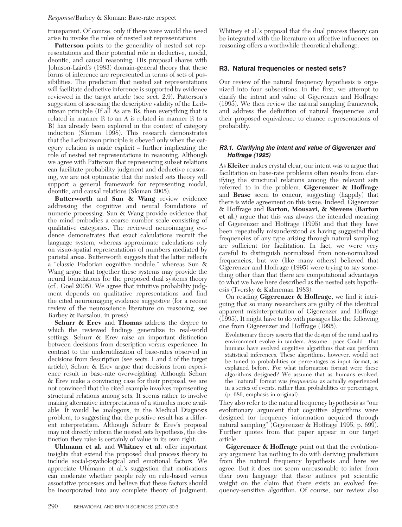#### Response/Barbey & Sloman: Base-rate respect

transparent. Of course, only if there were would the need arise to invoke the rules of nested set representations.

Patterson points to the generality of nested set representations and their potential role in deductive, modal, deontic, and causal reasoning. His proposal shares with Johnson-Laird's (1983) domain-general theory that these forms of inference are represented in terms of sets of possibilities. The prediction that nested set representations will facilitate deductive inference is supported by evidence reviewed in the target article (see sect. 2.9). Patterson's suggestion of assessing the descriptive validity of the Leibnizean principle (If all As are Bs, then everything that is related in manner R to an A is related in manner R to a B) has already been explored in the context of category induction (Sloman 1998). This research demonstrates that the Leibnizean principle is obeyed only when the category relation is made explicit – further implicating the role of nested set representations in reasoning. Although we agree with Patterson that representing subset relations can facilitate probability judgment and deductive reasoning, we are not optimistic that the nested sets theory will support a general framework for representing modal, deontic, and causal relations (Sloman 2005).

Butterworth and Sun & Wang review evidence addressing the cognitive and neural foundations of numeric processing. Sun & Wang provide evidence that the mind embodies a coarse number scale consisting of qualitative categories. The reviewed neuroimaging evidence demonstrates that exact calculations recruit the language system, whereas approximate calculations rely on visuo-spatial representations of numbers mediated by parietal areas. Butterworth suggests that the latter reflects a "classic Fodorian cognitive module," whereas Sun & Wang argue that together these systems may provide the neural foundations for the proposed dual systems theory (cf., Goel 2005). We agree that intuitive probability judgment depends on qualitative representations and find the cited neuroimaging evidence suggestive (for a recent review of the neuroscience literature on reasoning, see Barbey & Barsalou, in press).

Schurr & Erev and Thomas address the degree to which the reviewed findings generalize to real-world settings. Schurr & Erev raise an important distinction between decisions from description versus experience. In contrast to the underutilization of base-rates observed in decisions from description (see sects. 1 and 2 of the target article), Schurr & Erev argue that decisions from experience result in base-rate overweighting. Although Schurr & Erev make a convincing case for their proposal, we are not convinced that the cited example involves representing structural relations among sets. It seems rather to involve making alternative interpretations of a stimulus more available. It would be analogous, in the Medical Diagnosis problem, to suggesting that the positive result has a different interpretation. Although Schurr & Erev's proposal may not directly inform the nested sets hypothesis, the distinction they raise is certainly of value in its own right.

Uhlmann et al. and Whitney et al. offer important insights that extend the proposed dual process theory to include social-psychological and emotional factors. We appreciate Uhlmann et al.'s suggestion that motivations can moderate whether people rely on rule-based versus associative processes and believe that these factors should be incorporated into any complete theory of judgment.

Whitney et al.'s proposal that the dual process theory can be integrated with the literature on affective influences on reasoning offers a worthwhile theoretical challenge.

### R3. Natural frequencies or nested sets?

Our review of the natural frequency hypothesis is organized into four subsections. In the first, we attempt to clarify the intent and value of Gigerenzer and Hoffrage (1995). We then review the natural sampling framework, and address the definition of natural frequencies and their proposed equivalence to chance representations of probability.

### R3.1. Clarifying the intent and value of Gigerenzer and Hoffrage (1995)

As Kleiter makes crystal clear, our intent was to argue that facilitation on base-rate problems often results from clarifying the structural relations among the relevant sets referred to in the problem. Gigerenzer  $\&$  Hoffrage and Brase seem to concur, suggesting (happily) that there is wide agreement on this issue. Indeed, Gigerenzer & Hoffrage and Barton, Mousavi, & Stevens (Barton et al.) argue that this was always the intended meaning of Gigerenzer and Hoffrage (1995) and that they have been repeatedly misunderstood as having suggested that frequencies of any type arising through natural sampling are sufficient for facilitation. In fact, we were very careful to distinguish normalized from non-normalized frequencies, but we (like many others) believed that Gigerenzer and Hoffrage (1995) were trying to say something other than that there are computational advantages to what we have here described as the nested sets hypothesis (Tversky & Kahneman 1983).

On reading Gigerenzer & Hoffrage, we find it intriguing that so many researchers are guilty of the identical apparent misinterpretation of Gigerenzer and Hoffrage (1995). It might have to do with passages like the following one from Gigerenzer and Hoffrage (1995).

Evolutionary theory asserts that the design of the mind and its environment evolve in tandem. Assume—pace Gould—that humans have evolved cognitive algorithms that can perform statistical inferences. These algorithms, however, would not be tuned to probabilities or percentages as input format, as explained before. For what information format were these algorithms designed? We assume that as humans evolved, the "natural" format was frequencies as actually experienced in a series of events, rather than probabilities or percentages. (p. 686, emphasis in original)

They also refer to the natural frequency hypothesis as "our evolutionary argument that cognitive algorithms were designed for frequency information acquired through natural sampling" (Gigerenzer & Hoffrage 1995, p. 699). Further quotes from that paper appear in our target article.

Gigerenzer & Hoffrage point out that the evolutionary argument has nothing to do with deriving predictions from the natural frequency hypothesis and here we agree. But it does not seem unreasonable to infer from their own language that these authors put scientific weight on the claim that there exists an evolved frequency-sensitive algorithm. Of course, our review also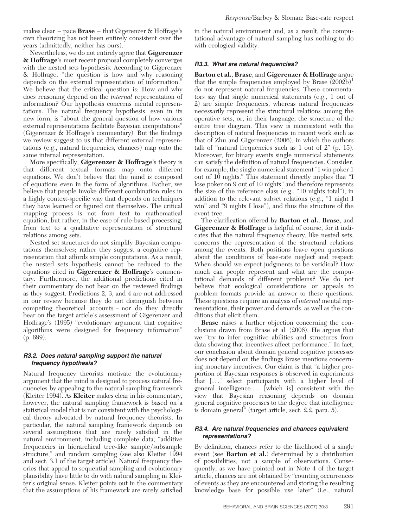makes clear – pace **Brase** – that Gigerenzer  $\&$  Hoffrage's own theorizing has not been entirely consistent over the years (admittedly, neither has ours).

Nevertheless, we do not entirely agree that Gigerenzer & Hoffrage's most recent proposal completely converges with the nested sets hypothesis. According to Gigerenzer & Hoffrage, "the question is how and why reasoning depends on the external representation of information." We believe that the critical question is: How and why does reasoning depend on the internal representation of information? Our hypothesis concerns mental representations. The natural frequency hypothesis, even in its new form, is "about the general question of how various external representations facilitate Bayesian computations" (Gigerenzer & Hoffrage's commentary). But the findings we review suggest to us that different external representations (e.g., natural frequencies, chances) map onto the same internal representation.

More specifically, Gigerenzer & Hoffrage's theory is that different textual formats map onto different equations. We don't believe that the mind is composed of equations even in the form of algorithms. Rather, we believe that people invoke different combination rules in a highly context-specific way that depends on techniques they have learned or figured out themselves. The critical mapping process is not from text to mathematical equation, but rather, in the case of rule-based processing, from text to a qualitative representation of structural relations among sets.

Nested set structures do not simplify Bayesian computations themselves; rather they suggest a cognitive representation that affords simple computations. As a result, the nested sets hypothesis cannot be reduced to the equations cited in Gigerenzer & Hoffrage's commentary. Furthermore, the additional predictions cited in their commentary do not bear on the reviewed findings as they suggest. Predictions 2, 3, and 4 are not addressed in our review because they do not distinguish between competing theoretical accounts – nor do they directly bear on the target article's assessment of Gigerenzer and Hoffrage's (1995) "evolutionary argument that cognitive algorithms were designed for frequency information" (p. 699).

### R3.2. Does natural sampling support the natural frequency hypothesis?

Natural frequency theorists motivate the evolutionary argument that the mind is designed to process natural frequencies by appealing to the natural sampling framework (Kleiter 1994). As Kleiter makes clear in his commentary, however, the natural sampling framework is based on a statistical model that is not consistent with the psychological theory advocated by natural frequency theorists. In particular, the natural sampling framework depends on several assumptions that are rarely satisfied in the natural environment, including complete data, "additive frequencies in hierarchical tree-like sample/subsample structure," and random sampling (see also Kleiter 1994 and sect. 3.1 of the target article). Natural frequency theories that appeal to sequential sampling and evolutionary plausibility have little to do with natural sampling in Kleiter's original sense. Kleiter points out in the commentary that the assumptions of his framework are rarely satisfied

in the natural environment and, as a result, the computational advantage of natural sampling has nothing to do with ecological validity.

### R3.3. What are natural frequencies?

Barton et al., Brase, and Gigerenzer & Hoffrage argue that the simple frequencies employed by Brase  $(2002b)^1$ do not represent natural frequencies. These commentators say that single numerical statements (e.g., 1 out of 2) are simple frequencies, whereas natural frequencies necessarily represent the structural relations among the operative sets, or, in their language, the structure of the entire tree diagram. This view is inconsistent with the description of natural frequencies in recent work such as that of Zhu and Gigerenzer (2006), in which the authors talk of "natural frequencies such as 1 out of 2" (p. 15). Moreover, for binary events single numerical statements can satisfy the definition of natural frequencies. Consider, for example, the single numerical statement "I win poker 1 out of 10 nights." This statement directly implies that "I lose poker on 9 out of 10 nights" and therefore represents the size of the reference class (e.g., "10 nights total"), in addition to the relevant subset relations (e.g., "1 night I win" and "9 nights I lose"), and thus the structure of the event tree.

The clarification offered by Barton et al., Brase, and Gigerenzer & Hoffrage is helpful of course, for it indicates that the natural frequency theory, like nested sets, concerns the representation of the structural relations among the events. Both positions leave open questions about the conditions of base-rate neglect and respect: When should we expect judgments to be veridical? How much can people represent and what are the computational demands of different problems? We do not believe that ecological considerations or appeals to problem formats provide an answer to these questions. These questions require an analysis of internal mental representations, their power and demands, as well as the conditions that elicit them.

Brase raises a further objection concerning the conclusions drawn from Brase et al. (2006). He argues that we "try to infer cognitive abilities and structures from data showing that incentives affect performance." In fact, our conclusion about domain general cognitive processes does not depend on the findings Brase mentions concerning monetary incentives. Our claim is that "a higher proportion of Bayesian responses is observed in experiments that [...] select participants with a higher level of general intelligence ... [which is] consistent with the view that Bayesian reasoning depends on domain general cognitive processes to the degree that intelligence is domain general" (target article, sect. 2.2, para. 5).

### R3.4. Are natural frequencies and chances equivalent representations?

By definition, chances refer to the likelihood of a single event (see Barton et al.) determined by a distribution of possibilities, not a sample of observations. Consequently, as we have pointed out in Note 4 of the target article, chances are not obtained by "counting occurrences of events as they are encountered and storing the resulting knowledge base for possible use later" (i.e., natural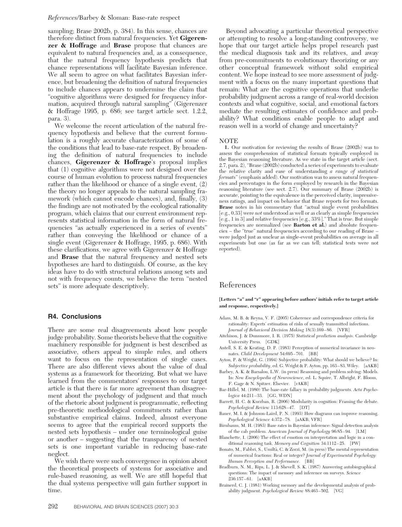#### References/Barbey & Sloman: Base-rate respect

sampling; Brase 2002b, p. 384). In this sense, chances are therefore distinct from natural frequencies. Yet **Gigeren**zer & Hoffrage and Brase propose that chances are equivalent to natural frequencies and, as a consequence, that the natural frequency hypothesis predicts that chance representations will facilitate Bayesian inference. We all seem to agree on what facilitates Bayesian inference, but broadening the definition of natural frequencies to include chances appears to undermine the claim that "cognitive algorithms were designed for frequency information, acquired through natural sampling" (Gigerenzer & Hoffrage 1995, p. 686; see target article sect. 1.2.2, para. 3).

We welcome the recent articulation of the natural frequency hypothesis and believe that the current formulation is a roughly accurate characterization of some of the conditions that lead to base-rate respect. By broadening the definition of natural frequencies to include chances, Gigerenzer & Hoffrage's proposal implies that (1) cognitive algorithms were not designed over the course of human evolution to process natural frequencies rather than the likelihood or chance of a single event, (2) the theory no longer appeals to the natural sampling framework (which cannot encode chances), and, finally, (3) the findings are not motivated by the ecological rationality program, which claims that our current environment represents statistical information in the form of natural frequencies "as actually experienced in a series of events" rather than conveying the likelihood or chance of a single event (Gigerenzer & Hoffrage, 1995, p. 686). With these clarifications, we agree with Gigerenzer & Hoffrage and Brase that the natural frequency and nested sets hypotheses are hard to distinguish. Of course, as the key ideas have to do with structural relations among sets and not with frequency counts, we believe the term "nested sets" is more adequate descriptively.

#### R4. Conclusions

There are some real disagreements about how people judge probability. Some theorists believe that the cognitive machinery responsible for judgment is best described as associative, others appeal to simple rules, and others want to focus on the representation of single cases. There are also different views about the value of dual systems as a framework for theorizing. But what we have learned from the commentators' responses to our target article is that there is far more agreement than disagreement about the psychology of judgment and that much of the rhetoric about judgment is programmatic, reflecting pre-theoretic methodological commitments rather than substantive empirical claims. Indeed, almost everyone seems to agree that the empirical record supports the nested sets hypothesis – under one terminological guise or another – suggesting that the transparency of nested sets is one important variable in reducing base-rate neglect.

We wish there were such convergence in opinion about the theoretical prospects of systems for associative and rule-based reasoning, as well. We are still hopeful that the dual systems perspective will gain further support in time.

Beyond advocating a particular theoretical perspective or attempting to resolve a long-standing controversy, we hope that our target article helps propel research past the medical diagnosis task and its relatives, and away from pre-commitments to evolutionary theorizing or any other conceptual framework without solid empirical content. We hope instead to see more assessment of judgment with a focus on the many important questions that remain: What are the cognitive operations that underlie probability judgment across a range of real-world decision contexts and what cognitive, social, and emotional factors mediate the resulting estimates of confidence and probability? What conditions enable people to adapt and reason well in a world of change and uncertainty?

#### NOTE

1. Our motivation for reviewing the results of Brase (2002b) was to assess the comprehension of statistical formats typically employed in the Bayesian reasoning literature. As we state in the target article (sect. 2.7, para. 2), "Brase (2002b) conducted a series of experiments to evaluate the relative clarity and ease of understanding a range of statistical formats" (emphasis added). Our motivation was to assess natural frequencies and percentages in the form employed by research in the Bayesian reasoning literature (see sect. 2.7). Our summary of Brase (2002b) is accurate, pointing to the equivalence in the perceived clarity, impressiveness ratings, and impact on behavior that Brase reports for two formats. Brase notes in his commentary that "actual single event probabilities  $[e.g., 0.33]$  were *not* understood as well or as clearly as simple frequencies [e.g., 1 in 3] and relative frequencies [e.g., 33%]." That is true. But simple frequencies are normalized (see **Barton et al.**) and absolute frequencies – the "true" natural frequencies according to our reading of Brase – were judged just as unclear as single-event probabilities on average in all experiments but one (as far as we can tell; statistical tests were not reported).

### References

[Letters "a" and "r" appearing before authors' initials refer to target article and response, respectively.]

Adam, M. B. & Reyna, V. F. (2005) Coherence and correspondence criteria for rationality: Experts' estimation of risks of sexually transmitted infections. Journal of Behavioral Decision Making 18(3):169-86. [VFR]

- Aitchison, J. & Dunsmore, I. R. (1975) Statistical prediction analysis. Cambridge University Press. [GDK]
- Antell, S. E. & Keating, D. P. (1983) Perception of numerical invariance in neonates. Child Development 54:695-701. [BB]
- Ayton, P. & Wright, G. (1994) Subjective probability: What should we believe? In: Subjective probability, ed. G. Wright & P. Ayton, pp. 163 – 83. Wiley. [aAKB]
- Barbey, A. K. & Barsalou, L.W. (in press) Reasoning and problem solving: Models. In: New Encyclopedia of Neuroscience, ed. L. Squire, T. Albright, F. Bloom, F. Gage & N. Spitzer. Elsevier. [rAKB]
- Bar-Hillel, M. (1980) The base-rate fallacy in probability judgments. Acta Psychologica 44:211-33. [GG, WDN]
- Barrett, H. C. & Kurzban, R. (2006) Modularity in cognition: Framing the debate. Psychological Review 113:628-47. [DT]
- Bauer, M. I. & Johnson-Laird, P. N. (1993) How diagrams can improve reasoning. Psychological Science 4:372-78. [aAKB, VFR]
- Birnbaum, M. H. (1983) Base rates in Bayesian inference: Signal detection analysis of the cab problem. American Journal of Psychology 96:85 – 94. [LM]
- Blanchette, I. (2006) The effect of emotion on interpretation and logic in a conditional reasoning task. Memory and Cognition 34:1112-25. [PW]
- Bonato, M., Fabbri, S., Umiltà, C. & Zorzi, M. (in press) The mental representation of numerical fractions: Real or integer? Journal of Experimental Psychology: Human Perception and Performance. [BB]
- Bradburn, N. M., Rips, L. J. & Shevell, S. K. (1987) Answering autobiographical questions: The impact of memory and inference on surveys. Science 236:157 –61. [aAKB]
- Brainerd, C. J. (1981) Working memory and the developmental analysis of probability judgment. Psychological Review 88:463 – 502. [VG]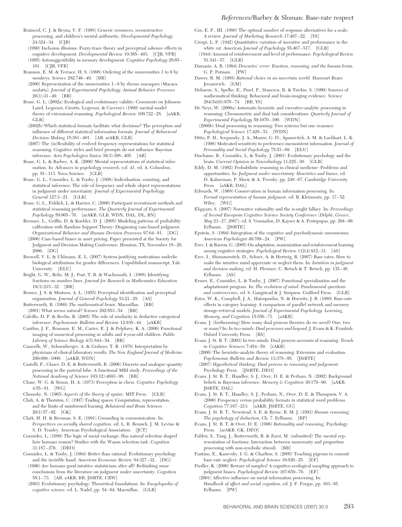- Brainerd, C. J. & Reyna, V. F. (1988) Generic resources, reconstructive processing, and children's mental arithmetic. Developmental Psychology 24:324-34. [CJB]
- (1990) Inclusion illusions: Fuzzy-trace theory and perceptual salience effects in cognitive development. Developmental Review 10:365 – 403. [CJB, VFR]

(1995) Autosuggestibility in memory development. Cognitive Psychology 28:65 – 101. [CJB, VFR]

Brannon, E. M. & Terrace, H. S. (1998) Ordering of the numerosities 1 to 9 by monkeys. Science 282:746-49. [BB]

(2000) Representation of the numerosities 1 – 9 by rhesus macaques (Macaca mulatta). Journal of Experimental Psychology: Animal Behavior Processes  $26(1):31-49.$  [BB]

- Brase, G. L. (2002a) Ecological and evolutionary validity: Comments on Johnson-Laird, Legrenzi, Girotto, Legrenzi, & Caverni's (1999) mental-model theory of extensional reasoning. Psychological Review 109:722-28. [aAKB, GLB]
- (2002b) Which statistical formats facilitate what decisions? The perception and influence of different statistical information formats. Journal of Behavioral Decision Making 15:381-401. [AB, arAKB, GLB]
- (2007) The (in)flexibility of evolved frequency representations for statistical reasoning: Cognitive styles and brief prompts do not influence Bayesian inference. Acta Psychologica Sinica 39(3):398 –405. [AB]
- Brase, G. L. & Barbey, A. K. (2006) Mental representations of statistical information. In: Advances in psychology research, vol. 41, ed. A. Columbus, pp. 91-113. Nova Science. [GLB]
- Brase, G. L., Cosmides, L. & Tooby, J. (1998) Individuation, counting, and statistical inference: The role of frequency and whole object representations in judgment under uncertainty. Journal of Experimental Psychology: General 127:3– 21. [GLB]

Brase, G. L., Fiddick, L. & Harries, C. (2006) Participant recruitment methods and statistical reasoning performance. The Quarterly Journal of Experimental Psychology 59:965-76. [arAKB, GLB, WDN, DAL, DL, BN]

Brenner, L., Griffin, D. & Koehler, D. J. (2005) Modeling patterns of probability calibration with Random Support Theory: Diagnosing case-based judgment. Organizational Behavior and Human Decision Processes 97:64-81. [DG]

(2006) Case-based biases in asset pricing. Paper presented at the Society for Judgment and Decision Making Conference, Houston, TX, November 18 –20, 2006. [DG]

- Brescoll, V. L. & Uhlmann, E. L. (2007) System-justifying motivations underlie biological attributions for gender differences. Unpublished manuscript, Yale University. [ELU]
- Bright, G. W., Behr, M. J., Post, T. R. & Wachsmuth, I. (1988) Identifying fractions on number lines. Journal for Research in Mathematics Education 19(3):215 – 32. [BB]

Bruner, J. S. & Minturn, A. L. (1955) Perceptual identification and perceptual organization. Journal of General Psychology 53:21 – 28. [AS]

Butterworth, B. (1999) The mathematical brain. Macmillan. [BB] (2001) What seems natural? Science 292:853-54.  $[BB]$ 

- Calvillo, D. P. & Revlin, R. (2005) The role of similarity in deductive categorical inference. Psychonomic Bulletin and Review 12:938 – 44. [aAKB]
- Cantlon, J. F., Brannon, E. M., Carter, E. J. & Pelphrey, K. A. (2006) Functional imaging of numerical processing in adults and 4-year-old children. Public Library of Science Biology 4(5):844-54. [BB]

Casscells, W., Schoenberger, A. & Graboys, T. B. (1978) Interpretation by physicians of clinical laboratory results. The New England Journal of Medicine 299:999 – 1000. [aAKB, WDN]

Castelli, F., Glaser, D. E. & Butterworth, B. (2006) Discrete and analogue quantity processing in the parietal lobe: A functional MRI study. Proceedings of the National Academy of Science 103(12):4693 – 98. [BB]

- Chase, W. G. & Simon, H. A. (1973) Perception in chess. Cognitive Psychology 4:55 – 81. [WG]
- Chomsky, N. (1965) Aspects of the theory of syntax. MIT Press. [GLB]
- Clark, A. & Thornton, C. (1997) Trading spaces: Computation, representation, and the limits of uninformed learning. Behavioral and Brain Sciences 20(1):57–92. [GK]
- Clark, H. H. & Brennan, S. E. (1991) Grounding in communication. In: Perspectives on socially shared cognition, ed. L. B. Resnick, J. M. Levine & S. D. Teasley. American Psychological Association. [JCT]
- Cosmides, L. (1989) The logic of social exchange: Has natural selection shaped how humans reason? Studies with the Wason selection task. Cognition 31:187 – 276. [DEO]
- Cosmides, L. & Tooby, J. (1994) Better than rational: Evolutionary psychology and the invisible hand. American Economic Review 84:327-32. [DG]
- (1996) Are humans good intuitive statisticians after all? Rethinking some conclusions from the literature on judgment under uncertainty. Cognition 58:1 – 73. [AB, aAKB, BB, JStBTE, CRW]
- (2003) Evolutionary psychology: Theoretical foundations. In: Encyclopedia of cognitive science, ed. L. Nadel, pp. 54 – 64. Macmillan. [GLB]
- Cox, E. P., III. (1980) The optimal number of response alternatives for a scale: A review. Journal of Marketing Research 17:407 – 22. [YS]
- Crespi, L. P. (1942) Quantitative variation of incentive and performance in the white rat. American Journal of Psychology 55:467-517. [GLB]
- (1944) Amount of reinforcement and level of performance. Psychological Review 51:341-57. [GLB]
- Damasio, A. R. (1994) Descartes' error: Emotion, reasoning, and the human brain. G. P. Putnam. [PW]
- Dawes, R. M. (1988) Rational choice in an uncertain world. Harcourt Brace Jovanovich. [LM]
- Dehaene, S., Spelke, E., Pinel, P., Stanescu, R. & Tsivkin, S. (1999) Sources of mathematical thinking: Behavioral and brain-imaging evidence. Science 284(5416):970-74. [BB, YS]

De Neys, W. (2006a) Automatic-heuristic and executive-analytic processing in reasoning: Chronometric and dual task considerations. Quarterly Journal of Experimental Psychology 59:1070-100. [WDN]

(2006b) Dual processing in reasoning: Two systems but one reasoner. Psychological Science 17:428-33. [WDN]

- Ditto, P. H., Scepansky, J. A., Munro, G. D., Apanovitch, A. M. & Lockhart, L. K. (1998) Motivated sensitivity to preference-inconsistent information. Journal of Personality and Social Psychology 75:53-69. [ELU]
- Duchaine, B., Cosmides, L. & Tooby, J. (2001) Evolutionary psychology and the brain. Current Opinion in Neurobiology 11:225 – 30. [GLB]

Eddy, D. M. (1982) Probabilistic reasoning in clinical medicine: Problems and opportunities. In: Judgment under uncertainty: Heuristics and biases, ed. D. Kahneman, P. Slovic & A. Tversky, pp. 249 –67. Cambridge University Press. [aAKB, DAL]

Edwards, W. (1968) Conservatism in human information processing. In: Formal representation of human judgment, ed. B. Kleinmutz, pp. 17 – 52. Wiley. [WG]

- Elqayam, S. (2007) Normative rationality and the is-ought fallacy. In: Proceedings of Second European Cognitive Science Society Conference (Delphi, Greece, May 23– 27, 2007), ed. S. Vosniadou, D. Kayser & A. Protopapas, pp. 294 – 99. Erlbaum. [JStBTE]
- Epstein, S. (1994) Integration of the cognitive and psychodynamic unconscious. American Psychologist 49:709-24. [PW]
- Erev, I. & Barron, G. (2005) On adaptation, maximization and reinforcement learning among cognitive strategies. Psychological Review 112(4):912–31. [AS]
- Erev, I., Shimonowitch, D., Schurr, A. & Hertwig, R. (2007) Base rates: How to make the intuitive mind appreciate or neglect them. In: Intuition in judgment and decision making, ed. H. Plessner, C. Betsch & T. Betsch, pp. 135 – 48. Erlbaum. [AS]
- Ermer, E., Cosmides, L. & Tooby, J. (2007) Functional specialization and the adaptationist program. In:  $The\ evolution\ of\ mind\colon Fundamental\ questions$ and controversies, ed. S. Gangstead & J. Simpson. Guilford Press. [GLB]
- Estes, W. K., Campbell, J. A., Hatsopoulos, N. & Hurwitz, J. B. (1989) Base-rate effects in category learning: A comparison of parallel network and memory storage-retrieval models. Journal of Experimental Psychology: Learning, Memory, and Cognition 15:556-71. [aAKB]
- Evans, J. (forthcoming) How many dual process theories do we need? One, two or many? In: In two minds: Dual processes and beyond, J. Evans & K. Frankish. Oxford University Press. [RS]
- Evans, J. St. B. T. (2003) In two minds: Dual process accounts of reasoning. Trends in Cognitive Sciences 7:454-59. [rAKB]
- (2006) The heuristic-analytic theory of reasoning: Extension and evaluation. Psychonomic Bulletin and Review 13:378-95. [JStBTE]
- (2007) Hypothetical thinking: Dual process in reasoning and judgement. Psychology Press. [JStBTE, DEO]
- Evans, J. St. B. T., Handley, S. J., Over, D. E. & Perham, N. (2002) Background beliefs in Bayesian inference. Memory & Cognition 30:179-90. [aAKB, JStBTE, DAL]
- Evans, J. St. B. T., Handley, S. J., Perham, N., Over, D. E. & Thompson, V. A. (2000) Frequency versus probability formats in statistical word problems. Cognition 77:197-213. [aAKB, JStBTE, GG]
- Evans, J. St. B. T., Newstead, S. E. & Byrne, R. M. J. (1993) Human reasoning: The psychology of deduction, Ch. 7. Erlbaum. [RP]
- Evans, J. St. B. T. & Over, D. E. (1996) Rationality and reasoning. Psychology Press. [arAKB, GK, DEO]
- Fabbri, S., Tang, J., Butterworth, B. & Zorzi, M. (submitted) The mental representation of fractions: Interaction between numerosity and proportion processing with non-symbolic stimuli. [BB]
- Fantino, E., Kanevsky, I. G. & Charlton, S. (2005) Teaching pigeons to commit base-rate neglect. Psychological Science 16:820-25. [EF]
- Fiedler, K. (2000) Beware of samples! A cognitive-ecological sampling approach to judgment biases. Psychological Review 107:659-76. [EF]
	- (2001) Affective influence on social information processing. In: Handbook of affect and social cognition, ed. J. P. Forgas, pp. 163-85. Erlbaum. [PW]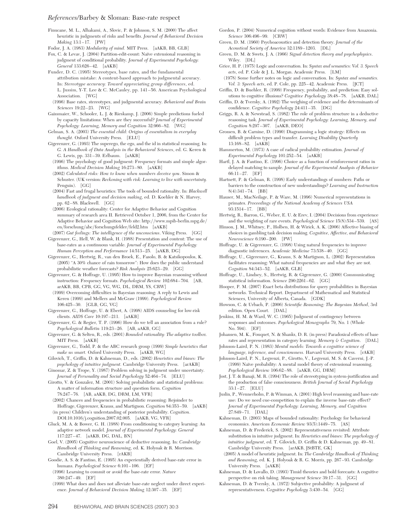#### References/Barbey & Sloman: Base-rate respect

Finucane, M. L., Alhakami, A., Slovic, P. & Johnson, S. M. (2000) The affect heuristic in judgments of risks and benefits. Journal of Behavioral Decision Making 13:1-17. [PW]

Fodor, J. A. (1983) Modularity of mind. MIT Press. [aAKB, BB, GLB]

- Fox, C. & Levav, J. (2004) Partition-edit-count: Naïve extensional reasoning in judgment of conditional probability. Journal of Experimental Psychology: General 133:626-42. [aAKB]
- Funder, D. C. (1995) Stereotypes, base rates, and the fundamental attribution mistake: A content-based approach to judgmental accuracy. In: Stereotype accuracy: Toward appreciating group differences, ed. L. Jussim, Y-T. Lee & C. McCauley, pp. 141 – 56. American Psychological Association. [WG]
- (1996) Base rates, stereotypes, and judgmental accuracy. Behavioral and Brain Sciences 19:22-23. [WG]
- Gaissmaier, W., Schooler, L. J. & Rieskamp, J. (2006) Simple predictions fueled by capacity limitations: When are they successful? Journal of Experimental Psychology: Learning, Memory and Cognition 32:966-82. [WG]
- Gelman, S. A. (2003) The essential child: Origins of essentialism in everyday thought. Oxford University Press. [ELU]
- Gigerenzer, G. (1993) The superego, the ego, and the id in statistical reasoning. In: G. A Handbook of Data Analysis in the Behavioral Sciences, ed. G. Keren & G. Lewis, pp. 331 – 39. Erlbaum. [aAKB]
- (1996) The psychology of good judgment: Frequency formats and simple algorithms. Medical Decision Making 16:273 – 80. [aAKB]
- (2002) Calculated risks: How to know when numbers deceive you. Simon & Schuster. (UK version: Reckoning with risk: Learning to live with uncertainty. Penguin). [GG]
- (2004) Fast and frugal heuristics: The tools of bounded rationality. In: Blackwell handbook of judgment and decision making, ed. D. Koehler & N. Harvey, pp. 62 – 88. Blackwell. [GG]
- (2006) Ecological rationality: Center for Adaptive Behavior and Cognition summary of research area II. Retrieved October 1, 2006, from the Center for Adaptive Behavior and Cognition Web site: http://www.mpib-berlin.mpg.de/ en/forschung/abc/forschungsfelder/feld2.htm [aAKB]
- (2007) Gut feelings: The intelligence of the unconscious. Viking Press. [GG]
- Gigerenzer, G., Hell, W. & Blank, H. (1988) Presentation and content: The use of base-rates as a continuous variable. Journal of Experimental Psychology: Human Perception and Performance 14:513-25. [aAKB, DG]
- Gigerenzer, G., Hertwig, R., van den Broek, E., Fasolo, B. & Katsikopoulos, K. (2005) "A 30% chance of rain tomorrow": How does the public understand probabilistic weather forecasts? Risk Analysis 25:623 – 29. [GG]
- Gigerenzer, G. & Hoffrage, U. (1995) How to improve Bayesian reasoning without instruction: Frequency formats. Psychological Review 102:684-704. [AB, arAKB, BB, CPB, GG, VG, WG, DL, DRM, YS, CRW]
- (1999) Overcoming difficulties in Bayesian reasoning: A reply to Lewis and Keren (1999) and Mellers and McGraw (1999). Psychological Review 106:425 – 30. [GLB, GG, VG]
- Gigerenzer, G., Hoffrage, U. & Ebert, A. (1998) AIDS counseling for low-risk clients. AIDS Care 10:197 – 211. [aAKB]
- Gigerenzer, G. & Regier, T. P. (1996) How do we tell an association from a rule? Psychological Bulletin 119:23 – 26. [AB, aAKB, GG]
- Gigerenzer, G. & Selten, R., eds. (2001) Bounded rationality: The adaptive toolbox. MIT Press. [aAKB]
- Gigerenzer, G., Todd, P. & the ABC research group (1999) Simple heuristics that make us smart. Oxford University Press. [aAKB, WG]
- Gilovich, T., Griffin, D. & Kahneman, D., eds. (2002) Heuristics and biases: The psychology of intuitive judgment. Cambridge University Press. [arAKB]
- Ginossar, Z. & Trope, Y. (1987) Problem solving in judgment under uncertainty. Journal of Personality and Social Psychology 52:464 –74. [ELU]
- Girotto, V. & Gonzalez, M. (2001) Solving probabilistic and statistical problems: A matter of information structure and question form. Cognition 78:247 – 76. [AB, aAKB, DG, DRM, LM, VFR]
- (2002) Chances and frequencies in probabilistic reasoning: Rejoinder to Hoffrage, Gigerenzer, Krauss, and Martignon. Cognition 84:353-59. [aAKB]
- (in press) Children's understanding of posterior probability. Cognition. DOI:10.1016/j.cognition.2007.02.005. [aAKB, VG, VFR]
- Gluck, M. A. & Bower, G. H. (1988) From conditioning to category learning: An adaptive network model. Journal of Experimental Psychology: General 117:227 – 47. [aAKB, DG, DAL, BN]
- Goel, V. (2005) Cognitive neuroscience of deductive reasoning. In: Cambridge Handbook of Thinking and Reasoning, ed. K. Holyoak & R. Morrison. Cambridge University Press. [rAKB]
- Goodie, A. S. & Fantino, E. (1995) An experientially derived base-rate error in humans. Psychological Science 6:101-106. [EF]
- (1996) Learning to commit or avoid the base-rate error. Nature 380:247 – 49. [EF]
- (1999) What does and does not alleviate base-rate neglect under direct experience. Journal of Behavioral Decision Making 12:307-35. [EF]
- Gordon, P. (2004) Numerical cognition without words: Evidence from Amazonia. Science 306:496-99. [CRW]
- Green, D. M. (1960) Psychoacoustics and detection theory. Journal of the Acoustical Society of America 32:1189-1203. [DL]
- Green, D. M. & Swets, J. A. (1966) Signal detection theory and psychophysics. Wiley. [DL]
- Grice, H. P. (1975) Logic and conversation. In: Syntax and semantics: Vol. 3. Speech acts, ed. P. Cole & J. L. Morgan. Academic Press. [LM]
- (1978) Some further notes on logic and conversation. In: Syntax and semantics. Vol. 3: Speech acts, ed. P. Cole, pp. 225 – 42. Academic Press. [JCT]
- Griffin, D. & Buehler, R. (1999) Frequency, probability, and prediction: Easy solutions to cognitive illusions? Cognitive Psychology 38:48-78. [aAKB, DAL]
- Griffin, D. & Tversky, A. (1992) The weighing of evidence and the determinants of confidence. Cognitive Psychology 24:411 – 35. [DG]
- Griggs, R. A. & Newstead, S. (1982) The role of problem structure in a deductive reasoning task. Journal of Experimental Psychology: Learning, Memory, and Cognition 8:297 – 307. [aAKB, DEO]
- Grossen, B. & Carnine, D. (1990) Diagramming a logic strategy: Effects on difficult problem types and transfer. Learning Disability Quarterly 13:168-82. [aAKB]
- Hammerton, M. (1973) A case of radical probability estimation. Journal of Experimental Psychology 101:252-54. [aAKB]
- Hartl, J. A. & Fantino, E. (1996) Choice as a function of reinforcement ratios in delayed matching to sample. Journal of the Experimental Analysis of Behavior  $66:11-27.$  [EF]
- Hartnett, P. & Gelman, R. (1998) Early understandings of numbers: Paths or barriers to the construction of new understandings? Learning and Instruction 8(4):341-74. [BB]
- Hauser, M., MacNeilage, P. & Ware, M. (1996) Numerical representations in primates. Proceedings of the National Academy of Sciences USA 93:1514 –17. [BB]
- Hertwig, R., Barron, G., Weber, E. U. & Erev, I. (2004) Decisions from experience and the weighting of rare events. Psychological Science 15(8):534-539. [AS]
- Hinson, J. M., Whitney, P., Holben, H. & Wirick, A. K. (2006) Affective biasing of choices in gambling task decision making. Cognitive, Affective, and Behavioral Neuroscience 6:190– 200. [PW]
- Hoffrage, U. & Gigerenzer, G. (1998) Using natural frequencies to improve diagnostic inferences. Academic Medicine 73:538 – 40. [GG]
- Hoffrage, U., Gigerenzer, G., Krauss, S. & Martignon, L. (2002) Representation facilitates reasoning: What natural frequencies are and what they are not. Cognition 84:343-52. [aAKB, GLB]
- Hoffrage, U., Lindsey, S., Hertwig, R. & Gigerenzer, G. (2000) Communicating statistical information. Science 290:2261-62. [GG]
- Hooper, P. M. (2007) Exact beta distributions for query probabilities in Bayesian networks. Technical Report. Department of Mathematical and Statistical Sciences, University of Alberta, Canada. [GDK]
- Howson, C. & Urbach, P. (2006) Scientific Reasoning: The Bayesian Method, 3rd edition. Open Court. [DAL]
- Jenkins, H. M. & Ward, W. C. (1965) Judgment of contingency between responses and outcomes. Psychological Monographs 79, No. 1 (Whole No. 594). [EF]
- Johansen, M. K., Fouquet, N. & Shanks, D. R. (in press) Paradoxical effects of base rates and representation in category learning. Memory & Cognition. [DAL]
- Johnson-Laird, P. N. (1983) Mental models: Towards a cognitive science of language, inference, and consciousness. Harvard University Press. [rAKB]
- Johnson-Laird, P. N., Legrenzi, P., Girotto, V., Legrenzi, M. S. & Caverni, J.-P. (1999) Naïve probability: A mental model theory of extensional reasoning. Psychological Review 106:62 –88. [aAKB, GG, DRM]
- Jost, J. T. & Banaji, M. R. (1994) The role of stereotyping in system-justification and the production of false consciousness. British Journal of Social Psychology 33:1-27. [ELU]
- Juslin, P., Wennerholm, P. & Winman, A. (2001) High level reasoning and base-rate use: Do we need cue-competition to explain the inverse base-rate effect? Journal of Experimental Psychology: Learning, Memory, and Cognition 27:849-71. [DAL]
- Kahneman, D. (2003) Maps of bounded rationality: Psychology for behavioral economics. American Economic Review 93(5):1449-75. [AS]
- Kahneman, D. & Frederick, S. (2002) Representativeness revisited: Attribute substitution in intuitive judgment. In: Heuristics and biases: The psychology of intuitive judgment, ed. T. Gilovich, D. Griffin & D. Kahneman, pp. 49 – 81. Cambridge University Press. [arAKB, JStBTE, GK]
- (2005) A model of heuristic judgment. In: The Cambridge Handbook of Thinking and Reasoning, ed. K. J. Holyoak & R. G. Morris, pp. 267 – 93. Cambridge University Press. [aAKB]
- Kahneman, D. & Lovallo, D. (1993) Timid theories and bold forecasts: A cognitive perspective on risk taking. Management Science 39:17-31. [GG]
- Kahneman, D. & Tversky, A. (1972) Subjective probability: A judgment of representativeness. Cognitive Psychology 3:430-54. [GG]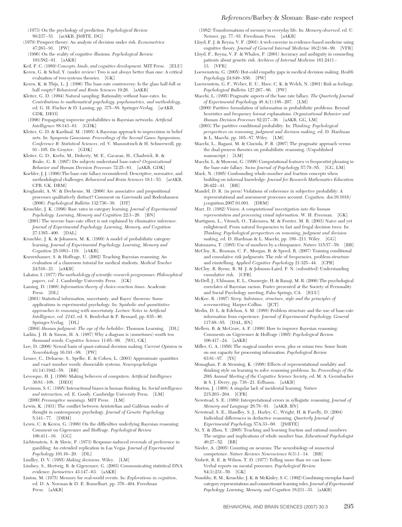- (1973) On the psychology of prediction. Psychological Review 80:237-51. [arAKB, JStBTE, DG]
- (1979) Prospect theory: An analysis of decision under risk. Econometrica 47:263 – 91. [PW]

(1996) On the reality of cognitive illusions. Psychological Review 103:582 – 91. [aAKB]

- Keil, F. C. (1989) Concepts, kinds, and cognitive development. MIT Press. [ELU]
- Keren, G. & Schul, Y. (under review) Two is not always better than one: A critical evaluation of two-systems theories. [GK]
- Keren, K. & Thijs, L. J. (1996) The base-rate controversy: Is the glass half-full or half empty? Behavioral and Brain Sciences 19:26. [aAKB]
- Kleiter, G. D. (1994) Natural sampling: Rationality without base-rates. In: Contributions to mathematical psychology, psychometrics, and methodology, ed. G. H. Fischer & D. Laming, pp. 375 –88. Springer-Verlag. [arAKB, GDK, DEO]
- (1996) Propagating imprecise probabilities in Bayesian networks. Artificial Intelligence 88:143 – 61. [GDK]
- Kleiter, G. D. & Kardinal, M. (1995) A Bayesian approach to imprecision in belief nets. In: Symposia Gaussiana: Proceedings of the Second Gauss Symposium, Conference B: Statistical Sciences, ed. V. Mammitzsch & H. Schneeweiß, pp. 91– 105. De Gruyter. [GDK]
- Kleiter, G. D., Krebs, M., Doherty, M. E., Gavaran, H., Chadwick, R. & Brake, G. B. (1997) Do subjects understand base-rates? Organizational Behavior and Human Decision Processes 72:25-61. [aAKB, GDK]
- Koehler, J. J. (1996) The base-rate fallacy reconsidered: Descriptive, normative, and methodological challenges. Behavioral and Brain Sciences 19:1 – 53. [arAKB, CPB, GK, DRM]
- Kruglanski, A. W. & Dechesne, M. (2006) Are associative and propositional processes qualitatively distinct? Comment on Gawronski and Bodenhausen (2006). Psychological Bulletin 132:736– 39. [DT]
- Kruschke, J. K. (1996) Base rates in category learning. Journal of Experimental Psychology: Learning, Memory and Cognition 22:3-26. [BN]
- (2001) The inverse base-rate effect is not explained by eliminative inference. Journal of Experimental Psychology: Learning, Memory, and Cognition 27:1385 – 400. [DAL]
- Kruschke, J. K. & Johansen, M. K. (1999) A model of probabilistic category learning. Journal of Experimental Psychology: Learning, Memory and Cognition 25:1083– 119. [rAKB]
- Kurzenhauser, S. & Hoffrage, U. (2002) Teaching Bayesian reasoning: An evaluation of a classroom tutorial for medical students. Medical Teacher 24:516-21. [aAKB]
- Lakatos, I. (1977) The methodology of scientific research programmes: Philosophical papers, vol. 1. Cambridge University Press. [GK]
- Laming, D. (1968) Information theory of choice-reaction times. Academic Press. [DL]
- (2001) Statistical information, uncertainty, and Bayes' theorem: Some applications in experimental psychology. In: Symbolic and quantitative approaches to reasoning with uncertainty. Lecture Notes in Artificial Intelligence, vol. 2143, ed. S. Benferhat & P. Besnard, pp. 635 – 46. Springer-Verlag. [DL]
- (2004) Human judgment: The eye of the beholder. Thomson Learning. [DL] Larkin, J. H. & Simon, H. A. (1987) Why a diagram is (sometimes) worth ten
- thousand words. Cognitive Science 11:65 99. [WG, GK]
- Lee, D. (2006) Neural basis of quasi-rational decision making. Current Opinion in Neurobiology 16:191 –98. [PW]
- Lemer, C., Dehaene, S., Spelke, E. & Cohen, L. (2003) Approximate quantities and exact number words: dissociable systems. Neuropsychologia 41(14):1942 – 58. [BB]
- Levesque, H. J. (1986) Making believers of computers. Artificial Intelligence 30:81– 108. [DEO]
- Levinson, S. C. (1995) Interactional biases in human thinking. In: Social intelligence and interaction, ed. E. Goody. Cambridge University Press. [LM] (2000) Presumptive meanings. MIT Press. [LM]
- Lewin, K. (1931) The conflict between Aristotelian and Galileian modes of thought in contemporary psychology. Journal of Genetic Psychology 5:141-77. [DRM]
- Lewis, C. & Keren, G. (1999) On the difficulties underlying Bayesian reasoning: Comment on Gigerenzer and Hoffrage. Psychological Review 106:411 – 16. [GG]
- Lichtenstein, S. & Slovic, P. (1973) Response-induced reversals of preference in gambling: An extended replication in Las Vegas. Journal of Experimental Psychology 101:16 – 20. [DL]
- Lindley, D. V. (1985) Making decisions. Wiley. [LM]
- Lindsey, S., Hertwig, R. & Gigerenzer, G. (2003) Communicating statistical DNA evidence. Jurimetrics 43:147-63. [aAKB]
- Linton, M. (1975) Memory for real-world events. In: Explorations in cognition, ed. D. A. Norman & D. E. Rumelhart, pp. 376 – 404. Freedman Press. [aAKB]
- (1982) Transformations of memory in everyday life. In: Memory observed, ed. U. Neisser, pp. 77-91. Freedman Press. [aAKB]
- Lloyd, F. J. & Reyna, V. F. (2001) A web exercise in evidence-based medicine using cognitive theory. Journal of General Internal Medicine 16(2):94 – 99. [VFR] Lloyd, F., Reyna, V. F. & Whalen, P. (2001) Accuracy and ambiguity in counseling
- patients about genetic risk. Archives of Internal Medicine 161:2411 13. [VFR]
- Loewenstein, G. (2005) Hot-cold empathy gaps in medical decision making. Health  $Psychology 24: S49-S56.$  [PW]
- Loewenstein, G. F., Weber, E. U., Hsee, C. K. & Welch, N. (2001) Risk as feelings. Psychological Bulletin 127:267-86. [PW]
- Macchi, L. (1995) Pragmatic aspects of the base rate fallacy. The Quarterly Journal of Experimental Psychology 48 A(1):188 – 207. [LM]
- (2000) Partitive formulation of information in probabilistic problems: Beyond heuristics and frequency format explanations. Organizational Behavior and Human Decision Processes 82:217-36. [aAKB, GG, LM]
- (2003) The partitive conditional probability. In: Thinking: Psychological perspectives on reasoning, judgment and decision making, ed. D. Hardman & L. Macchi, pp. 165 – 87. Wiley. [LM]
- Macchi, L., Bagassi, M. & Ciociola, P. B. (2007) The pragmatic approach versus the dual-process theories on probabilistic reasoning. (Unpublished manuscript.) [LM]
- Macchi, L. & Mosconi, G. (1998) Computational features vs frequentist phrasing in the base-rate fallacy. Swiss Journal of Psychology 57:79–85. [GG, LM]
- Mack, N. (1995) Confounding whole-number and fraction concepts when building on informal knowledge. Journal for Research Mathematics Education 26:422 – 41. [BB]
- Mandel, D. R. (in press) Violations of coherence in subjective probability: A representational and assessment processes account. Cognition. doi:10.1016/ j.cognition.2007.01.001. [DRM]
- Marr, D. (1982) Vision: A computational investigation into the human representation and processing visual information. W. H. Freeman. [GK]
- Martignon, L., Vitouch, O., Takezawa, M. & Forster, M. R. (2003) Naive and yet enlightened: From natural frequencies to fast and frugal decision trees. In: Thinking: Psychological perspectives on reasoning, judgment and decision making, ed. D. Hardman & L. Macchi, pp. 189-211. Wiley. [GG]
- Matsuzawa, T. (1985) Use of numbers by a chimpanzee. Nature 315:57-59. [BB]
- McCloy, R., Beaman, C. P., Morgan, B. & Speed, R. (2007) Training conditional and cumulative risk judgments: The role of frequencies, problem-structure and einstellung. Applied Cognitive Psychology 21:325-44. [CPB]
- McCloy, R. Byrne, R. M. J. & Johnson-Laird, P. N. (submitted) Understanding cumulative risk. [CPB]
- McDell, J., Uhlmann, E. L., Omoregie, H. & Banaji, M. R. (2006) The psychological correlates of Bayesian racism. Poster presented at the Society of Personality and Social Psychology meeting, Palm Springs, CA. [ELU]
- McKee, R. (1997) Story: Substance, structure, style and the principles of screenwriting. Harper-Collins. [JCT]
- Medin, D. L. & Edelson, S. M. (1988) Problem structure and the use of base-rate information from experience. Journal of Experimental Psychology: General 117:68-85. [DAL, BN]
- Mellers, B. & McGraw, A. P. (1999) How to improve Bayesian reasoning: Comments on Gigerenzer & Hoffrage (1995) Psychological Review 106:417-24. [aAKB]
- Miller, G. A. (1956) The magical number seven, plus or minus two: Some limits on our capacity for processing information. Psychological Review 63:81–97. [YS]
- Monaghan, P. & Stenning, K. (1998) Effects of representational modality and thinking style on learning to solve reasoning problems. In: Proceedings of the 20th Annual Meeting of the Cognitive Science Society, ed. M. A. Gernsbacher & S. J. Derry, pp. 716 – 21. Erlbaum. [aAKB]
- Morton, J. (1968) A singular lack of incidental learning. Nature 215:203– 204. [CPB]
- Newstead, S. E. (1989) Interpretational errors in syllogistic reasoning. Journal of Memory and Language 28:78-91. [aAKB, BN]
- Newstead, S. E., Handley, S. J., Harley, C., Wright, H. & Farelly, D. (2004) Individual differences in deductive reasoning. Quarterly Journal of Experimental Psychology 57A:33 – 60. [JStBTE]
- Ni, Y. & Zhou, Y. (2005) Teaching and learning fraction and rational numbers: The origins and implications of whole number bias. Educational Psychologist 40:27-52. [BB]
- Nieder, A. (2005) Counting on neurons: The neurobiology of numerical competence. Nature Reviews Neuroscience 6(3):1-14. [BB]
- Nisbett, R. E. & Wilson, T. D. (1977) Telling more than we can know: Verbal reports on mental processes. Psychological Review 84(3):231-59. [GK]
- Nosofsky, R. M., Kruschke, J. K. & McKinley, S. C. (1992) Combining exemplar-based category representations and connectionist learning rules. Journal of Experimental Psychology: Learning, Memory, and Cognition 18:211–33. [aAKB]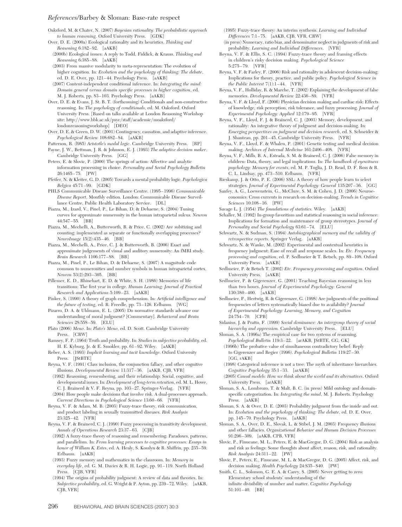#### References/Barbey & Sloman: Base-rate respect

- Oaksford, M. & Chater, N. (2007) Bayesian rationality: The probabilistic approach to human reasoning. Oxford University Press. [GDK]
- Over, D. E. (2000a) Ecological rationality and its heuristics. Thinking and Reasoning 6:182-92. [aAKB]
- (2000b) Ecological issues: A reply to Todd, Fiddick, & Krauss. Thinking and Reasoning 6:385–88. [aAKB]
- (2003) From massive modularity to meta-representation: The evolution of higher cognition. In: Evolution and the psychology of thinking: The debate, ed. D. E. Over, pp. 121-44. Psychology Press. [aAKB]
- (2007) Content-independent conditional inference. In: Integrating the mind: Domain general versus domain specific processes in higher cognition, ed. M. J. Roberts, pp. 83– 103. Psychology Press. [aAKB]
- Over, D. E. & Evans, J. St. B. T. (forthcoming) Conditionals and non-constructive reasoning. In: The psychology of conditionals, ed. M. Oaksford. Oxford University Press. [Based on talks available at London Reasoning Workshop site: http://www.bbk.ac.uk/psyc/staff/academic/moaksford/ londonreasoningworkshop] [DEO]
- Over, D. E. & Green, D. W. (2001) Contingency, causation, and adaptive inference. Psychological Review 108:682-84. [aAKB]
- Patterson, R. (l985) Aristotle's modal logic. Cambridge University Press. [RP]
- Payne, J. W., Bettman, J. R. & Johnson, E. J. (1993) The adaptive decision maker. Cambridge University Press. [GG]
- Peters, E. & Slovic, P. (2000) The springs of action: Affective and analytic information processing in choice. Personality and Social Psychology Bulletin 26:1465 – 75. [PW]
- Pfeifer, N. & Kleiter, G. D. (2005) Towards a mental probability logic. Psychologica Belgica 45:71-99. [GDK]
- PHLS Communicable Disease Surveillance Centre. (1995– 1996) Communicable Disease Report, Monthly edition. London: Communicable Disease Surveillance Centre, Public Health Laboratory Service. [DL]
- Piazza, M., Izard, V., Pinel, P., Le Bihan, D. & Dehaene, S. (2004) Tuning curves for approximate numerosity in the human intraparietal sulcus. Neuron 44:547 – 55. [BB]
- Piazza, M., Mechelli, A., Butterworth, B. & Price, C. (2002) Are subitizing and counting: implemented as separate or functionally overlapping processes? NeuroImage 15(2):435-46. [BB]
- Piazza, M., Mechelli, A., Price, C. J. & Butterworth, B. (2006) Exact and approximate judgements of visual and auditory numerosity: An fMRI study. Brain Research 1106:177 –88. [BB]
- Piazza, M., Pinel, P., Le Bihan, D. & Dehaene, S. (2007) A magnitude code common to numerosities and number symbols in human intraparietal cortex. Neuron 53(2):293– 305. [BB]
- Pillemer, E. D., Rhinehart, E. D. & White, S. H. (1986) Memories of life transitions: The first year in college. Human Learning: Journal of Practical Research and Applications 5:109-23. [aAKB]
- Pinker, S. (1990) A theory of graph comprehension. In: Artificial intelligence and the future of testing, ed. R. Freedle, pp. 73-126. Erlbaum. [WG]
- Pizarro, D. A. & Uhlmann, E. L. (2005) Do normative standards advance our understanding of moral judgment? [Commentary]. Behavioral and Brain Sciences 28:558-59. [ELU]
- Plato (2006) Meno. In: Plato's Meno, ed. D. Scott. Cambridge University Press. [CRW]
- Ramsey, F. P. (1964) Truth and probability. In: Studies in subjective probability, ed. H. E. Kyburg, Jr. & E. Smokler, pp. 61-92. Wiley. [aAKB]
- Reber, A. S. (1993) Implicit learning and tacit knowledge. Oxford University Press. [JStBTE]
- Reyna, V. F. (1991) Class inclusion, the conjunction fallacy, and other cognitive illusions. Developmental Review 11:317-36. [aAKB, CJB, VFR]
- (1992) Reasoning, remembering, and their relationship: Social, cognitive, and developmental issues. In: Development of long-term retention, ed. M. L. Howe, C. J. Brainerd & V. F. Reyna, pp. 103 – 27. Springer-Verlag. [VFR]
- (2004) How people make decisions that involve risk. A dual-processes approach. Current Directions in Psychological Science 13:60-66. [VFR]
- Reyna, V. F. & Adam, M. B. (2003) Fuzzy-trace theory, risk communication, and product labeling in sexually transmitted diseases. Risk Analysis 23:325 – 42. [VFR]
- Reyna, V. F. & Brainerd, C. J. (1990) Fuzzy processing in transitivity development. Annals of Operations Research 23:37-63. [CJB]
- (1992) A fuzzy-trace theory of reasoning and remembering: Paradoxes, patterns, and parallelism. In: From learning processes to cognitive processes: Essays in honor of William K. Estes, ed. A. Healy, S. Kosslyn & R. Shiffrin, pp. 235-59. Erlbaum. [aAKB]
- (1993) Fuzzy memory and mathematics in the classroom. In: Memory in everyday life, ed. G. M. Davies & R. H. Logie, pp. 91– 119. North Holland Press. [CJB, VFR]
- (1994) The origins of probability judgment: A review of data and theories. In: Subjective probability, ed. G. Wright & P. Ayton, pp. 239 – 72. Wiley. [aAKB, CJB, VFR]
- (1995) Fuzzy-trace theory: An interim synthesis. Learning and Individual Differences 7:1-75. [aAKB, CJB, VFR, CRW]
- (in press) Numeracy, ratio bias, and denominator neglect in judgments of risk and probability. Learning and Individual Differences. [VFR]
- Reyna, V. F. & Ellis, S. C. (1994) Fuzzy-trace theory and framing effects in children's risky decision making. Psychological Science 5:275 –79. [VFR]
- Reyna, V. F. & Farley, F. (2006) Risk and rationality in adolescent decision-making: Implications for theory, practice, and public policy. Psychological Science in the Public Interest  $7(1):1-44.$  [VFR]
- Reyna, V. F., Holliday, R. & Marche, T. (2002) Explaining the development of false memories. Developmental Review 22:436 – 89. [VFR]
- Reyna, V. F. & Lloyd, F. (2006) Physician decision making and cardiac risk: Effects of knowledge, risk perception, risk tolerance, and fuzzy processing. Journal of Experimental Psychology: Applied 12:179 – 95. [VFR]
- Reyna, V. F., Lloyd, F. J. & Brainerd, C. J. (2003) Memory, development, and rationality: An integrative theory of judgment and decision-making. In: Emerging perspectives on judgment and decision research, ed. S. Schneider & J. Shanteau, pp. 201 –45. Cambridge University Press. [VFR]
- Reyna, V. F., Lloyd, F. & Whalen, P. (2001) Genetic testing and medical decision making. Archives of Internal Medicine 161:2406 – 408. [VFR]
- Reyna, V. F., Mills, B. A., Estrada, S. M. & Brainerd, C. J. (2006) False memory in children: Data, theory, and legal implications. In: The handbook of eyewitness psychology: Memory for events, ed. M. P. Toglia, J. D. Read, D. F. Ross & R. C. L. Lindsay, pp. 473 – 510. Erlbaum. [VFR]
- Rieskamp, J. & Otto, P. E. (2006) SSL: A theory of how people learn to select strategies. Journal of Experimental Psychology: General 135:207-36. [GG]
- Sanfey, A. G., Loewenstein, G., McClure, S. M. & Cohen, J. D. (2006) Neuroeconomics: Cross currents in research on decision-making. Trends in Cognitive Sciences 10:108-16. [PW]
- Savage L. J. (1954) The foundations of statistics. Wiley. [aAKB]
- Schaller, M. (1992) In-group favoritism and statistical reasoning in social inference: Implications for formation and maintenance of group stereotypes. Journal of Personality and Social Psychology 63:61-74. [ELU]
- Schwartz, N. & Sudman, S. (1994) Autobiographical memory and the validity of retrospective reports. Springer Verlag. [aAKB]
- Schwartz, N. & Wanke, M. (2002) Experimental and contextual heuristics in frequency judgment: Ease of recall and response scales. In: Etc. Frequency processing and cognition, ed. P. Sedlmeier & T. Betsch, pp. 89– 108. Oxford University Press. [aAKB]
- Sedlmeier, P. & Betsch T. (2002) Etc. Frequency processing and cognition. Oxford University Press. [aAKB]
- Sedlmeier, P. & Gigerenzer, G. (2001) Teaching Bayesian reasoning in less than two hours. Journal of Experimental Psychology: General 130:380 –400. [aAKB]
- Sedlmeier, P., Hertwig, R. & Gigerenzer, G. (1998) Are judgments of the positional frequencies of letters systematically biased due to availability? Journal of Experimental Psychology: Learning, Memory, and Cognition 24:754 – 70. [CPB]
- Sidanius, J. & Pratto, F. (1999) Social dominance: An intergroup theory of social hierarchy and oppression. Cambridge University Press. [ELU]
- Sloman, S. A. (1996a) The empirical case for two systems of reasoning. Psychological Bulletin 119:3-22. [arAKB, JStBTE, GG, GK]
- (1996b) The probative value of simultaneous contradictory belief: Reply to Gigerenzer and Regier (1996). Psychological Bulletin 119:27 – 30. [GG, rAKB]
- (1998) Categorical inference is not a tree: The myth of inheritance hierarchies. Cognitive Psychology 35:1 – 33. [arAKB]
- (2005) Causal models: How we think about the world and its alternatives. Oxford University Press. [arAKB]
- Sloman, S. A., Lombrozo, T. & Malt, B. C. (in press) Mild ontology and domainspecific categorization. In: Integrating the mind, M. J. Roberts. Psychology Press. [aAKB]
- Sloman, S. A. & Over, D. E. (2003) Probability judgment from the inside and out. In: Evolution and the psychology of thinking: The debate, ed. D. E. Over, pp. 145 – 70. Psychology Press. [aAKB]
- Sloman, S. A., Over, D. E., Slovak, L. & Stibel, J. M. (2003) Frequency illusions and other fallacies. Organizational Behavior and Human Decision Processes 91:296 – 309. [aAKB, CPB, VFR]
- Slovic, P., Finucane, M. L., Peters, E. & MacGregor, D. G. (2004) Risk as analysis and risk as feelings: Some thoughts about affect, reason, risk, and rationality. Risk Analysis 24:311-22. [PW]
- Slovic, P., Peters, E., Finucane, M. L. & MacGregor, D. G. (2005) Affect, risk, and decision making. Health Psychology 24:S35-S40. [PW]
- Smith, C. L., Solomon, G. E. A. & Carey, S. (2005) Never getting to zero: Elementary school students' understanding of the infinite divisibility of number and matter. Cognitive Psychology 51:101-40. [BB]